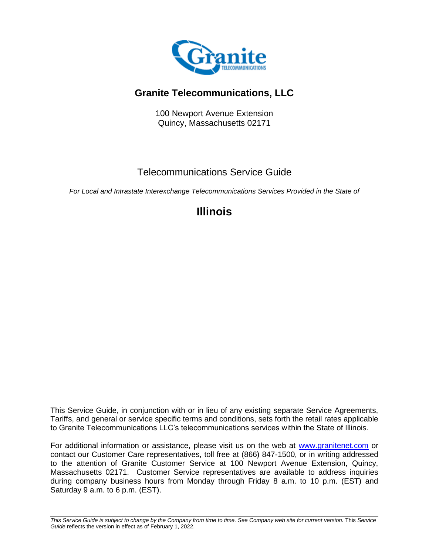

# **Granite Telecommunications, LLC**

100 Newport Avenue Extension Quincy, Massachusetts 02171

# Telecommunications Service Guide

*For Local and Intrastate Interexchange Telecommunications Services Provided in the State of*

# **Illinois**

This Service Guide, in conjunction with or in lieu of any existing separate Service Agreements, Tariffs, and general or service specific terms and conditions, sets forth the retail rates applicable to Granite Telecommunications LLC's telecommunications services within the State of Illinois.

For additional information or assistance, please visit us on the web at [www.granitenet.com](http://www.granitenet.com/) or contact our Customer Care representatives, toll free at (866) 847-1500, or in writing addressed to the attention of Granite Customer Service at 100 Newport Avenue Extension, Quincy, Massachusetts 02171. Customer Service representatives are available to address inquiries during company business hours from Monday through Friday 8 a.m. to 10 p.m. (EST) and Saturday 9 a.m. to 6 p.m. (EST).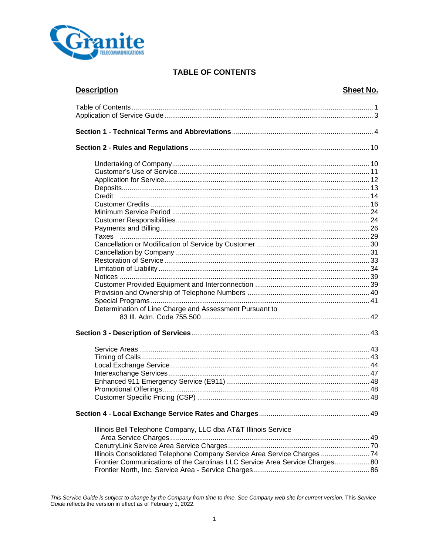

# **TABLE OF CONTENTS**

| <b>Description</b>                                                                                                                                       | Sheet No. |
|----------------------------------------------------------------------------------------------------------------------------------------------------------|-----------|
|                                                                                                                                                          |           |
|                                                                                                                                                          |           |
|                                                                                                                                                          |           |
|                                                                                                                                                          |           |
|                                                                                                                                                          |           |
|                                                                                                                                                          |           |
|                                                                                                                                                          |           |
|                                                                                                                                                          |           |
|                                                                                                                                                          |           |
|                                                                                                                                                          |           |
|                                                                                                                                                          |           |
|                                                                                                                                                          |           |
|                                                                                                                                                          |           |
|                                                                                                                                                          |           |
|                                                                                                                                                          |           |
|                                                                                                                                                          |           |
|                                                                                                                                                          |           |
|                                                                                                                                                          |           |
|                                                                                                                                                          |           |
|                                                                                                                                                          |           |
|                                                                                                                                                          |           |
| Determination of Line Charge and Assessment Pursuant to                                                                                                  |           |
|                                                                                                                                                          |           |
|                                                                                                                                                          |           |
|                                                                                                                                                          |           |
|                                                                                                                                                          |           |
|                                                                                                                                                          |           |
|                                                                                                                                                          |           |
|                                                                                                                                                          |           |
| Customer Specific Pricing (CSP).                                                                                                                         |           |
|                                                                                                                                                          |           |
| Illinois Bell Telephone Company, LLC dba AT&T Illinois Service                                                                                           |           |
|                                                                                                                                                          |           |
|                                                                                                                                                          |           |
| Illinois Consolidated Telephone Company Service Area Service Charges  74<br>Frontier Communications of the Carolinas LLC Service Area Service Charges 80 |           |
|                                                                                                                                                          |           |
|                                                                                                                                                          |           |

This Service Guide is subject to change by the Company from time to time. See Company web site for current version. This Service<br>Guide reflects the version in effect as of February 1, 2022.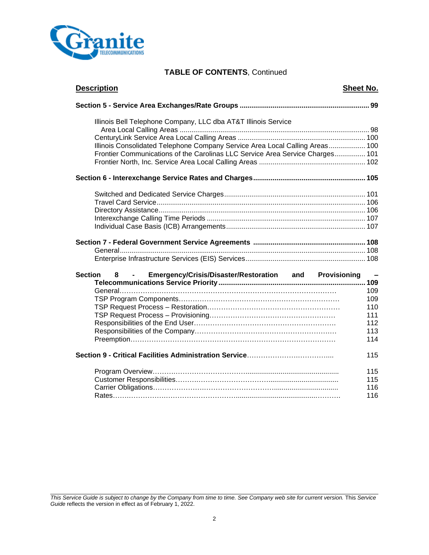

# **TABLE OF CONTENTS**, Continued

| <b>Description</b>                                                            | Sheet No. |
|-------------------------------------------------------------------------------|-----------|
|                                                                               |           |
| Illinois Bell Telephone Company, LLC dba AT&T Illinois Service                |           |
|                                                                               |           |
| Illinois Consolidated Telephone Company Service Area Local Calling Areas 100  |           |
| Frontier Communications of the Carolinas LLC Service Area Service Charges 101 |           |
|                                                                               |           |
|                                                                               |           |
|                                                                               |           |
|                                                                               |           |
|                                                                               |           |
|                                                                               |           |
|                                                                               |           |
|                                                                               |           |
|                                                                               |           |
|                                                                               |           |
| Emergency/Crisis/Disaster/Restoration and Provisioning<br><b>Section</b><br>8 | $\sim$    |
|                                                                               | 109       |
|                                                                               | 109       |
|                                                                               | 110       |
|                                                                               | 111       |
|                                                                               | 112       |
|                                                                               | 113       |
|                                                                               | 114       |
|                                                                               | 115       |
|                                                                               | 115       |
|                                                                               | 115       |
|                                                                               | 116       |
|                                                                               | 116       |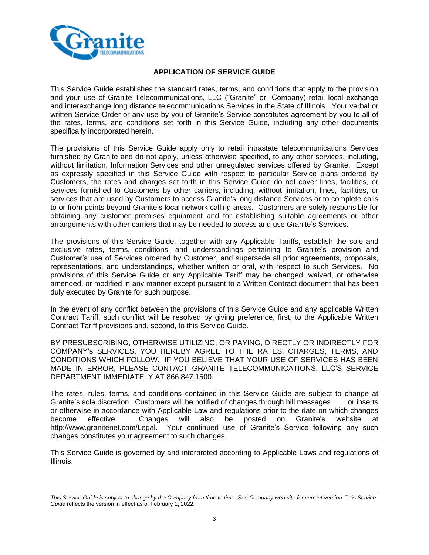

#### **APPLICATION OF SERVICE GUIDE**

This Service Guide establishes the standard rates, terms, and conditions that apply to the provision and your use of Granite Telecommunications, LLC ("Granite" or "Company) retail local exchange and interexchange long distance telecommunications Services in the State of Illinois. Your verbal or written Service Order or any use by you of Granite's Service constitutes agreement by you to all of the rates, terms, and conditions set forth in this Service Guide, including any other documents specifically incorporated herein.

The provisions of this Service Guide apply only to retail intrastate telecommunications Services furnished by Granite and do not apply, unless otherwise specified, to any other services, including, without limitation, Information Services and other unregulated services offered by Granite. Except as expressly specified in this Service Guide with respect to particular Service plans ordered by Customers, the rates and charges set forth in this Service Guide do not cover lines, facilities, or services furnished to Customers by other carriers, including, without limitation, lines, facilities, or services that are used by Customers to access Granite's long distance Services or to complete calls to or from points beyond Granite's local network calling areas. Customers are solely responsible for obtaining any customer premises equipment and for establishing suitable agreements or other arrangements with other carriers that may be needed to access and use Granite's Services.

The provisions of this Service Guide, together with any Applicable Tariffs, establish the sole and exclusive rates, terms, conditions, and understandings pertaining to Granite's provision and Customer's use of Services ordered by Customer, and supersede all prior agreements, proposals, representations, and understandings, whether written or oral, with respect to such Services. No provisions of this Service Guide or any Applicable Tariff may be changed, waived, or otherwise amended, or modified in any manner except pursuant to a Written Contract document that has been duly executed by Granite for such purpose.

In the event of any conflict between the provisions of this Service Guide and any applicable Written Contract Tariff, such conflict will be resolved by giving preference, first, to the Applicable Written Contract Tariff provisions and, second, to this Service Guide.

BY PRESUBSCRIBING, OTHERWISE UTILIZING, OR PAYING, DIRECTLY OR INDIRECTLY FOR COMPANY's SERVICES, YOU HEREBY AGREE TO THE RATES, CHARGES, TERMS, AND CONDITIONS WHICH FOLLOW. IF YOU BELIEVE THAT YOUR USE OF SERVICES HAS BEEN MADE IN ERROR, PLEASE CONTACT GRANITE TELECOMMUNICATIONS, LLC'S SERVICE DEPARTMENT IMMEDIATELY AT 866.847.1500.

The rates, rules, terms, and conditions contained in this Service Guide are subject to change at Granite's sole discretion. Customers will be notified of changes through bill messages or inserts or otherwise in accordance with Applicable Law and regulations prior to the date on which changes become effective. Changes will also be posted on Granite's website at http://www.granitenet.com/Legal. Your continued use of Granite's Service following any such changes constitutes your agreement to such changes.

This Service Guide is governed by and interpreted according to Applicable Laws and regulations of Illinois.

*This Service Guide is subject to change by the Company from time to time. See Company web site for current version.* This *Service Guide* reflects the version in effect as of February 1, 2022.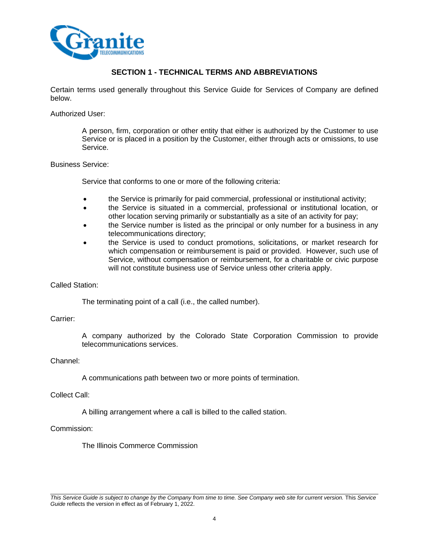

# **SECTION 1 - TECHNICAL TERMS AND ABBREVIATIONS**

Certain terms used generally throughout this Service Guide for Services of Company are defined below.

Authorized User:

A person, firm, corporation or other entity that either is authorized by the Customer to use Service or is placed in a position by the Customer, either through acts or omissions, to use Service.

#### Business Service:

Service that conforms to one or more of the following criteria:

- the Service is primarily for paid commercial, professional or institutional activity;
- the Service is situated in a commercial, professional or institutional location, or other location serving primarily or substantially as a site of an activity for pay;
- the Service number is listed as the principal or only number for a business in any telecommunications directory;
- the Service is used to conduct promotions, solicitations, or market research for which compensation or reimbursement is paid or provided. However, such use of Service, without compensation or reimbursement, for a charitable or civic purpose will not constitute business use of Service unless other criteria apply.

#### Called Station:

The terminating point of a call (i.e., the called number).

Carrier:

A company authorized by the Colorado State Corporation Commission to provide telecommunications services.

#### Channel:

A communications path between two or more points of termination.

#### Collect Call:

A billing arrangement where a call is billed to the called station.

#### Commission:

The Illinois Commerce Commission

*This Service Guide is subject to change by the Company from time to time. See Company web site for current version.* This *Service Guide* reflects the version in effect as of February 1, 2022.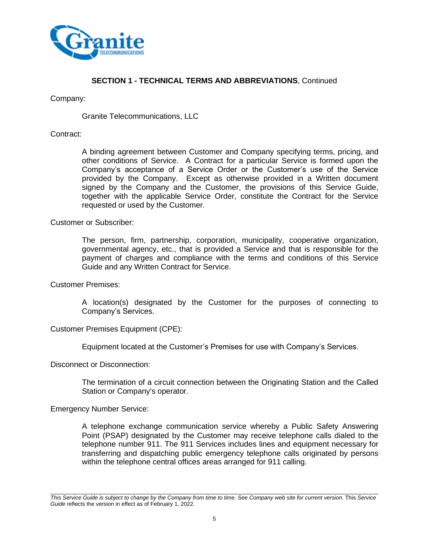

## Company:

Granite Telecommunications, LLC

## Contract:

A binding agreement between Customer and Company specifying terms, pricing, and other conditions of Service. A Contract for a particular Service is formed upon the Company's acceptance of a Service Order or the Customer's use of the Service provided by the Company. Except as otherwise provided in a Written document signed by the Company and the Customer, the provisions of this Service Guide, together with the applicable Service Order, constitute the Contract for the Service requested or used by the Customer.

Customer or Subscriber:

The person, firm, partnership, corporation, municipality, cooperative organization, governmental agency, etc., that is provided a Service and that is responsible for the payment of charges and compliance with the terms and conditions of this Service Guide and any Written Contract for Service.

Customer Premises:

A location(s) designated by the Customer for the purposes of connecting to Company's Services.

Customer Premises Equipment (CPE):

Equipment located at the Customer's Premises for use with Company's Services.

Disconnect or Disconnection:

The termination of a circuit connection between the Originating Station and the Called Station or Company's operator.

Emergency Number Service:

A telephone exchange communication service whereby a Public Safety Answering Point (PSAP) designated by the Customer may receive telephone calls dialed to the telephone number 911. The 911 Services includes lines and equipment necessary for transferring and dispatching public emergency telephone calls originated by persons within the telephone central offices areas arranged for 911 calling.

*This Service Guide is subject to change by the Company from time to time. See Company web site for current version.* This *Service Guide* reflects the version in effect as of February 1, 2022.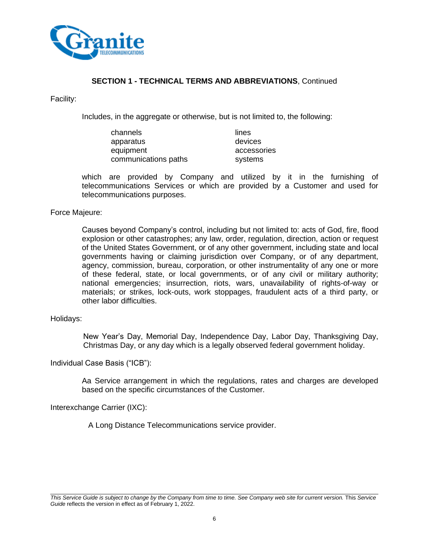

Facility:

Includes, in the aggregate or otherwise, but is not limited to, the following:

| channels             | lines       |
|----------------------|-------------|
| apparatus            | devices     |
| equipment            | accessories |
| communications paths | systems     |

which are provided by Company and utilized by it in the furnishing of telecommunications Services or which are provided by a Customer and used for telecommunications purposes.

#### Force Majeure:

Causes beyond Company's control, including but not limited to: acts of God, fire, flood explosion or other catastrophes; any law, order, regulation, direction, action or request of the United States Government, or of any other government, including state and local governments having or claiming jurisdiction over Company, or of any department, agency, commission, bureau, corporation, or other instrumentality of any one or more of these federal, state, or local governments, or of any civil or military authority; national emergencies; insurrection, riots, wars, unavailability of rights-of-way or materials; or strikes, lock-outs, work stoppages, fraudulent acts of a third party, or other labor difficulties.

#### Holidays:

New Year's Day, Memorial Day, Independence Day, Labor Day, Thanksgiving Day, Christmas Day, or any day which is a legally observed federal government holiday.

#### Individual Case Basis ("ICB"):

Aa Service arrangement in which the regulations, rates and charges are developed based on the specific circumstances of the Customer.

Interexchange Carrier (IXC):

A Long Distance Telecommunications service provider.

*This Service Guide is subject to change by the Company from time to time. See Company web site for current version.* This *Service Guide* reflects the version in effect as of February 1, 2022.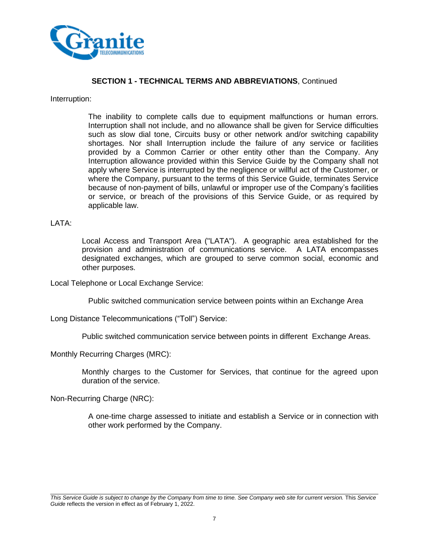

#### Interruption:

The inability to complete calls due to equipment malfunctions or human errors. Interruption shall not include, and no allowance shall be given for Service difficulties such as slow dial tone, Circuits busy or other network and/or switching capability shortages. Nor shall Interruption include the failure of any service or facilities provided by a Common Carrier or other entity other than the Company. Any Interruption allowance provided within this Service Guide by the Company shall not apply where Service is interrupted by the negligence or willful act of the Customer, or where the Company, pursuant to the terms of this Service Guide, terminates Service because of non-payment of bills, unlawful or improper use of the Company's facilities or service, or breach of the provisions of this Service Guide, or as required by applicable law.

#### LATA:

Local Access and Transport Area ("LATA"). A geographic area established for the provision and administration of communications service. A LATA encompasses designated exchanges, which are grouped to serve common social, economic and other purposes.

Local Telephone or Local Exchange Service:

Public switched communication service between points within an Exchange Area

Long Distance Telecommunications ("Toll") Service:

Public switched communication service between points in different Exchange Areas.

Monthly Recurring Charges (MRC):

Monthly charges to the Customer for Services, that continue for the agreed upon duration of the service.

Non-Recurring Charge (NRC):

A one-time charge assessed to initiate and establish a Service or in connection with other work performed by the Company.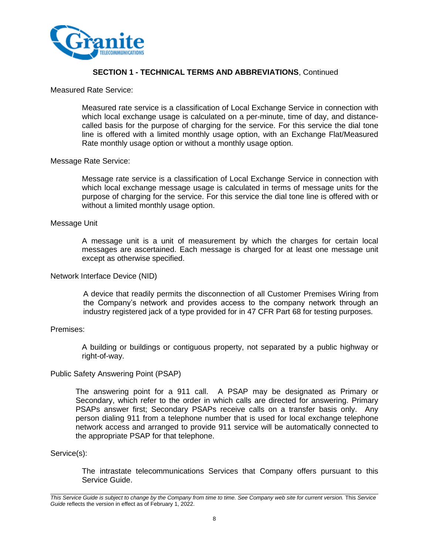

#### Measured Rate Service:

Measured rate service is a classification of Local Exchange Service in connection with which local exchange usage is calculated on a per-minute, time of day, and distancecalled basis for the purpose of charging for the service. For this service the dial tone line is offered with a limited monthly usage option, with an Exchange Flat/Measured Rate monthly usage option or without a monthly usage option.

#### Message Rate Service:

Message rate service is a classification of Local Exchange Service in connection with which local exchange message usage is calculated in terms of message units for the purpose of charging for the service. For this service the dial tone line is offered with or without a limited monthly usage option.

#### Message Unit

A message unit is a unit of measurement by which the charges for certain local messages are ascertained. Each message is charged for at least one message unit except as otherwise specified.

#### Network Interface Device (NID)

A device that readily permits the disconnection of all Customer Premises Wiring from the Company's network and provides access to the company network through an industry registered jack of a type provided for in 47 CFR Part 68 for testing purposes.

#### Premises:

A building or buildings or contiguous property, not separated by a public highway or right-of-way.

#### Public Safety Answering Point (PSAP)

The answering point for a 911 call. A PSAP may be designated as Primary or Secondary, which refer to the order in which calls are directed for answering. Primary PSAPs answer first; Secondary PSAPs receive calls on a transfer basis only. Any person dialing 911 from a telephone number that is used for local exchange telephone network access and arranged to provide 911 service will be automatically connected to the appropriate PSAP for that telephone.

#### Service(s):

The intrastate telecommunications Services that Company offers pursuant to this Service Guide.

*This Service Guide is subject to change by the Company from time to time. See Company web site for current version.* This *Service Guide* reflects the version in effect as of February 1, 2022.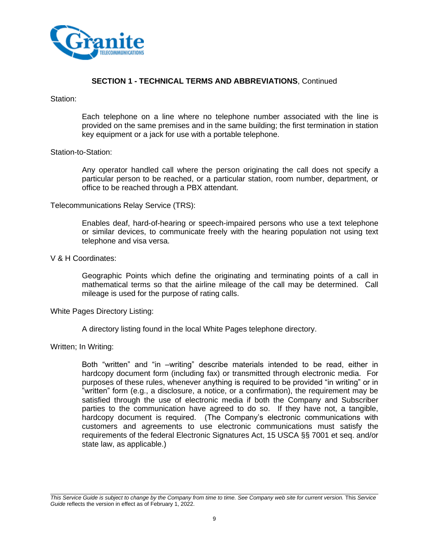

Station:

Each telephone on a line where no telephone number associated with the line is provided on the same premises and in the same building; the first termination in station key equipment or a jack for use with a portable telephone.

#### Station-to-Station:

Any operator handled call where the person originating the call does not specify a particular person to be reached, or a particular station, room number, department, or office to be reached through a PBX attendant.

#### Telecommunications Relay Service (TRS):

Enables deaf, hard-of-hearing or speech-impaired persons who use a text telephone or similar devices, to communicate freely with the hearing population not using text telephone and visa versa.

## V & H Coordinates:

Geographic Points which define the originating and terminating points of a call in mathematical terms so that the airline mileage of the call may be determined. Call mileage is used for the purpose of rating calls.

#### White Pages Directory Listing:

A directory listing found in the local White Pages telephone directory.

Written; In Writing:

Both "written" and "in –writing" describe materials intended to be read, either in hardcopy document form (including fax) or transmitted through electronic media. For purposes of these rules, whenever anything is required to be provided "in writing" or in "written" form (e.g., a disclosure, a notice, or a confirmation), the requirement may be satisfied through the use of electronic media if both the Company and Subscriber parties to the communication have agreed to do so. If they have not, a tangible, hardcopy document is required. (The Company's electronic communications with customers and agreements to use electronic communications must satisfy the requirements of the federal Electronic Signatures Act, 15 USCA §§ 7001 et seq. and/or state law, as applicable.)

*This Service Guide is subject to change by the Company from time to time. See Company web site for current version.* This *Service Guide* reflects the version in effect as of February 1, 2022.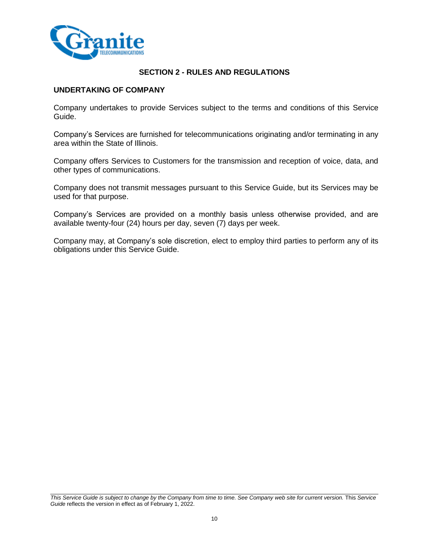

# **SECTION 2 - RULES AND REGULATIONS**

## **UNDERTAKING OF COMPANY**

Company undertakes to provide Services subject to the terms and conditions of this Service Guide.

Company's Services are furnished for telecommunications originating and/or terminating in any area within the State of Illinois.

Company offers Services to Customers for the transmission and reception of voice, data, and other types of communications.

Company does not transmit messages pursuant to this Service Guide, but its Services may be used for that purpose.

Company's Services are provided on a monthly basis unless otherwise provided, and are available twenty-four (24) hours per day, seven (7) days per week.

Company may, at Company's sole discretion, elect to employ third parties to perform any of its obligations under this Service Guide.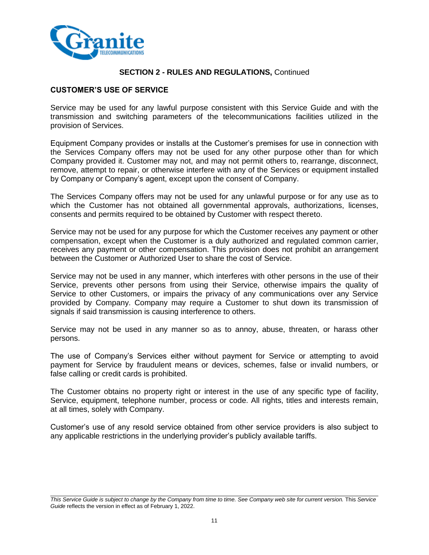

# **CUSTOMER'S USE OF SERVICE**

Service may be used for any lawful purpose consistent with this Service Guide and with the transmission and switching parameters of the telecommunications facilities utilized in the provision of Services.

Equipment Company provides or installs at the Customer's premises for use in connection with the Services Company offers may not be used for any other purpose other than for which Company provided it. Customer may not, and may not permit others to, rearrange, disconnect, remove, attempt to repair, or otherwise interfere with any of the Services or equipment installed by Company or Company's agent, except upon the consent of Company.

The Services Company offers may not be used for any unlawful purpose or for any use as to which the Customer has not obtained all governmental approvals, authorizations, licenses, consents and permits required to be obtained by Customer with respect thereto.

Service may not be used for any purpose for which the Customer receives any payment or other compensation, except when the Customer is a duly authorized and regulated common carrier, receives any payment or other compensation. This provision does not prohibit an arrangement between the Customer or Authorized User to share the cost of Service.

Service may not be used in any manner, which interferes with other persons in the use of their Service, prevents other persons from using their Service, otherwise impairs the quality of Service to other Customers, or impairs the privacy of any communications over any Service provided by Company. Company may require a Customer to shut down its transmission of signals if said transmission is causing interference to others.

Service may not be used in any manner so as to annoy, abuse, threaten, or harass other persons.

The use of Company's Services either without payment for Service or attempting to avoid payment for Service by fraudulent means or devices, schemes, false or invalid numbers, or false calling or credit cards is prohibited.

The Customer obtains no property right or interest in the use of any specific type of facility, Service, equipment, telephone number, process or code. All rights, titles and interests remain, at all times, solely with Company.

Customer's use of any resold service obtained from other service providers is also subject to any applicable restrictions in the underlying provider's publicly available tariffs.

*This Service Guide is subject to change by the Company from time to time. See Company web site for current version.* This *Service Guide* reflects the version in effect as of February 1, 2022.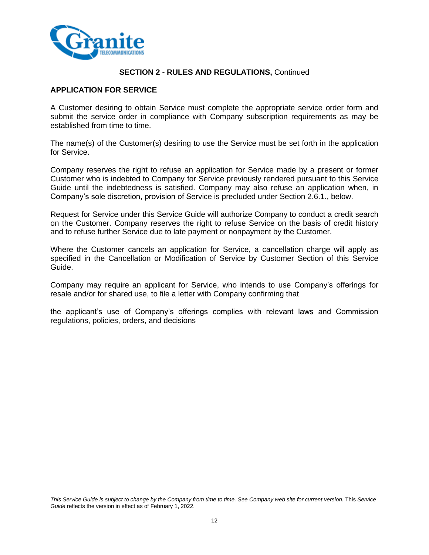

## **APPLICATION FOR SERVICE**

A Customer desiring to obtain Service must complete the appropriate service order form and submit the service order in compliance with Company subscription requirements as may be established from time to time.

The name(s) of the Customer(s) desiring to use the Service must be set forth in the application for Service.

Company reserves the right to refuse an application for Service made by a present or former Customer who is indebted to Company for Service previously rendered pursuant to this Service Guide until the indebtedness is satisfied. Company may also refuse an application when, in Company's sole discretion, provision of Service is precluded under Section 2.6.1., below.

Request for Service under this Service Guide will authorize Company to conduct a credit search on the Customer. Company reserves the right to refuse Service on the basis of credit history and to refuse further Service due to late payment or nonpayment by the Customer.

Where the Customer cancels an application for Service, a cancellation charge will apply as specified in the Cancellation or Modification of Service by Customer Section of this Service Guide.

Company may require an applicant for Service, who intends to use Company's offerings for resale and/or for shared use, to file a letter with Company confirming that

the applicant's use of Company's offerings complies with relevant laws and Commission regulations, policies, orders, and decisions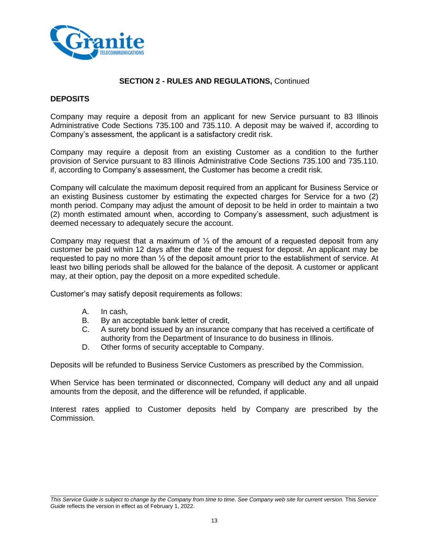

#### **DEPOSITS**

Company may require a deposit from an applicant for new Service pursuant to 83 Illinois Administrative Code Sections 735.100 and 735.110. A deposit may be waived if, according to Company's assessment, the applicant is a satisfactory credit risk.

Company may require a deposit from an existing Customer as a condition to the further provision of Service pursuant to 83 Illinois Administrative Code Sections 735.100 and 735.110. if, according to Company's assessment, the Customer has become a credit risk.

Company will calculate the maximum deposit required from an applicant for Business Service or an existing Business customer by estimating the expected charges for Service for a two (2) month period. Company may adjust the amount of deposit to be held in order to maintain a two (2) month estimated amount when, according to Company's assessment, such adjustment is deemed necessary to adequately secure the account.

Company may request that a maximum of ⅓ of the amount of a requested deposit from any customer be paid within 12 days after the date of the request for deposit. An applicant may be requested to pay no more than ⅓ of the deposit amount prior to the establishment of service. At least two billing periods shall be allowed for the balance of the deposit. A customer or applicant may, at their option, pay the deposit on a more expedited schedule.

Customer's may satisfy deposit requirements as follows:

- A. In cash,
- B. By an acceptable bank letter of credit,
- C. A surety bond issued by an insurance company that has received a certificate of authority from the Department of Insurance to do business in Illinois.
- D. Other forms of security acceptable to Company.

Deposits will be refunded to Business Service Customers as prescribed by the Commission.

When Service has been terminated or disconnected, Company will deduct any and all unpaid amounts from the deposit, and the difference will be refunded, if applicable.

Interest rates applied to Customer deposits held by Company are prescribed by the Commission.

*This Service Guide is subject to change by the Company from time to time. See Company web site for current version.* This *Service Guide* reflects the version in effect as of February 1, 2022.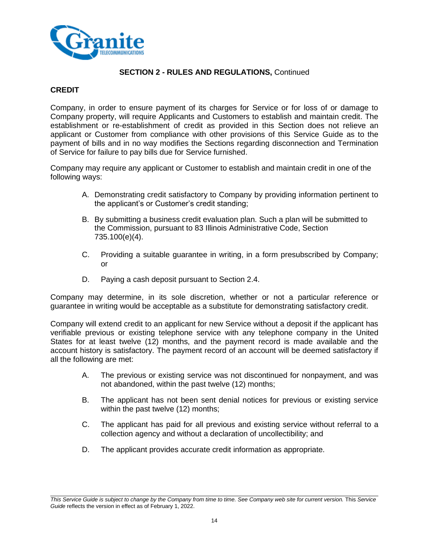

## **CREDIT**

Company, in order to ensure payment of its charges for Service or for loss of or damage to Company property, will require Applicants and Customers to establish and maintain credit. The establishment or re-establishment of credit as provided in this Section does not relieve an applicant or Customer from compliance with other provisions of this Service Guide as to the payment of bills and in no way modifies the Sections regarding disconnection and Termination of Service for failure to pay bills due for Service furnished.

Company may require any applicant or Customer to establish and maintain credit in one of the following ways:

- A. Demonstrating credit satisfactory to Company by providing information pertinent to the applicant's or Customer's credit standing;
- B. By submitting a business credit evaluation plan. Such a plan will be submitted to the Commission, pursuant to 83 Illinois Administrative Code, Section 735.100(e)(4).
- C. Providing a suitable guarantee in writing, in a form presubscribed by Company; or
- D. Paying a cash deposit pursuant to Section 2.4.

Company may determine, in its sole discretion, whether or not a particular reference or guarantee in writing would be acceptable as a substitute for demonstrating satisfactory credit.

Company will extend credit to an applicant for new Service without a deposit if the applicant has verifiable previous or existing telephone service with any telephone company in the United States for at least twelve (12) months, and the payment record is made available and the account history is satisfactory. The payment record of an account will be deemed satisfactory if all the following are met:

- A. The previous or existing service was not discontinued for nonpayment, and was not abandoned, within the past twelve (12) months;
- B. The applicant has not been sent denial notices for previous or existing service within the past twelve (12) months;
- C. The applicant has paid for all previous and existing service without referral to a collection agency and without a declaration of uncollectibility; and
- D. The applicant provides accurate credit information as appropriate.

*This Service Guide is subject to change by the Company from time to time. See Company web site for current version.* This *Service Guide* reflects the version in effect as of February 1, 2022.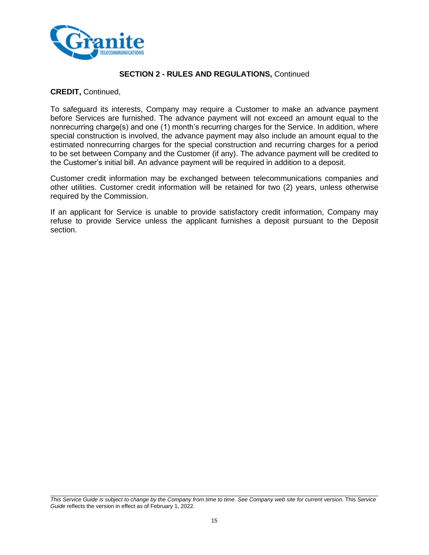

#### **CREDIT,** Continued,

To safeguard its interests, Company may require a Customer to make an advance payment before Services are furnished. The advance payment will not exceed an amount equal to the nonrecurring charge(s) and one (1) month's recurring charges for the Service. In addition, where special construction is involved, the advance payment may also include an amount equal to the estimated nonrecurring charges for the special construction and recurring charges for a period to be set between Company and the Customer (if any). The advance payment will be credited to the Customer's initial bill. An advance payment will be required in addition to a deposit.

Customer credit information may be exchanged between telecommunications companies and other utilities. Customer credit information will be retained for two (2) years, unless otherwise required by the Commission.

If an applicant for Service is unable to provide satisfactory credit information, Company may refuse to provide Service unless the applicant furnishes a deposit pursuant to the Deposit section.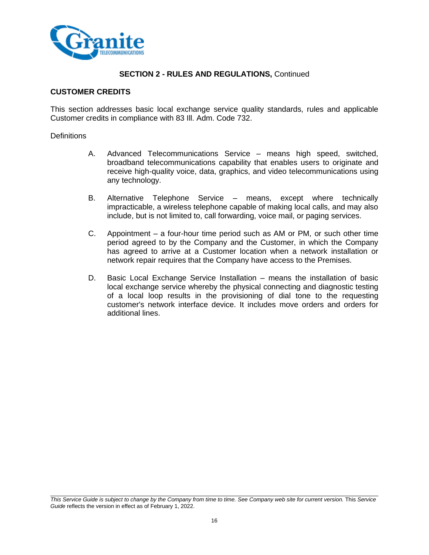

#### **CUSTOMER CREDITS**

This section addresses basic local exchange service quality standards, rules and applicable Customer credits in compliance with 83 Ill. Adm. Code 732.

#### **Definitions**

- A. Advanced Telecommunications Service means high speed, switched, broadband telecommunications capability that enables users to originate and receive high-quality voice, data, graphics, and video telecommunications using any technology.
- B. Alternative Telephone Service means, except where technically impracticable, a wireless telephone capable of making local calls, and may also include, but is not limited to, call forwarding, voice mail, or paging services.
- C. Appointment a four-hour time period such as AM or PM, or such other time period agreed to by the Company and the Customer, in which the Company has agreed to arrive at a Customer location when a network installation or network repair requires that the Company have access to the Premises.
- D. Basic Local Exchange Service Installation means the installation of basic local exchange service whereby the physical connecting and diagnostic testing of a local loop results in the provisioning of dial tone to the requesting customer's network interface device. It includes move orders and orders for additional lines.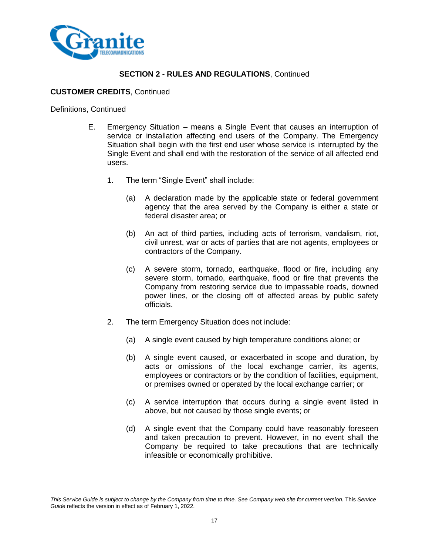

## **CUSTOMER CREDITS**, Continued

Definitions, Continued

- E. Emergency Situation means a Single Event that causes an interruption of service or installation affecting end users of the Company. The Emergency Situation shall begin with the first end user whose service is interrupted by the Single Event and shall end with the restoration of the service of all affected end users.
	- 1. The term "Single Event" shall include:
		- (a) A declaration made by the applicable state or federal government agency that the area served by the Company is either a state or federal disaster area; or
		- (b) An act of third parties, including acts of terrorism, vandalism, riot, civil unrest, war or acts of parties that are not agents, employees or contractors of the Company.
		- (c) A severe storm, tornado, earthquake, flood or fire, including any severe storm, tornado, earthquake, flood or fire that prevents the Company from restoring service due to impassable roads, downed power lines, or the closing off of affected areas by public safety officials.
	- 2. The term Emergency Situation does not include:
		- (a) A single event caused by high temperature conditions alone; or
		- (b) A single event caused, or exacerbated in scope and duration, by acts or omissions of the local exchange carrier, its agents, employees or contractors or by the condition of facilities, equipment, or premises owned or operated by the local exchange carrier; or
		- (c) A service interruption that occurs during a single event listed in above, but not caused by those single events; or
		- (d) A single event that the Company could have reasonably foreseen and taken precaution to prevent. However, in no event shall the Company be required to take precautions that are technically infeasible or economically prohibitive.

*This Service Guide is subject to change by the Company from time to time. See Company web site for current version.* This *Service Guide* reflects the version in effect as of February 1, 2022.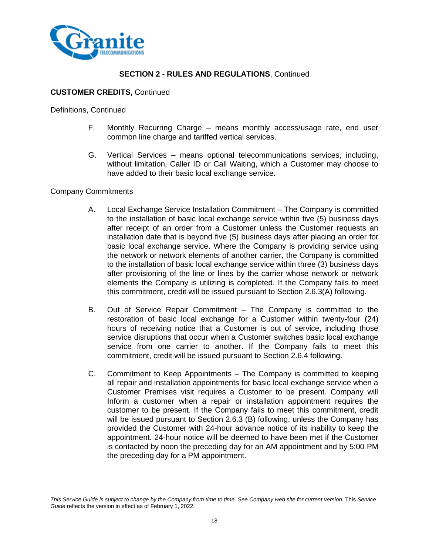

## **CUSTOMER CREDITS,** Continued

Definitions, Continued

- F. Monthly Recurring Charge means monthly access/usage rate, end user common line charge and tariffed vertical services.
- G. Vertical Services means optional telecommunications services, including, without limitation, Caller ID or Call Waiting, which a Customer may choose to have added to their basic local exchange service.

#### Company Commitments

- A. Local Exchange Service Installation Commitment The Company is committed to the installation of basic local exchange service within five (5) business days after receipt of an order from a Customer unless the Customer requests an installation date that is beyond five (5) business days after placing an order for basic local exchange service. Where the Company is providing service using the network or network elements of another carrier, the Company is committed to the installation of basic local exchange service within three (3) business days after provisioning of the line or lines by the carrier whose network or network elements the Company is utilizing is completed. If the Company fails to meet this commitment, credit will be issued pursuant to Section 2.6.3(A) following.
- B. Out of Service Repair Commitment The Company is committed to the restoration of basic local exchange for a Customer within twenty-four (24) hours of receiving notice that a Customer is out of service, including those service disruptions that occur when a Customer switches basic local exchange service from one carrier to another. If the Company fails to meet this commitment, credit will be issued pursuant to Section 2.6.4 following.
- C. Commitment to Keep Appointments The Company is committed to keeping all repair and installation appointments for basic local exchange service when a Customer Premises visit requires a Customer to be present. Company will Inform a customer when a repair or installation appointment requires the customer to be present. If the Company fails to meet this commitment, credit will be issued pursuant to Section 2.6.3 (B) following, unless the Company has provided the Customer with 24-hour advance notice of its inability to keep the appointment. 24-hour notice will be deemed to have been met if the Customer is contacted by noon the preceding day for an AM appointment and by 5:00 PM the preceding day for a PM appointment.

*This Service Guide is subject to change by the Company from time to time. See Company web site for current version.* This *Service Guide* reflects the version in effect as of February 1, 2022.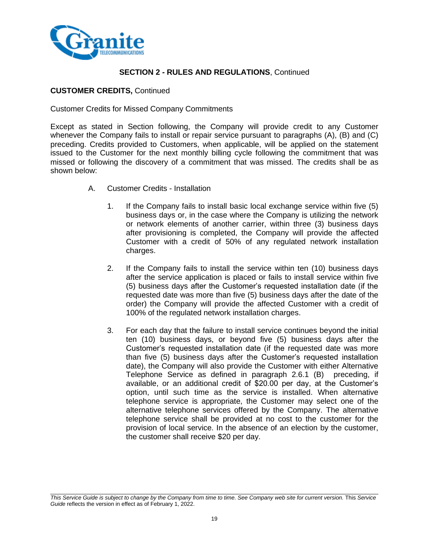

## **CUSTOMER CREDITS,** Continued

#### Customer Credits for Missed Company Commitments

Except as stated in Section following, the Company will provide credit to any Customer whenever the Company fails to install or repair service pursuant to paragraphs (A), (B) and (C) preceding. Credits provided to Customers, when applicable, will be applied on the statement issued to the Customer for the next monthly billing cycle following the commitment that was missed or following the discovery of a commitment that was missed. The credits shall be as shown below:

- A. Customer Credits Installation
	- 1. If the Company fails to install basic local exchange service within five (5) business days or, in the case where the Company is utilizing the network or network elements of another carrier, within three (3) business days after provisioning is completed, the Company will provide the affected Customer with a credit of 50% of any regulated network installation charges.
	- 2. If the Company fails to install the service within ten (10) business days after the service application is placed or fails to install service within five (5) business days after the Customer's requested installation date (if the requested date was more than five (5) business days after the date of the order) the Company will provide the affected Customer with a credit of 100% of the regulated network installation charges.
	- 3. For each day that the failure to install service continues beyond the initial ten (10) business days, or beyond five (5) business days after the Customer's requested installation date (if the requested date was more than five (5) business days after the Customer's requested installation date), the Company will also provide the Customer with either Alternative Telephone Service as defined in paragraph 2.6.1 (B) preceding, if available, or an additional credit of \$20.00 per day, at the Customer's option, until such time as the service is installed. When alternative telephone service is appropriate, the Customer may select one of the alternative telephone services offered by the Company. The alternative telephone service shall be provided at no cost to the customer for the provision of local service. In the absence of an election by the customer, the customer shall receive \$20 per day.

*This Service Guide is subject to change by the Company from time to time. See Company web site for current version.* This *Service Guide* reflects the version in effect as of February 1, 2022.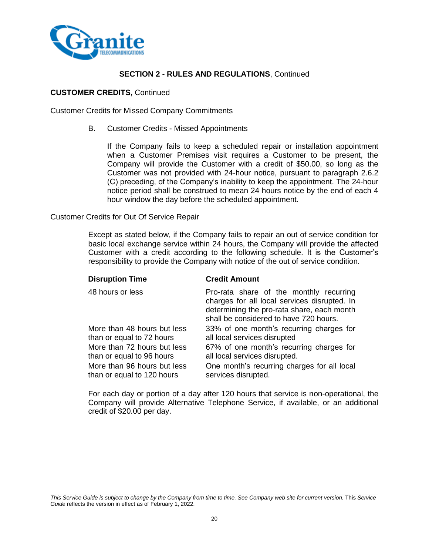

#### **CUSTOMER CREDITS,** Continued

Customer Credits for Missed Company Commitments

B. Customer Credits - Missed Appointments

If the Company fails to keep a scheduled repair or installation appointment when a Customer Premises visit requires a Customer to be present, the Company will provide the Customer with a credit of \$50.00, so long as the Customer was not provided with 24-hour notice, pursuant to paragraph 2.6.2 (C) preceding, of the Company's inability to keep the appointment. The 24-hour notice period shall be construed to mean 24 hours notice by the end of each 4 hour window the day before the scheduled appointment.

#### Customer Credits for Out Of Service Repair

Except as stated below, if the Company fails to repair an out of service condition for basic local exchange service within 24 hours, the Company will provide the affected Customer with a credit according to the following schedule. It is the Customer's responsibility to provide the Company with notice of the out of service condition.

| <b>Credit Amount</b>                                                                                                                                                            |
|---------------------------------------------------------------------------------------------------------------------------------------------------------------------------------|
| Pro-rata share of the monthly recurring<br>charges for all local services disrupted. In<br>determining the pro-rata share, each month<br>shall be considered to have 720 hours. |
| 33% of one month's recurring charges for<br>all local services disrupted                                                                                                        |
| 67% of one month's recurring charges for<br>all local services disrupted.                                                                                                       |
| One month's recurring charges for all local<br>services disrupted.                                                                                                              |
|                                                                                                                                                                                 |

For each day or portion of a day after 120 hours that service is non-operational, the Company will provide Alternative Telephone Service, if available, or an additional credit of \$20.00 per day.

*This Service Guide is subject to change by the Company from time to time. See Company web site for current version.* This *Service Guide* reflects the version in effect as of February 1, 2022.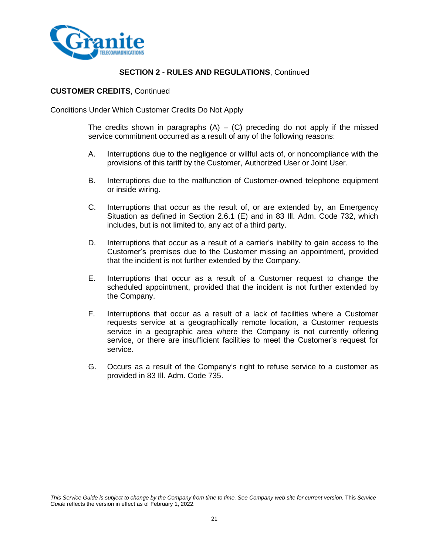

#### **CUSTOMER CREDITS**, Continued

Conditions Under Which Customer Credits Do Not Apply

The credits shown in paragraphs  $(A) - (C)$  preceding do not apply if the missed service commitment occurred as a result of any of the following reasons:

- A. Interruptions due to the negligence or willful acts of, or noncompliance with the provisions of this tariff by the Customer, Authorized User or Joint User.
- B. Interruptions due to the malfunction of Customer-owned telephone equipment or inside wiring.
- C. Interruptions that occur as the result of, or are extended by, an Emergency Situation as defined in Section 2.6.1 (E) and in 83 Ill. Adm. Code 732, which includes, but is not limited to, any act of a third party.
- D. Interruptions that occur as a result of a carrier's inability to gain access to the Customer's premises due to the Customer missing an appointment, provided that the incident is not further extended by the Company.
- E. Interruptions that occur as a result of a Customer request to change the scheduled appointment, provided that the incident is not further extended by the Company.
- F. Interruptions that occur as a result of a lack of facilities where a Customer requests service at a geographically remote location, a Customer requests service in a geographic area where the Company is not currently offering service, or there are insufficient facilities to meet the Customer's request for service.
- G. Occurs as a result of the Company's right to refuse service to a customer as provided in 83 Ill. Adm. Code 735.

*This Service Guide is subject to change by the Company from time to time. See Company web site for current version.* This *Service Guide* reflects the version in effect as of February 1, 2022.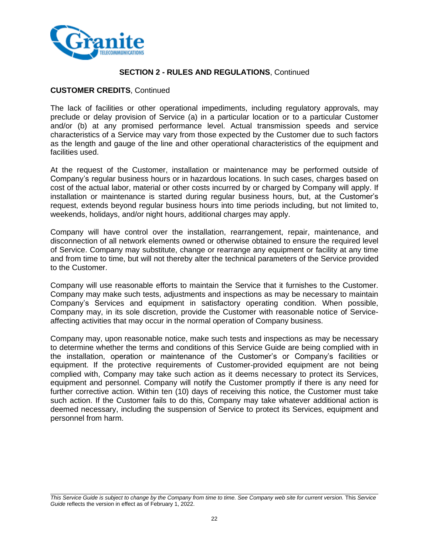

## **CUSTOMER CREDITS**, Continued

The lack of facilities or other operational impediments, including regulatory approvals, may preclude or delay provision of Service (a) in a particular location or to a particular Customer and/or (b) at any promised performance level. Actual transmission speeds and service characteristics of a Service may vary from those expected by the Customer due to such factors as the length and gauge of the line and other operational characteristics of the equipment and facilities used.

At the request of the Customer, installation or maintenance may be performed outside of Company's regular business hours or in hazardous locations. In such cases, charges based on cost of the actual labor, material or other costs incurred by or charged by Company will apply. If installation or maintenance is started during regular business hours, but, at the Customer's request, extends beyond regular business hours into time periods including, but not limited to, weekends, holidays, and/or night hours, additional charges may apply.

Company will have control over the installation, rearrangement, repair, maintenance, and disconnection of all network elements owned or otherwise obtained to ensure the required level of Service. Company may substitute, change or rearrange any equipment or facility at any time and from time to time, but will not thereby alter the technical parameters of the Service provided to the Customer.

Company will use reasonable efforts to maintain the Service that it furnishes to the Customer. Company may make such tests, adjustments and inspections as may be necessary to maintain Company's Services and equipment in satisfactory operating condition. When possible, Company may, in its sole discretion, provide the Customer with reasonable notice of Serviceaffecting activities that may occur in the normal operation of Company business.

Company may, upon reasonable notice, make such tests and inspections as may be necessary to determine whether the terms and conditions of this Service Guide are being complied with in the installation, operation or maintenance of the Customer's or Company's facilities or equipment. If the protective requirements of Customer-provided equipment are not being complied with, Company may take such action as it deems necessary to protect its Services, equipment and personnel. Company will notify the Customer promptly if there is any need for further corrective action. Within ten (10) days of receiving this notice, the Customer must take such action. If the Customer fails to do this, Company may take whatever additional action is deemed necessary, including the suspension of Service to protect its Services, equipment and personnel from harm.

*This Service Guide is subject to change by the Company from time to time. See Company web site for current version.* This *Service Guide* reflects the version in effect as of February 1, 2022.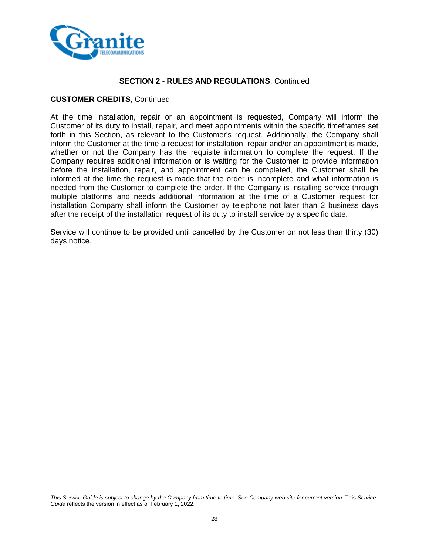

#### **CUSTOMER CREDITS**, Continued

At the time installation, repair or an appointment is requested, Company will inform the Customer of its duty to install, repair, and meet appointments within the specific timeframes set forth in this Section, as relevant to the Customer's request. Additionally, the Company shall inform the Customer at the time a request for installation, repair and/or an appointment is made, whether or not the Company has the requisite information to complete the request. If the Company requires additional information or is waiting for the Customer to provide information before the installation, repair, and appointment can be completed, the Customer shall be informed at the time the request is made that the order is incomplete and what information is needed from the Customer to complete the order. If the Company is installing service through multiple platforms and needs additional information at the time of a Customer request for installation Company shall inform the Customer by telephone not later than 2 business days after the receipt of the installation request of its duty to install service by a specific date.

Service will continue to be provided until cancelled by the Customer on not less than thirty (30) days notice.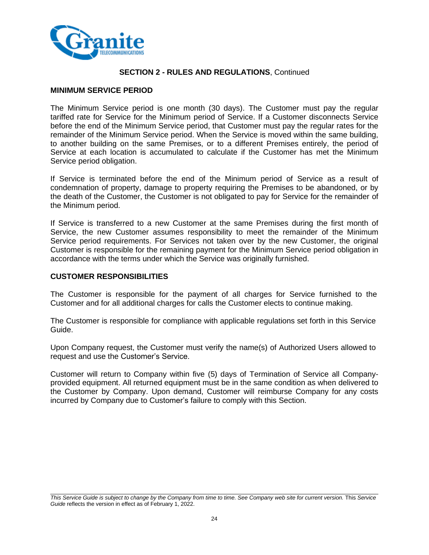

#### **MINIMUM SERVICE PERIOD**

The Minimum Service period is one month (30 days). The Customer must pay the regular tariffed rate for Service for the Minimum period of Service. If a Customer disconnects Service before the end of the Minimum Service period, that Customer must pay the regular rates for the remainder of the Minimum Service period. When the Service is moved within the same building, to another building on the same Premises, or to a different Premises entirely, the period of Service at each location is accumulated to calculate if the Customer has met the Minimum Service period obligation.

If Service is terminated before the end of the Minimum period of Service as a result of condemnation of property, damage to property requiring the Premises to be abandoned, or by the death of the Customer, the Customer is not obligated to pay for Service for the remainder of the Minimum period.

If Service is transferred to a new Customer at the same Premises during the first month of Service, the new Customer assumes responsibility to meet the remainder of the Minimum Service period requirements. For Services not taken over by the new Customer, the original Customer is responsible for the remaining payment for the Minimum Service period obligation in accordance with the terms under which the Service was originally furnished.

#### **CUSTOMER RESPONSIBILITIES**

The Customer is responsible for the payment of all charges for Service furnished to the Customer and for all additional charges for calls the Customer elects to continue making.

The Customer is responsible for compliance with applicable regulations set forth in this Service Guide.

Upon Company request, the Customer must verify the name(s) of Authorized Users allowed to request and use the Customer's Service.

Customer will return to Company within five (5) days of Termination of Service all Companyprovided equipment. All returned equipment must be in the same condition as when delivered to the Customer by Company. Upon demand, Customer will reimburse Company for any costs incurred by Company due to Customer's failure to comply with this Section.

*This Service Guide is subject to change by the Company from time to time. See Company web site for current version.* This *Service Guide* reflects the version in effect as of February 1, 2022.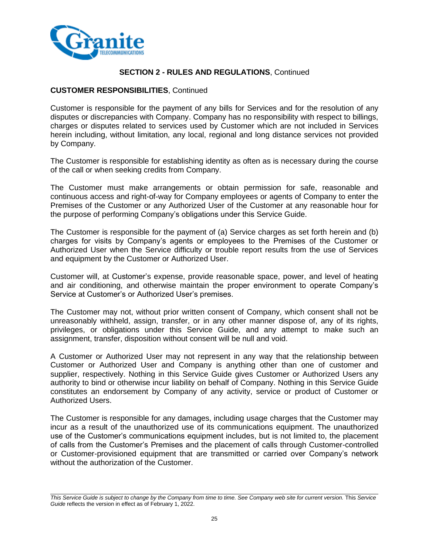

## **CUSTOMER RESPONSIBILITIES**, Continued

Customer is responsible for the payment of any bills for Services and for the resolution of any disputes or discrepancies with Company. Company has no responsibility with respect to billings, charges or disputes related to services used by Customer which are not included in Services herein including, without limitation, any local, regional and long distance services not provided by Company.

The Customer is responsible for establishing identity as often as is necessary during the course of the call or when seeking credits from Company.

The Customer must make arrangements or obtain permission for safe, reasonable and continuous access and right-of-way for Company employees or agents of Company to enter the Premises of the Customer or any Authorized User of the Customer at any reasonable hour for the purpose of performing Company's obligations under this Service Guide.

The Customer is responsible for the payment of (a) Service charges as set forth herein and (b) charges for visits by Company's agents or employees to the Premises of the Customer or Authorized User when the Service difficulty or trouble report results from the use of Services and equipment by the Customer or Authorized User.

Customer will, at Customer's expense, provide reasonable space, power, and level of heating and air conditioning, and otherwise maintain the proper environment to operate Company's Service at Customer's or Authorized User's premises.

The Customer may not, without prior written consent of Company, which consent shall not be unreasonably withheld, assign, transfer, or in any other manner dispose of, any of its rights, privileges, or obligations under this Service Guide, and any attempt to make such an assignment, transfer, disposition without consent will be null and void.

A Customer or Authorized User may not represent in any way that the relationship between Customer or Authorized User and Company is anything other than one of customer and supplier, respectively. Nothing in this Service Guide gives Customer or Authorized Users any authority to bind or otherwise incur liability on behalf of Company. Nothing in this Service Guide constitutes an endorsement by Company of any activity, service or product of Customer or Authorized Users.

The Customer is responsible for any damages, including usage charges that the Customer may incur as a result of the unauthorized use of its communications equipment. The unauthorized use of the Customer's communications equipment includes, but is not limited to, the placement of calls from the Customer's Premises and the placement of calls through Customer-controlled or Customer-provisioned equipment that are transmitted or carried over Company's network without the authorization of the Customer.

*This Service Guide is subject to change by the Company from time to time. See Company web site for current version.* This *Service Guide* reflects the version in effect as of February 1, 2022.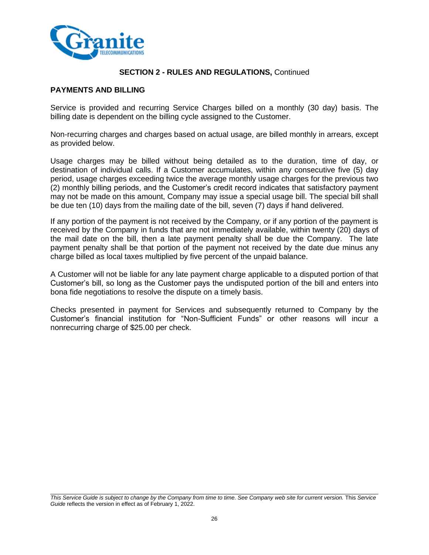

## **PAYMENTS AND BILLING**

Service is provided and recurring Service Charges billed on a monthly (30 day) basis. The billing date is dependent on the billing cycle assigned to the Customer.

Non-recurring charges and charges based on actual usage, are billed monthly in arrears, except as provided below.

Usage charges may be billed without being detailed as to the duration, time of day, or destination of individual calls. If a Customer accumulates, within any consecutive five (5) day period, usage charges exceeding twice the average monthly usage charges for the previous two (2) monthly billing periods, and the Customer's credit record indicates that satisfactory payment may not be made on this amount, Company may issue a special usage bill. The special bill shall be due ten (10) days from the mailing date of the bill, seven (7) days if hand delivered.

If any portion of the payment is not received by the Company, or if any portion of the payment is received by the Company in funds that are not immediately available, within twenty (20) days of the mail date on the bill, then a late payment penalty shall be due the Company. The late payment penalty shall be that portion of the payment not received by the date due minus any charge billed as local taxes multiplied by five percent of the unpaid balance.

A Customer will not be liable for any late payment charge applicable to a disputed portion of that Customer's bill, so long as the Customer pays the undisputed portion of the bill and enters into bona fide negotiations to resolve the dispute on a timely basis.

Checks presented in payment for Services and subsequently returned to Company by the Customer's financial institution for "Non-Sufficient Funds" or other reasons will incur a nonrecurring charge of \$25.00 per check.

*This Service Guide is subject to change by the Company from time to time. See Company web site for current version.* This *Service Guide* reflects the version in effect as of February 1, 2022.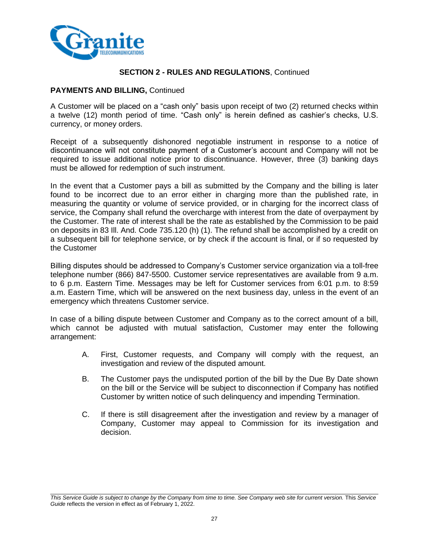

## **PAYMENTS AND BILLING,** Continued

A Customer will be placed on a "cash only" basis upon receipt of two (2) returned checks within a twelve (12) month period of time. "Cash only" is herein defined as cashier's checks, U.S. currency, or money orders.

Receipt of a subsequently dishonored negotiable instrument in response to a notice of discontinuance will not constitute payment of a Customer's account and Company will not be required to issue additional notice prior to discontinuance. However, three (3) banking days must be allowed for redemption of such instrument.

In the event that a Customer pays a bill as submitted by the Company and the billing is later found to be incorrect due to an error either in charging more than the published rate, in measuring the quantity or volume of service provided, or in charging for the incorrect class of service, the Company shall refund the overcharge with interest from the date of overpayment by the Customer. The rate of interest shall be the rate as established by the Commission to be paid on deposits in 83 Ill. And. Code 735.120 (h) (1). The refund shall be accomplished by a credit on a subsequent bill for telephone service, or by check if the account is final, or if so requested by the Customer

Billing disputes should be addressed to Company's Customer service organization via a toll-free telephone number (866) 847-5500. Customer service representatives are available from 9 a.m. to 6 p.m. Eastern Time. Messages may be left for Customer services from 6:01 p.m. to 8:59 a.m. Eastern Time, which will be answered on the next business day, unless in the event of an emergency which threatens Customer service.

In case of a billing dispute between Customer and Company as to the correct amount of a bill, which cannot be adjusted with mutual satisfaction, Customer may enter the following arrangement:

- A. First, Customer requests, and Company will comply with the request, an investigation and review of the disputed amount.
- B. The Customer pays the undisputed portion of the bill by the Due By Date shown on the bill or the Service will be subject to disconnection if Company has notified Customer by written notice of such delinquency and impending Termination.
- C. If there is still disagreement after the investigation and review by a manager of Company, Customer may appeal to Commission for its investigation and decision.

*This Service Guide is subject to change by the Company from time to time. See Company web site for current version.* This *Service Guide* reflects the version in effect as of February 1, 2022.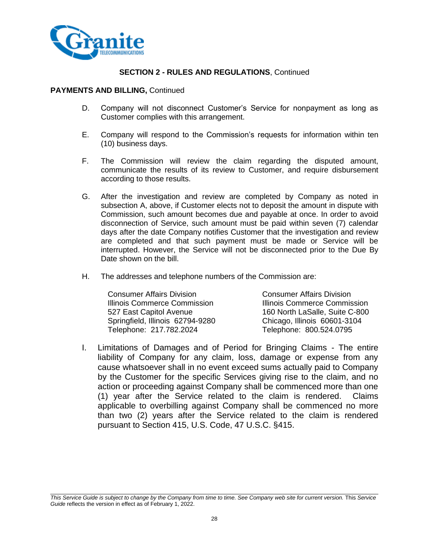

#### **PAYMENTS AND BILLING,** Continued

- D. Company will not disconnect Customer's Service for nonpayment as long as Customer complies with this arrangement.
- E. Company will respond to the Commission's requests for information within ten (10) business days.
- F. The Commission will review the claim regarding the disputed amount, communicate the results of its review to Customer, and require disbursement according to those results.
- G. After the investigation and review are completed by Company as noted in subsection A, above, if Customer elects not to deposit the amount in dispute with Commission, such amount becomes due and payable at once. In order to avoid disconnection of Service, such amount must be paid within seven (7) calendar days after the date Company notifies Customer that the investigation and review are completed and that such payment must be made or Service will be interrupted. However, the Service will not be disconnected prior to the Due By Date shown on the bill.
- H. The addresses and telephone numbers of the Commission are:

| <b>Consumer Affairs Division</b> |  |
|----------------------------------|--|
| Illinois Commerce Commission     |  |
| 527 East Capitol Avenue          |  |
| Springfield, Illinois 62794-9280 |  |
| Telephone: 217.782.2024          |  |

Consumer Affairs Division **Illinois Commerce Commission** 160 North LaSalle, Suite C-800 Chicago, Illinois 60601-3104 Telephone: 800.524.0795

I. Limitations of Damages and of Period for Bringing Claims - The entire liability of Company for any claim, loss, damage or expense from any cause whatsoever shall in no event exceed sums actually paid to Company by the Customer for the specific Services giving rise to the claim, and no action or proceeding against Company shall be commenced more than one (1) year after the Service related to the claim is rendered. Claims applicable to overbilling against Company shall be commenced no more than two (2) years after the Service related to the claim is rendered pursuant to Section 415, U.S. Code, 47 U.S.C. §415.

*This Service Guide is subject to change by the Company from time to time. See Company web site for current version.* This *Service Guide* reflects the version in effect as of February 1, 2022.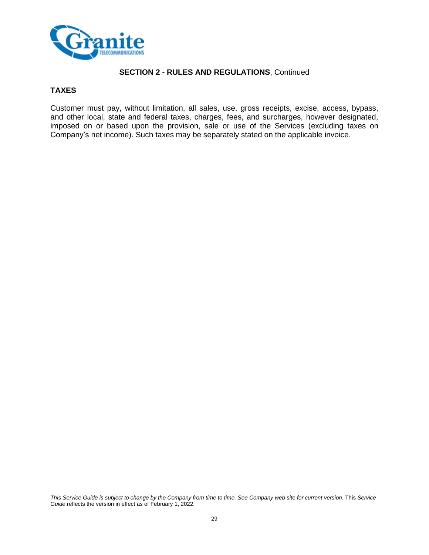

# **TAXES**

Customer must pay, without limitation, all sales, use, gross receipts, excise, access, bypass, and other local, state and federal taxes, charges, fees, and surcharges, however designated, imposed on or based upon the provision, sale or use of the Services (excluding taxes on Company's net income). Such taxes may be separately stated on the applicable invoice.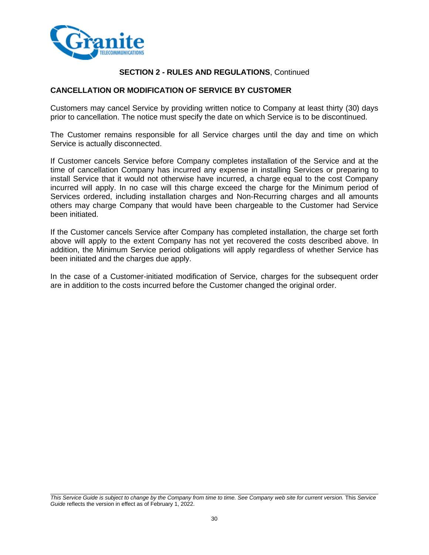

# **CANCELLATION OR MODIFICATION OF SERVICE BY CUSTOMER**

Customers may cancel Service by providing written notice to Company at least thirty (30) days prior to cancellation. The notice must specify the date on which Service is to be discontinued.

The Customer remains responsible for all Service charges until the day and time on which Service is actually disconnected.

If Customer cancels Service before Company completes installation of the Service and at the time of cancellation Company has incurred any expense in installing Services or preparing to install Service that it would not otherwise have incurred, a charge equal to the cost Company incurred will apply. In no case will this charge exceed the charge for the Minimum period of Services ordered, including installation charges and Non-Recurring charges and all amounts others may charge Company that would have been chargeable to the Customer had Service been initiated.

If the Customer cancels Service after Company has completed installation, the charge set forth above will apply to the extent Company has not yet recovered the costs described above. In addition, the Minimum Service period obligations will apply regardless of whether Service has been initiated and the charges due apply.

In the case of a Customer-initiated modification of Service, charges for the subsequent order are in addition to the costs incurred before the Customer changed the original order.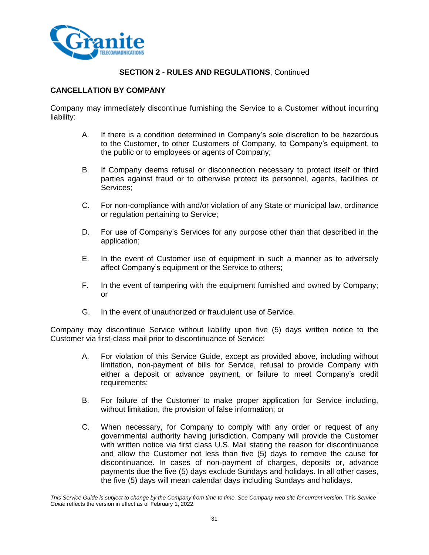

# **CANCELLATION BY COMPANY**

Company may immediately discontinue furnishing the Service to a Customer without incurring liability:

- A. If there is a condition determined in Company's sole discretion to be hazardous to the Customer, to other Customers of Company, to Company's equipment, to the public or to employees or agents of Company;
- B. If Company deems refusal or disconnection necessary to protect itself or third parties against fraud or to otherwise protect its personnel, agents, facilities or Services;
- C. For non-compliance with and/or violation of any State or municipal law, ordinance or regulation pertaining to Service;
- D. For use of Company's Services for any purpose other than that described in the application;
- E. In the event of Customer use of equipment in such a manner as to adversely affect Company's equipment or the Service to others;
- F. In the event of tampering with the equipment furnished and owned by Company; or
- G. In the event of unauthorized or fraudulent use of Service.

Company may discontinue Service without liability upon five (5) days written notice to the Customer via first-class mail prior to discontinuance of Service:

- A. For violation of this Service Guide, except as provided above, including without limitation, non-payment of bills for Service, refusal to provide Company with either a deposit or advance payment, or failure to meet Company's credit requirements;
- B. For failure of the Customer to make proper application for Service including, without limitation, the provision of false information; or
- C. When necessary, for Company to comply with any order or request of any governmental authority having jurisdiction. Company will provide the Customer with written notice via first class U.S. Mail stating the reason for discontinuance and allow the Customer not less than five (5) days to remove the cause for discontinuance. In cases of non-payment of charges, deposits or, advance payments due the five (5) days exclude Sundays and holidays. In all other cases, the five (5) days will mean calendar days including Sundays and holidays.

*This Service Guide is subject to change by the Company from time to time. See Company web site for current version.* This *Service Guide* reflects the version in effect as of February 1, 2022.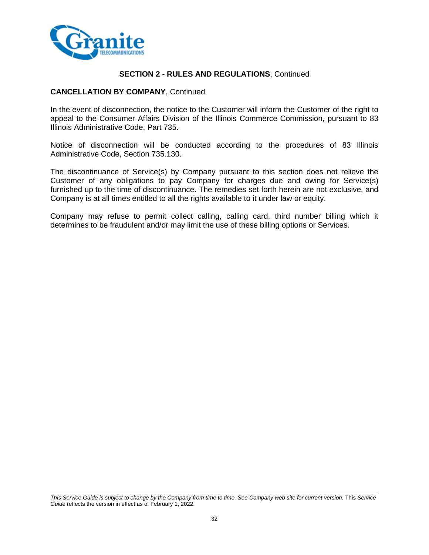

#### **CANCELLATION BY COMPANY**, Continued

In the event of disconnection, the notice to the Customer will inform the Customer of the right to appeal to the Consumer Affairs Division of the Illinois Commerce Commission, pursuant to 83 Illinois Administrative Code, Part 735.

Notice of disconnection will be conducted according to the procedures of 83 Illinois Administrative Code, Section 735.130.

The discontinuance of Service(s) by Company pursuant to this section does not relieve the Customer of any obligations to pay Company for charges due and owing for Service(s) furnished up to the time of discontinuance. The remedies set forth herein are not exclusive, and Company is at all times entitled to all the rights available to it under law or equity.

Company may refuse to permit collect calling, calling card, third number billing which it determines to be fraudulent and/or may limit the use of these billing options or Services.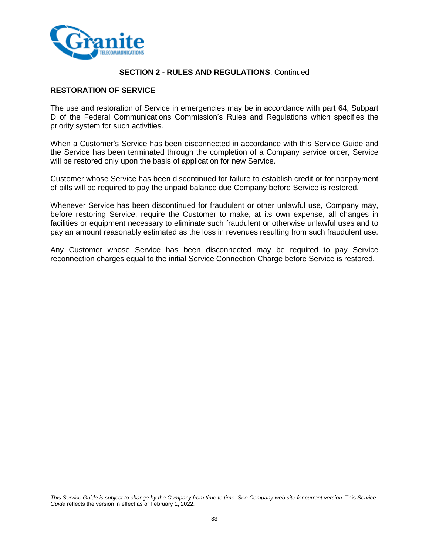

# **RESTORATION OF SERVICE**

The use and restoration of Service in emergencies may be in accordance with part 64, Subpart D of the Federal Communications Commission's Rules and Regulations which specifies the priority system for such activities.

When a Customer's Service has been disconnected in accordance with this Service Guide and the Service has been terminated through the completion of a Company service order, Service will be restored only upon the basis of application for new Service.

Customer whose Service has been discontinued for failure to establish credit or for nonpayment of bills will be required to pay the unpaid balance due Company before Service is restored.

Whenever Service has been discontinued for fraudulent or other unlawful use, Company may, before restoring Service, require the Customer to make, at its own expense, all changes in facilities or equipment necessary to eliminate such fraudulent or otherwise unlawful uses and to pay an amount reasonably estimated as the loss in revenues resulting from such fraudulent use.

Any Customer whose Service has been disconnected may be required to pay Service reconnection charges equal to the initial Service Connection Charge before Service is restored.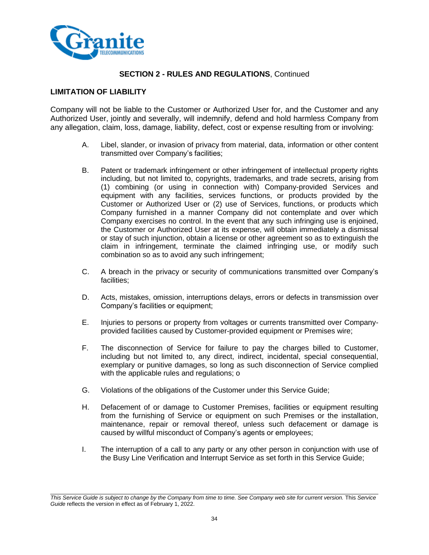

## **LIMITATION OF LIABILITY**

Company will not be liable to the Customer or Authorized User for, and the Customer and any Authorized User, jointly and severally, will indemnify, defend and hold harmless Company from any allegation, claim, loss, damage, liability, defect, cost or expense resulting from or involving:

- A. Libel, slander, or invasion of privacy from material, data, information or other content transmitted over Company's facilities;
- B. Patent or trademark infringement or other infringement of intellectual property rights including, but not limited to, copyrights, trademarks, and trade secrets, arising from (1) combining (or using in connection with) Company-provided Services and equipment with any facilities, services functions, or products provided by the Customer or Authorized User or (2) use of Services, functions, or products which Company furnished in a manner Company did not contemplate and over which Company exercises no control. In the event that any such infringing use is enjoined, the Customer or Authorized User at its expense, will obtain immediately a dismissal or stay of such injunction, obtain a license or other agreement so as to extinguish the claim in infringement, terminate the claimed infringing use, or modify such combination so as to avoid any such infringement;
- C. A breach in the privacy or security of communications transmitted over Company's facilities;
- D. Acts, mistakes, omission, interruptions delays, errors or defects in transmission over Company's facilities or equipment;
- E. Injuries to persons or property from voltages or currents transmitted over Companyprovided facilities caused by Customer-provided equipment or Premises wire;
- F. The disconnection of Service for failure to pay the charges billed to Customer, including but not limited to, any direct, indirect, incidental, special consequential, exemplary or punitive damages, so long as such disconnection of Service complied with the applicable rules and regulations; o
- G. Violations of the obligations of the Customer under this Service Guide;
- H. Defacement of or damage to Customer Premises, facilities or equipment resulting from the furnishing of Service or equipment on such Premises or the installation, maintenance, repair or removal thereof, unless such defacement or damage is caused by willful misconduct of Company's agents or employees;
- I. The interruption of a call to any party or any other person in conjunction with use of the Busy Line Verification and Interrupt Service as set forth in this Service Guide;

*This Service Guide is subject to change by the Company from time to time. See Company web site for current version.* This *Service Guide* reflects the version in effect as of February 1, 2022.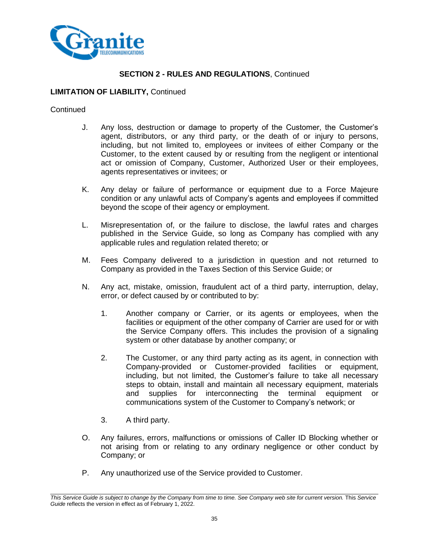

#### **LIMITATION OF LIABILITY,** Continued

#### **Continued**

- J. Any loss, destruction or damage to property of the Customer, the Customer's agent, distributors, or any third party, or the death of or injury to persons, including, but not limited to, employees or invitees of either Company or the Customer, to the extent caused by or resulting from the negligent or intentional act or omission of Company, Customer, Authorized User or their employees, agents representatives or invitees; or
- K. Any delay or failure of performance or equipment due to a Force Majeure condition or any unlawful acts of Company's agents and employees if committed beyond the scope of their agency or employment.
- L. Misrepresentation of, or the failure to disclose, the lawful rates and charges published in the Service Guide, so long as Company has complied with any applicable rules and regulation related thereto; or
- M. Fees Company delivered to a jurisdiction in question and not returned to Company as provided in the Taxes Section of this Service Guide; or
- N. Any act, mistake, omission, fraudulent act of a third party, interruption, delay, error, or defect caused by or contributed to by:
	- 1. Another company or Carrier, or its agents or employees, when the facilities or equipment of the other company of Carrier are used for or with the Service Company offers. This includes the provision of a signaling system or other database by another company; or
	- 2. The Customer, or any third party acting as its agent, in connection with Company-provided or Customer-provided facilities or equipment, including, but not limited, the Customer's failure to take all necessary steps to obtain, install and maintain all necessary equipment, materials and supplies for interconnecting the terminal equipment or communications system of the Customer to Company's network; or
	- 3. A third party.
- O. Any failures, errors, malfunctions or omissions of Caller ID Blocking whether or not arising from or relating to any ordinary negligence or other conduct by Company; or
- P. Any unauthorized use of the Service provided to Customer.

*This Service Guide is subject to change by the Company from time to time. See Company web site for current version.* This *Service Guide* reflects the version in effect as of February 1, 2022.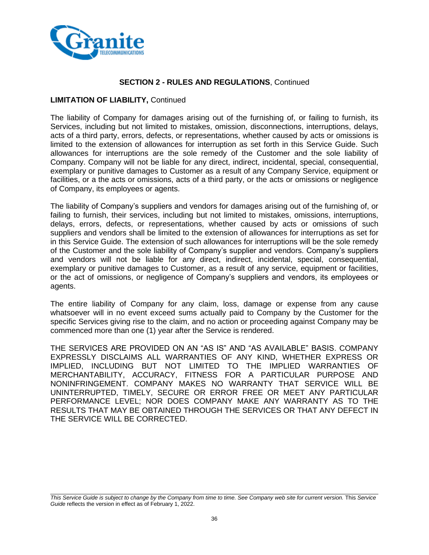

#### **LIMITATION OF LIABILITY,** Continued

The liability of Company for damages arising out of the furnishing of, or failing to furnish, its Services, including but not limited to mistakes, omission, disconnections, interruptions, delays, acts of a third party, errors, defects, or representations, whether caused by acts or omissions is limited to the extension of allowances for interruption as set forth in this Service Guide. Such allowances for interruptions are the sole remedy of the Customer and the sole liability of Company. Company will not be liable for any direct, indirect, incidental, special, consequential, exemplary or punitive damages to Customer as a result of any Company Service, equipment or facilities, or a the acts or omissions, acts of a third party, or the acts or omissions or negligence of Company, its employees or agents.

The liability of Company's suppliers and vendors for damages arising out of the furnishing of, or failing to furnish, their services, including but not limited to mistakes, omissions, interruptions, delays, errors, defects, or representations, whether caused by acts or omissions of such suppliers and vendors shall be limited to the extension of allowances for interruptions as set for in this Service Guide. The extension of such allowances for interruptions will be the sole remedy of the Customer and the sole liability of Company's supplier and vendors. Company's suppliers and vendors will not be liable for any direct, indirect, incidental, special, consequential, exemplary or punitive damages to Customer, as a result of any service, equipment or facilities, or the act of omissions, or negligence of Company's suppliers and vendors, its employees or agents.

The entire liability of Company for any claim, loss, damage or expense from any cause whatsoever will in no event exceed sums actually paid to Company by the Customer for the specific Services giving rise to the claim, and no action or proceeding against Company may be commenced more than one (1) year after the Service is rendered.

THE SERVICES ARE PROVIDED ON AN "AS IS" AND "AS AVAILABLE" BASIS. COMPANY EXPRESSLY DISCLAIMS ALL WARRANTIES OF ANY KIND, WHETHER EXPRESS OR IMPLIED, INCLUDING BUT NOT LIMITED TO THE IMPLIED WARRANTIES OF MERCHANTABILITY, ACCURACY, FITNESS FOR A PARTICULAR PURPOSE AND NONINFRINGEMENT. COMPANY MAKES NO WARRANTY THAT SERVICE WILL BE UNINTERRUPTED, TIMELY, SECURE OR ERROR FREE OR MEET ANY PARTICULAR PERFORMANCE LEVEL; NOR DOES COMPANY MAKE ANY WARRANTY AS TO THE RESULTS THAT MAY BE OBTAINED THROUGH THE SERVICES OR THAT ANY DEFECT IN THE SERVICE WILL BE CORRECTED.

*This Service Guide is subject to change by the Company from time to time. See Company web site for current version.* This *Service Guide* reflects the version in effect as of February 1, 2022.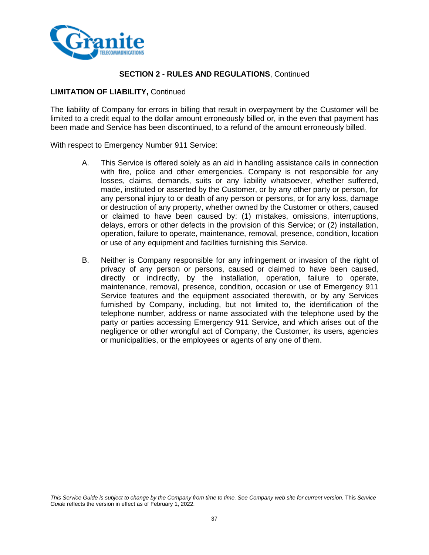

#### **LIMITATION OF LIABILITY,** Continued

The liability of Company for errors in billing that result in overpayment by the Customer will be limited to a credit equal to the dollar amount erroneously billed or, in the even that payment has been made and Service has been discontinued, to a refund of the amount erroneously billed.

With respect to Emergency Number 911 Service:

- A. This Service is offered solely as an aid in handling assistance calls in connection with fire, police and other emergencies. Company is not responsible for any losses, claims, demands, suits or any liability whatsoever, whether suffered, made, instituted or asserted by the Customer, or by any other party or person, for any personal injury to or death of any person or persons, or for any loss, damage or destruction of any property, whether owned by the Customer or others, caused or claimed to have been caused by: (1) mistakes, omissions, interruptions, delays, errors or other defects in the provision of this Service; or (2) installation, operation, failure to operate, maintenance, removal, presence, condition, location or use of any equipment and facilities furnishing this Service.
- B. Neither is Company responsible for any infringement or invasion of the right of privacy of any person or persons, caused or claimed to have been caused, directly or indirectly, by the installation, operation, failure to operate, maintenance, removal, presence, condition, occasion or use of Emergency 911 Service features and the equipment associated therewith, or by any Services furnished by Company, including, but not limited to, the identification of the telephone number, address or name associated with the telephone used by the party or parties accessing Emergency 911 Service, and which arises out of the negligence or other wrongful act of Company, the Customer, its users, agencies or municipalities, or the employees or agents of any one of them.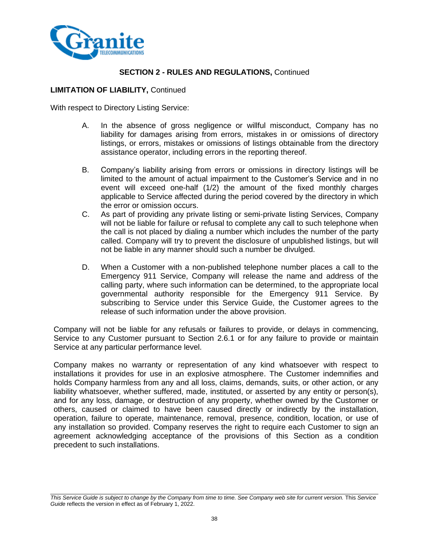

# **LIMITATION OF LIABILITY,** Continued

With respect to Directory Listing Service:

- A. In the absence of gross negligence or willful misconduct, Company has no liability for damages arising from errors, mistakes in or omissions of directory listings, or errors, mistakes or omissions of listings obtainable from the directory assistance operator, including errors in the reporting thereof.
- B. Company's liability arising from errors or omissions in directory listings will be limited to the amount of actual impairment to the Customer's Service and in no event will exceed one-half (1/2) the amount of the fixed monthly charges applicable to Service affected during the period covered by the directory in which the error or omission occurs.
- C. As part of providing any private listing or semi-private listing Services, Company will not be liable for failure or refusal to complete any call to such telephone when the call is not placed by dialing a number which includes the number of the party called. Company will try to prevent the disclosure of unpublished listings, but will not be liable in any manner should such a number be divulged.
- D. When a Customer with a non-published telephone number places a call to the Emergency 911 Service, Company will release the name and address of the calling party, where such information can be determined, to the appropriate local governmental authority responsible for the Emergency 911 Service. By subscribing to Service under this Service Guide, the Customer agrees to the release of such information under the above provision.

Company will not be liable for any refusals or failures to provide, or delays in commencing, Service to any Customer pursuant to Section 2.6.1 or for any failure to provide or maintain Service at any particular performance level.

Company makes no warranty or representation of any kind whatsoever with respect to installations it provides for use in an explosive atmosphere. The Customer indemnifies and holds Company harmless from any and all loss, claims, demands, suits, or other action, or any liability whatsoever, whether suffered, made, instituted, or asserted by any entity or person(s), and for any loss, damage, or destruction of any property, whether owned by the Customer or others, caused or claimed to have been caused directly or indirectly by the installation, operation, failure to operate, maintenance, removal, presence, condition, location, or use of any installation so provided. Company reserves the right to require each Customer to sign an agreement acknowledging acceptance of the provisions of this Section as a condition precedent to such installations.

*This Service Guide is subject to change by the Company from time to time. See Company web site for current version.* This *Service Guide* reflects the version in effect as of February 1, 2022.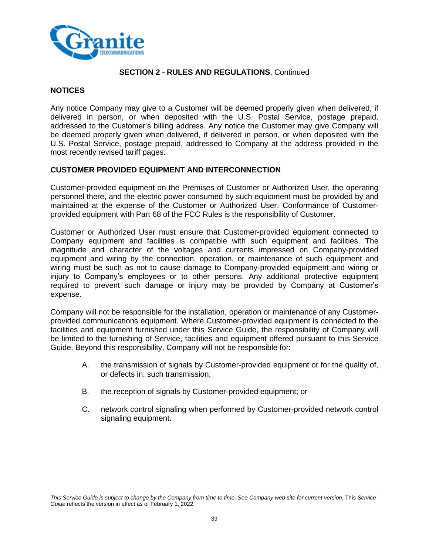

## **NOTICES**

Any notice Company may give to a Customer will be deemed properly given when delivered, if delivered in person, or when deposited with the U.S. Postal Service, postage prepaid, addressed to the Customer's billing address. Any notice the Customer may give Company will be deemed properly given when delivered, if delivered in person, or when deposited with the U.S. Postal Service, postage prepaid, addressed to Company at the address provided in the most recently revised tariff pages.

## **CUSTOMER PROVIDED EQUIPMENT AND INTERCONNECTION**

Customer-provided equipment on the Premises of Customer or Authorized User, the operating personnel there, and the electric power consumed by such equipment must be provided by and maintained at the expense of the Customer or Authorized User. Conformance of Customerprovided equipment with Part 68 of the FCC Rules is the responsibility of Customer.

Customer or Authorized User must ensure that Customer-provided equipment connected to Company equipment and facilities is compatible with such equipment and facilities. The magnitude and character of the voltages and currents impressed on Company-provided equipment and wiring by the connection, operation, or maintenance of such equipment and wiring must be such as not to cause damage to Company-provided equipment and wiring or injury to Company's employees or to other persons. Any additional protective equipment required to prevent such damage or injury may be provided by Company at Customer's expense.

Company will not be responsible for the installation, operation or maintenance of any Customerprovided communications equipment. Where Customer-provided equipment is connected to the facilities and equipment furnished under this Service Guide, the responsibility of Company will be limited to the furnishing of Service, facilities and equipment offered pursuant to this Service Guide. Beyond this responsibility, Company will not be responsible for:

- A. the transmission of signals by Customer-provided equipment or for the quality of, or defects in, such transmission;
- B. the reception of signals by Customer-provided equipment; or
- C. network control signaling when performed by Customer-provided network control signaling equipment.

*This Service Guide is subject to change by the Company from time to time. See Company web site for current version.* This *Service Guide* reflects the version in effect as of February 1, 2022.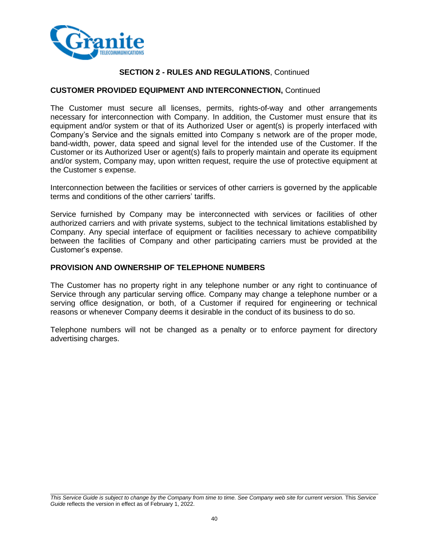

# **CUSTOMER PROVIDED EQUIPMENT AND INTERCONNECTION,** Continued

The Customer must secure all licenses, permits, rights-of-way and other arrangements necessary for interconnection with Company. In addition, the Customer must ensure that its equipment and/or system or that of its Authorized User or agent(s) is properly interfaced with Company's Service and the signals emitted into Company s network are of the proper mode, band-width, power, data speed and signal level for the intended use of the Customer. If the Customer or its Authorized User or agent(s) fails to properly maintain and operate its equipment and/or system, Company may, upon written request, require the use of protective equipment at the Customer s expense.

Interconnection between the facilities or services of other carriers is governed by the applicable terms and conditions of the other carriers' tariffs.

Service furnished by Company may be interconnected with services or facilities of other authorized carriers and with private systems, subject to the technical limitations established by Company. Any special interface of equipment or facilities necessary to achieve compatibility between the facilities of Company and other participating carriers must be provided at the Customer's expense.

## **PROVISION AND OWNERSHIP OF TELEPHONE NUMBERS**

The Customer has no property right in any telephone number or any right to continuance of Service through any particular serving office. Company may change a telephone number or a serving office designation, or both, of a Customer if required for engineering or technical reasons or whenever Company deems it desirable in the conduct of its business to do so.

Telephone numbers will not be changed as a penalty or to enforce payment for directory advertising charges.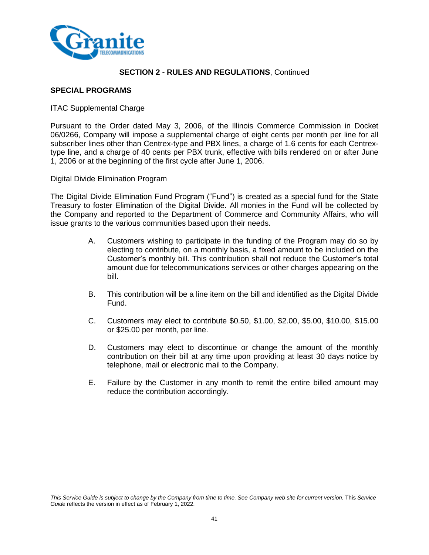

#### **SPECIAL PROGRAMS**

#### ITAC Supplemental Charge

Pursuant to the Order dated May 3, 2006, of the Illinois Commerce Commission in Docket 06/0266, Company will impose a supplemental charge of eight cents per month per line for all subscriber lines other than Centrex-type and PBX lines, a charge of 1.6 cents for each Centrextype line, and a charge of 40 cents per PBX trunk, effective with bills rendered on or after June 1, 2006 or at the beginning of the first cycle after June 1, 2006.

Digital Divide Elimination Program

The Digital Divide Elimination Fund Program ("Fund") is created as a special fund for the State Treasury to foster Elimination of the Digital Divide. All monies in the Fund will be collected by the Company and reported to the Department of Commerce and Community Affairs, who will issue grants to the various communities based upon their needs.

- A. Customers wishing to participate in the funding of the Program may do so by electing to contribute, on a monthly basis, a fixed amount to be included on the Customer's monthly bill. This contribution shall not reduce the Customer's total amount due for telecommunications services or other charges appearing on the bill.
- B. This contribution will be a line item on the bill and identified as the Digital Divide Fund.
- C. Customers may elect to contribute \$0.50, \$1.00, \$2.00, \$5.00, \$10.00, \$15.00 or \$25.00 per month, per line.
- D. Customers may elect to discontinue or change the amount of the monthly contribution on their bill at any time upon providing at least 30 days notice by telephone, mail or electronic mail to the Company.
- E. Failure by the Customer in any month to remit the entire billed amount may reduce the contribution accordingly.

*This Service Guide is subject to change by the Company from time to time. See Company web site for current version.* This *Service Guide* reflects the version in effect as of February 1, 2022.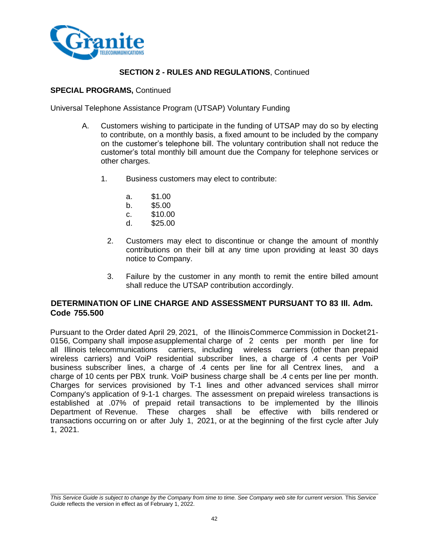

## **SPECIAL PROGRAMS,** Continued

Universal Telephone Assistance Program (UTSAP) Voluntary Funding

- A. Customers wishing to participate in the funding of UTSAP may do so by electing to contribute, on a monthly basis, a fixed amount to be included by the company on the customer's telephone bill. The voluntary contribution shall not reduce the customer's total monthly bill amount due the Company for telephone services or other charges.
	- 1. Business customers may elect to contribute:
		- a. \$1.00
		- b. \$5.00
		- c. \$10.00
		- d. \$25.00
		- 2. Customers may elect to discontinue or change the amount of monthly contributions on their bill at any time upon providing at least 30 days notice to Company.
		- 3. Failure by the customer in any month to remit the entire billed amount shall reduce the UTSAP contribution accordingly.

# **DETERMINATION OF LINE CHARGE AND ASSESSMENT PURSUANT TO 83 Ill. Adm. Code 755.500**

Pursuant to the Order dated April 29, 2021, of the IllinoisCommerce Commission in Docket21- 0156, Company shall impose a supplemental charge of 2 cents per month per line for all Illinois telecommunications carriers, including wireless carriers (other than prepaid wireless carriers) and VoiP residential subscriber lines, a charge of .4 cents per VoiP business subscriber lines, a charge of .4 cents per line for all Centrex lines, and a charge of 10 cents per PBX trunk. VoiP business charge shall be .4 c ents per line per month. Charges for services provisioned by T-1 lines and other advanced services shall mirror Company's application of 9-1-1 charges. The assessment on prepaid wireless transactions is established at .07% of prepaid retail transactions to be implemented by the Illinois Department of Revenue. These charges shall be effective with bills rendered or transactions occurring on or after July 1, 2021, or at the beginning of the first cycle after July 1, 2021.

*This Service Guide is subject to change by the Company from time to time. See Company web site for current version.* This *Service Guide* reflects the version in effect as of February 1, 2022.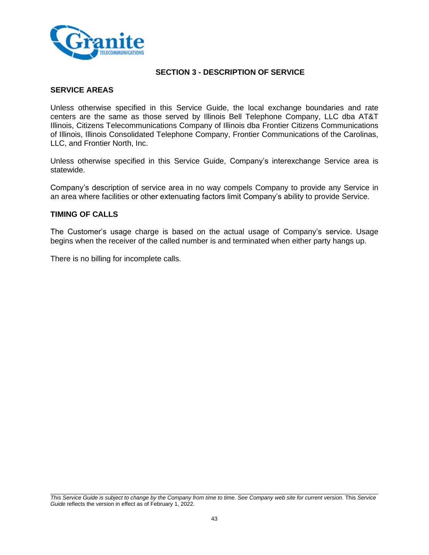

# **SECTION 3 - DESCRIPTION OF SERVICE**

#### **SERVICE AREAS**

Unless otherwise specified in this Service Guide, the local exchange boundaries and rate centers are the same as those served by Illinois Bell Telephone Company, LLC dba AT&T Illinois, Citizens Telecommunications Company of Illinois dba Frontier Citizens Communications of Illinois, Illinois Consolidated Telephone Company, Frontier Communications of the Carolinas, LLC, and Frontier North, Inc.

Unless otherwise specified in this Service Guide, Company's interexchange Service area is statewide.

Company's description of service area in no way compels Company to provide any Service in an area where facilities or other extenuating factors limit Company's ability to provide Service.

## **TIMING OF CALLS**

The Customer's usage charge is based on the actual usage of Company's service. Usage begins when the receiver of the called number is and terminated when either party hangs up.

There is no billing for incomplete calls.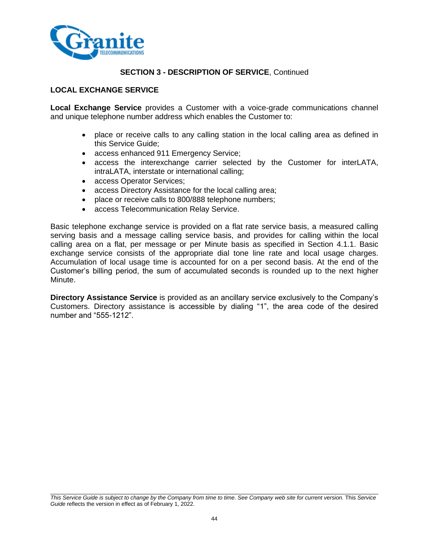

# **LOCAL EXCHANGE SERVICE**

**Local Exchange Service** provides a Customer with a voice-grade communications channel and unique telephone number address which enables the Customer to:

- place or receive calls to any calling station in the local calling area as defined in this Service Guide;
- access enhanced 911 Emergency Service;
- access the interexchange carrier selected by the Customer for interLATA, intraLATA, interstate or international calling;
- access Operator Services;
- access Directory Assistance for the local calling area;
- place or receive calls to 800/888 telephone numbers;
- access Telecommunication Relay Service.

Basic telephone exchange service is provided on a flat rate service basis, a measured calling serving basis and a message calling service basis, and provides for calling within the local calling area on a flat, per message or per Minute basis as specified in Section 4.1.1. Basic exchange service consists of the appropriate dial tone line rate and local usage charges. Accumulation of local usage time is accounted for on a per second basis. At the end of the Customer's billing period, the sum of accumulated seconds is rounded up to the next higher Minute.

**Directory Assistance Service** is provided as an ancillary service exclusively to the Company's Customers. Directory assistance is accessible by dialing "1", the area code of the desired number and "555-1212".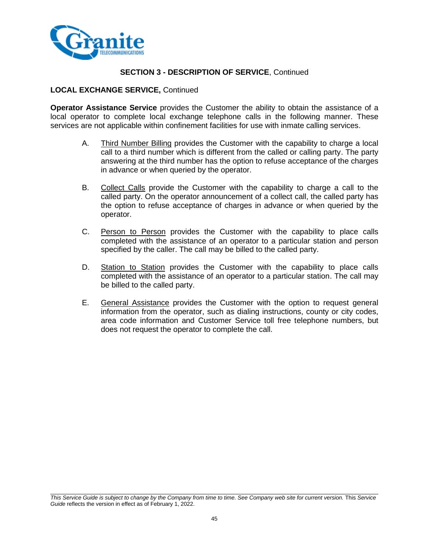

# **LOCAL EXCHANGE SERVICE,** Continued

**Operator Assistance Service** provides the Customer the ability to obtain the assistance of a local operator to complete local exchange telephone calls in the following manner. These services are not applicable within confinement facilities for use with inmate calling services.

- A. Third Number Billing provides the Customer with the capability to charge a local call to a third number which is different from the called or calling party. The party answering at the third number has the option to refuse acceptance of the charges in advance or when queried by the operator.
- B. Collect Calls provide the Customer with the capability to charge a call to the called party. On the operator announcement of a collect call, the called party has the option to refuse acceptance of charges in advance or when queried by the operator.
- C. Person to Person provides the Customer with the capability to place calls completed with the assistance of an operator to a particular station and person specified by the caller. The call may be billed to the called party.
- D. Station to Station provides the Customer with the capability to place calls completed with the assistance of an operator to a particular station. The call may be billed to the called party.
- E. General Assistance provides the Customer with the option to request general information from the operator, such as dialing instructions, county or city codes, area code information and Customer Service toll free telephone numbers, but does not request the operator to complete the call.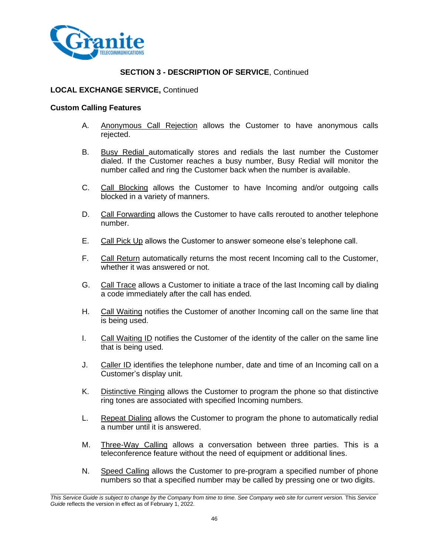

## **LOCAL EXCHANGE SERVICE,** Continued

#### **Custom Calling Features**

- A. Anonymous Call Rejection allows the Customer to have anonymous calls rejected.
- B. Busy Redial automatically stores and redials the last number the Customer dialed. If the Customer reaches a busy number, Busy Redial will monitor the number called and ring the Customer back when the number is available.
- C. Call Blocking allows the Customer to have Incoming and/or outgoing calls blocked in a variety of manners.
- D. Call Forwarding allows the Customer to have calls rerouted to another telephone number.
- E. Call Pick Up allows the Customer to answer someone else's telephone call.
- F. Call Return automatically returns the most recent Incoming call to the Customer, whether it was answered or not.
- G. Call Trace allows a Customer to initiate a trace of the last Incoming call by dialing a code immediately after the call has ended.
- H. Call Waiting notifies the Customer of another Incoming call on the same line that is being used.
- I. Call Waiting ID notifies the Customer of the identity of the caller on the same line that is being used.
- J. Caller ID identifies the telephone number, date and time of an Incoming call on a Customer's display unit.
- K. Distinctive Ringing allows the Customer to program the phone so that distinctive ring tones are associated with specified Incoming numbers.
- L. Repeat Dialing allows the Customer to program the phone to automatically redial a number until it is answered.
- M. Three-Way Calling allows a conversation between three parties. This is a teleconference feature without the need of equipment or additional lines.
- N. Speed Calling allows the Customer to pre-program a specified number of phone numbers so that a specified number may be called by pressing one or two digits.

*This Service Guide is subject to change by the Company from time to time. See Company web site for current version.* This *Service Guide* reflects the version in effect as of February 1, 2022.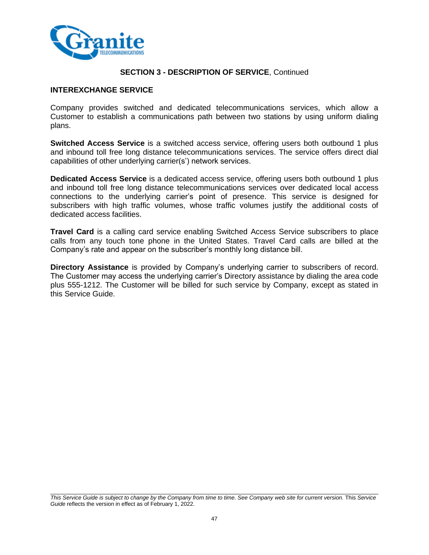

#### **INTEREXCHANGE SERVICE**

Company provides switched and dedicated telecommunications services, which allow a Customer to establish a communications path between two stations by using uniform dialing plans.

**Switched Access Service** is a switched access service, offering users both outbound 1 plus and inbound toll free long distance telecommunications services. The service offers direct dial capabilities of other underlying carrier(s') network services.

**Dedicated Access Service** is a dedicated access service, offering users both outbound 1 plus and inbound toll free long distance telecommunications services over dedicated local access connections to the underlying carrier's point of presence. This service is designed for subscribers with high traffic volumes, whose traffic volumes justify the additional costs of dedicated access facilities.

**Travel Card** is a calling card service enabling Switched Access Service subscribers to place calls from any touch tone phone in the United States. Travel Card calls are billed at the Company's rate and appear on the subscriber's monthly long distance bill.

**Directory Assistance** is provided by Company's underlying carrier to subscribers of record. The Customer may access the underlying carrier's Directory assistance by dialing the area code plus 555-1212. The Customer will be billed for such service by Company, except as stated in this Service Guide.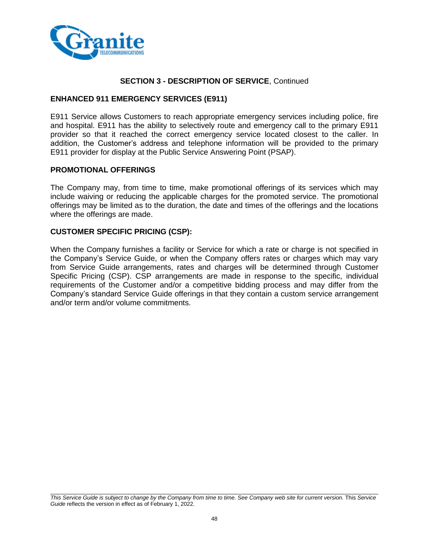

#### **ENHANCED 911 EMERGENCY SERVICES (E911)**

E911 Service allows Customers to reach appropriate emergency services including police, fire and hospital. E911 has the ability to selectively route and emergency call to the primary E911 provider so that it reached the correct emergency service located closest to the caller. In addition, the Customer's address and telephone information will be provided to the primary E911 provider for display at the Public Service Answering Point (PSAP).

#### **PROMOTIONAL OFFERINGS**

The Company may, from time to time, make promotional offerings of its services which may include waiving or reducing the applicable charges for the promoted service. The promotional offerings may be limited as to the duration, the date and times of the offerings and the locations where the offerings are made.

## **CUSTOMER SPECIFIC PRICING (CSP):**

When the Company furnishes a facility or Service for which a rate or charge is not specified in the Company's Service Guide, or when the Company offers rates or charges which may vary from Service Guide arrangements, rates and charges will be determined through Customer Specific Pricing (CSP). CSP arrangements are made in response to the specific, individual requirements of the Customer and/or a competitive bidding process and may differ from the Company's standard Service Guide offerings in that they contain a custom service arrangement and/or term and/or volume commitments.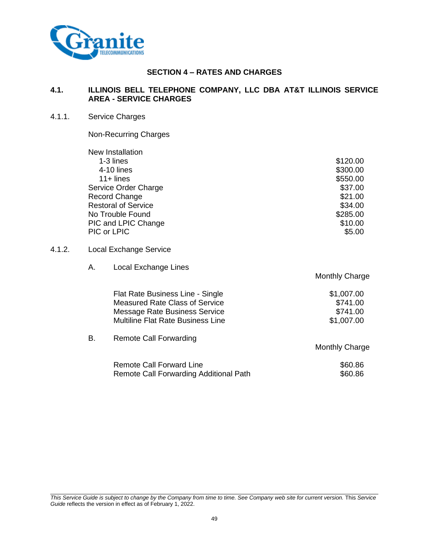

# **SECTION 4 – RATES AND CHARGES**

# **4.1. ILLINOIS BELL TELEPHONE COMPANY, LLC DBA AT&T ILLINOIS SERVICE AREA - SERVICE CHARGES**

#### 4.1.1. Service Charges

 $4.1.2.$ 

Non-Recurring Charges

B. Remote Call Forwarding

|               | New Installation                      |                       |
|---------------|---------------------------------------|-----------------------|
|               | 1-3 lines                             | \$120.00              |
|               | 4-10 lines                            | \$300.00              |
|               | $11 +$ lines                          | \$550.00              |
|               | Service Order Charge                  | \$37.00               |
| Record Change |                                       | \$21.00               |
|               | <b>Restoral of Service</b>            | \$34.00               |
|               | No Trouble Found                      | \$285.00              |
|               | PIC and LPIC Change                   | \$10.00               |
|               | PIC or LPIC                           | \$5.00                |
|               | Local Exchange Service                |                       |
| А.            | Local Exchange Lines                  |                       |
|               |                                       | <b>Monthly Charge</b> |
|               | Flat Rate Business Line - Single      | \$1,007.00            |
|               | <b>Measured Rate Class of Service</b> | \$741.00              |

Monthly Charge Remote Call Forward Line<br>Remote Call Forwarding Additional Path<br>\$60.86 Remote Call Forwarding Additional Path

Message Rate Business Service **\$741.00** \$741.00 Multiline Flat Rate Business Line **\$1,007.00**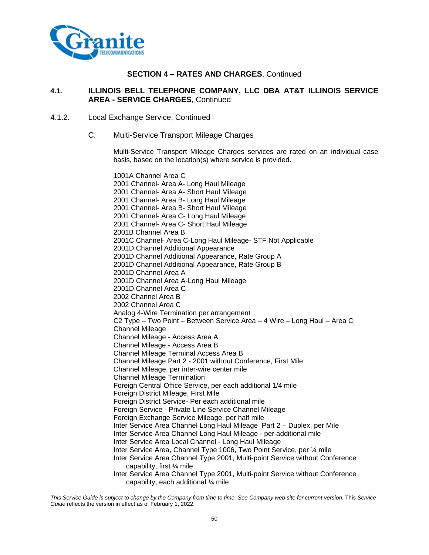

#### **4.1. ILLINOIS BELL TELEPHONE COMPANY, LLC DBA AT&T ILLINOIS SERVICE AREA - SERVICE CHARGES**, Continued

- 4.1.2. Local Exchange Service, Continued
	- C. Multi-Service Transport Mileage Charges

Multi-Service Transport Mileage Charges services are rated on an individual case basis, based on the location(s) where service is provided.

1001A Channel Area C 2001 Channel- Area A- Long Haul Mileage 2001 Channel- Area A- Short Haul Mileage 2001 Channel- Area B- Long Haul Mileage 2001 Channel- Area B- Short Haul Mileage 2001 Channel- Area C- Long Haul Mileage 2001 Channel- Area C- Short Haul Mileage 2001B Channel Area B 2001C Channel- Area C-Long Haul Mileage- STF Not Applicable 2001D Channel Additional Appearance 2001D Channel Additional Appearance, Rate Group A 2001D Channel Additional Appearance, Rate Group B 2001D Channel Area A 2001D Channel Area A-Long Haul Mileage 2001D Channel Area C 2002 Channel Area B 2002 Channel Area C Analog 4-Wire Termination per arrangement C2 Type – Two Point – Between Service Area – 4 Wire – Long Haul – Area C Channel Mileage Channel Mileage - Access Area A Channel Mileage - Access Area B Channel Mileage Terminal Access Area B Channel Mileage Part 2 - 2001 without Conference, First Mile Channel Mileage, per inter-wire center mile Channel Mileage Termination Foreign Central Office Service, per each additional 1/4 mile Foreign District Mileage, First Mile Foreign District Service- Per each additional mile Foreign Service - Private Line Service Channel Mileage Foreign Exchange Service Mileage, per half mile Inter Service Area Channel Long Haul Mileage Part 2 – Duplex, per Mile Inter Service Area Channel Long Haul Mileage - per additional mile Inter Service Area Local Channel - Long Haul Mileage Inter Service Area, Channel Type 1006, Two Point Service, per ¼ mile Inter Service Area Channel Type 2001, Multi-point Service without Conference capability, first ¼ mile Inter Service Area Channel Type 2001, Multi-point Service without Conference capability, each additional ¼ mile

*This Service Guide is subject to change by the Company from time to time. See Company web site for current version.* This *Service Guide* reflects the version in effect as of February 1, 2022.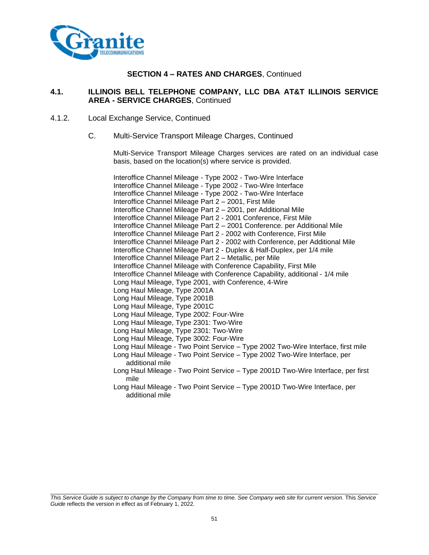

#### **4.1. ILLINOIS BELL TELEPHONE COMPANY, LLC DBA AT&T ILLINOIS SERVICE AREA - SERVICE CHARGES**, Continued

- 4.1.2. Local Exchange Service, Continued
	- C. Multi-Service Transport Mileage Charges, Continued

Multi-Service Transport Mileage Charges services are rated on an individual case basis, based on the location(s) where service is provided.

Interoffice Channel Mileage - Type 2002 - Two-Wire Interface Interoffice Channel Mileage - Type 2002 - Two-Wire Interface Interoffice Channel Mileage - Type 2002 - Two-Wire Interface Interoffice Channel Mileage Part 2 – 2001, First Mile Interoffice Channel Mileage Part 2 – 2001, per Additional Mile Interoffice Channel Mileage Part 2 - 2001 Conference, First Mile Interoffice Channel Mileage Part 2 – 2001 Conference. per Additional Mile Interoffice Channel Mileage Part 2 - 2002 with Conference, First Mile Interoffice Channel Mileage Part 2 - 2002 with Conference, per Additional Mile Interoffice Channel Mileage Part 2 - Duplex & Half-Duplex, per 1/4 mile Interoffice Channel Mileage Part 2 – Metallic, per Mile Interoffice Channel Mileage with Conference Capability, First Mile Interoffice Channel Mileage with Conference Capability, additional - 1/4 mile Long Haul Mileage, Type 2001, with Conference, 4-Wire Long Haul Mileage, Type 2001A Long Haul Mileage, Type 2001B Long Haul Mileage, Type 2001C Long Haul Mileage, Type 2002: Four-Wire Long Haul Mileage, Type 2301: Two-Wire Long Haul Mileage, Type 2301: Two-Wire Long Haul Mileage, Type 3002: Four-Wire Long Haul Mileage - Two Point Service – Type 2002 Two-Wire Interface, first mile Long Haul Mileage - Two Point Service – Type 2002 Two-Wire Interface, per additional mile Long Haul Mileage - Two Point Service – Type 2001D Two-Wire Interface, per first mile Long Haul Mileage - Two Point Service – Type 2001D Two-Wire Interface, per additional mile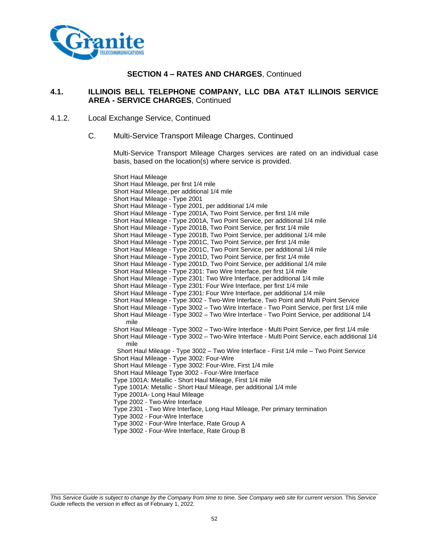

#### **4.1. ILLINOIS BELL TELEPHONE COMPANY, LLC DBA AT&T ILLINOIS SERVICE AREA - SERVICE CHARGES**, Continued

- 4.1.2. Local Exchange Service, Continued
	- C. Multi-Service Transport Mileage Charges, Continued

Multi-Service Transport Mileage Charges services are rated on an individual case basis, based on the location(s) where service is provided.

Short Haul Mileage Short Haul Mileage, per first 1/4 mile Short Haul Mileage, per additional 1/4 mile Short Haul Mileage - Type 2001 Short Haul Mileage - Type 2001, per additional 1/4 mile Short Haul Mileage - Type 2001A, Two Point Service, per first 1/4 mile Short Haul Mileage - Type 2001A, Two Point Service, per additional 1/4 mile Short Haul Mileage - Type 2001B, Two Point Service, per first 1/4 mile Short Haul Mileage - Type 2001B, Two Point Service, per additional 1/4 mile Short Haul Mileage - Type 2001C, Two Point Service, per first 1/4 mile Short Haul Mileage - Type 2001C, Two Point Service, per additional 1/4 mile Short Haul Mileage - Type 2001D, Two Point Service, per first 1/4 mile Short Haul Mileage - Type 2001D, Two Point Service, per additional 1/4 mile Short Haul Mileage - Type 2301: Two Wire Interface, per first 1/4 mile Short Haul Mileage - Type 2301: Two Wire Interface, per additional 1/4 mile Short Haul Mileage - Type 2301: Four Wire Interface, per first 1/4 mile Short Haul Mileage - Type 2301: Four Wire Interface, per additional 1/4 mile Short Haul Mileage - Type 3002 - Two-Wire Interface, Two Point and Multi Point Service Short Haul Mileage - Type 3002 – Two Wire Interface - Two Point Service, per first 1/4 mile Short Haul Mileage - Type 3002 – Two Wire Interface - Two Point Service, per additional 1/4 mile Short Haul Mileage - Type 3002 – Two-Wire Interface - Multi Point Service, per first 1/4 mile Short Haul Mileage - Type 3002 – Two-Wire Interface - Multi Point Service, each additional 1/4 mile Short Haul Mileage - Type 3002 – Two Wire Interface - First 1/4 mile – Two Point Service Short Haul Mileage - Type 3002: Four-Wire Short Haul Mileage - Type 3002: Four-Wire, First 1/4 mile Short Haul Mileage Type 3002 - Four-Wire Interface Type 1001A: Metallic - Short Haul Mileage, First 1/4 mile Type 1001A: Metallic - Short Haul Mileage, per additional 1/4 mile Type 2001A- Long Haul Mileage Type 2002 - Two-Wire Interface Type 2301 - Two Wire Interface, Long Haul Mileage, Per primary termination Type 3002 - Four-Wire Interface Type 3002 - Four-Wire Interface, Rate Group A

Type 3002 - Four-Wire Interface, Rate Group B

*This Service Guide is subject to change by the Company from time to time. See Company web site for current version.* This *Service Guide* reflects the version in effect as of February 1, 2022.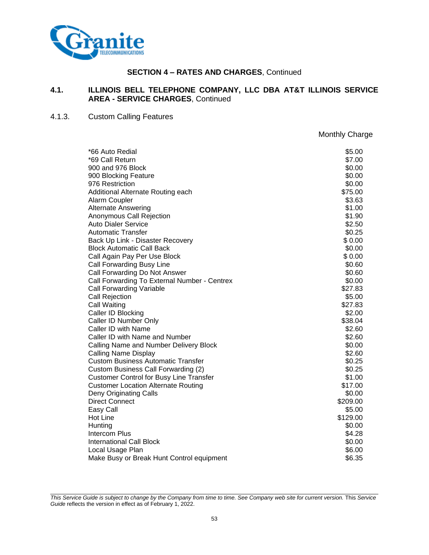

#### **4.1. ILLINOIS BELL TELEPHONE COMPANY, LLC DBA AT&T ILLINOIS SERVICE AREA - SERVICE CHARGES**, Continued

# 4.1.3. Custom Calling Features

Monthly Charge

| *66 Auto Redial                                | \$5.00   |
|------------------------------------------------|----------|
| *69 Call Return                                | \$7.00   |
| 900 and 976 Block                              | \$0.00   |
| 900 Blocking Feature                           | \$0.00   |
| 976 Restriction                                | \$0.00   |
| Additional Alternate Routing each              | \$75.00  |
| Alarm Coupler                                  | \$3.63   |
| <b>Alternate Answering</b>                     | \$1.00   |
| Anonymous Call Rejection                       | \$1.90   |
| <b>Auto Dialer Service</b>                     | \$2.50   |
| <b>Automatic Transfer</b>                      | \$0.25   |
| Back Up Link - Disaster Recovery               | \$0.00   |
| <b>Block Automatic Call Back</b>               | \$0.00   |
| Call Again Pay Per Use Block                   | \$0.00   |
| Call Forwarding Busy Line                      | \$0.60   |
| Call Forwarding Do Not Answer                  | \$0.60   |
| Call Forwarding To External Number - Centrex   | \$0.00   |
| <b>Call Forwarding Variable</b>                | \$27.83  |
| Call Rejection                                 | \$5.00   |
| Call Waiting                                   | \$27.83  |
| Caller ID Blocking                             | \$2.00   |
| Caller ID Number Only                          | \$38.04  |
| Caller ID with Name                            | \$2.60   |
| Caller ID with Name and Number                 | \$2.60   |
| Calling Name and Number Delivery Block         | \$0.00   |
| <b>Calling Name Display</b>                    | \$2.60   |
| <b>Custom Business Automatic Transfer</b>      | \$0.25   |
| Custom Business Call Forwarding (2)            | \$0.25   |
| <b>Customer Control for Busy Line Transfer</b> | \$1.00   |
| <b>Customer Location Alternate Routing</b>     | \$17.00  |
| Deny Originating Calls                         | \$0.00   |
| <b>Direct Connect</b>                          | \$209.00 |
| Easy Call                                      | \$5.00   |
| <b>Hot Line</b>                                | \$129.00 |
| Hunting                                        | \$0.00   |
| <b>Intercom Plus</b>                           | \$4.28   |
| <b>International Call Block</b>                | \$0.00   |
| Local Usage Plan                               | \$6.00   |
| Make Busy or Break Hunt Control equipment      | \$6.35   |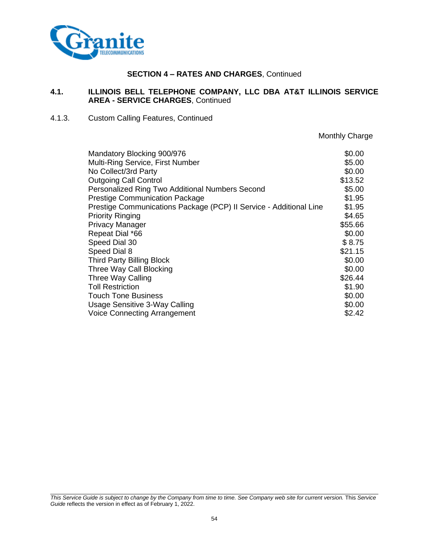

#### **4.1. ILLINOIS BELL TELEPHONE COMPANY, LLC DBA AT&T ILLINOIS SERVICE AREA - SERVICE CHARGES**, Continued

#### 4.1.3. Custom Calling Features, Continued

Monthly Charge

| Mandatory Blocking 900/976                                         | \$0.00  |
|--------------------------------------------------------------------|---------|
| Multi-Ring Service, First Number                                   | \$5.00  |
| No Collect/3rd Party                                               | \$0.00  |
| <b>Outgoing Call Control</b>                                       | \$13.52 |
| Personalized Ring Two Additional Numbers Second                    | \$5.00  |
| <b>Prestige Communication Package</b>                              | \$1.95  |
| Prestige Communications Package (PCP) II Service - Additional Line | \$1.95  |
| <b>Priority Ringing</b>                                            | \$4.65  |
| <b>Privacy Manager</b>                                             | \$55.66 |
| Repeat Dial *66                                                    | \$0.00  |
| Speed Dial 30                                                      | \$8.75  |
| Speed Dial 8                                                       | \$21.15 |
| <b>Third Party Billing Block</b>                                   | \$0.00  |
| Three Way Call Blocking                                            | \$0.00  |
| Three Way Calling                                                  | \$26.44 |
| <b>Toll Restriction</b>                                            | \$1.90  |
| <b>Touch Tone Business</b>                                         | \$0.00  |
| Usage Sensitive 3-Way Calling                                      | \$0.00  |
| <b>Voice Connecting Arrangement</b>                                | \$2.42  |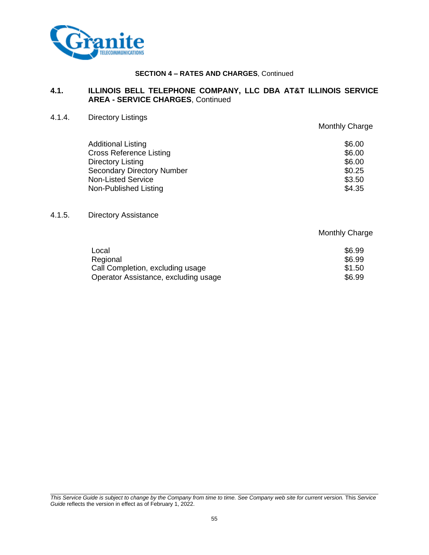

# **4.1. ILLINOIS BELL TELEPHONE COMPANY, LLC DBA AT&T ILLINOIS SERVICE AREA - SERVICE CHARGES**, Continued

4.1.4. Directory Listings

|                                   | Monthly Charge |
|-----------------------------------|----------------|
| <b>Additional Listing</b>         | \$6.00         |
| <b>Cross Reference Listing</b>    | \$6.00         |
| Directory Listing                 | \$6.00         |
| <b>Secondary Directory Number</b> | \$0.25         |
| <b>Non-Listed Service</b>         | \$3.50         |
| Non-Published Listing             | \$4.35         |

4.1.5. Directory Assistance

Monthly Charge

| Local                                | \$6.99 |
|--------------------------------------|--------|
| Regional                             | \$6.99 |
| Call Completion, excluding usage     | \$1.50 |
| Operator Assistance, excluding usage | \$6.99 |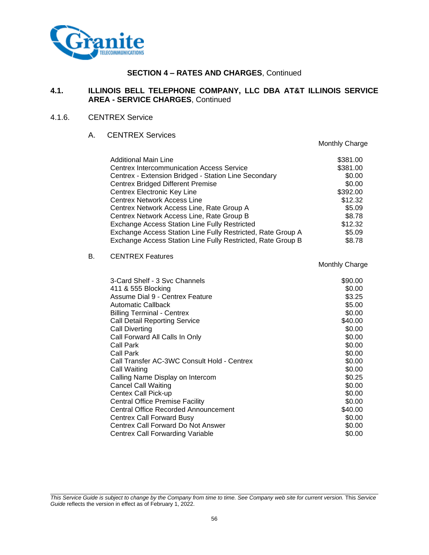

# **4.1. ILLINOIS BELL TELEPHONE COMPANY, LLC DBA AT&T ILLINOIS SERVICE AREA - SERVICE CHARGES**, Continued

## 4.1.6. CENTREX Service

## A. CENTREX Services

|    |                                                             | Monthly Charge |
|----|-------------------------------------------------------------|----------------|
|    | Additional Main Line                                        | \$381.00       |
|    | <b>Centrex Intercommunication Access Service</b>            | \$381.00       |
|    | Centrex - Extension Bridged - Station Line Secondary        | \$0.00         |
|    | <b>Centrex Bridged Different Premise</b>                    | \$0.00         |
|    | Centrex Electronic Key Line                                 | \$392.00       |
|    | <b>Centrex Network Access Line</b>                          | \$12.32        |
|    | Centrex Network Access Line, Rate Group A                   | \$5.09         |
|    | Centrex Network Access Line, Rate Group B                   | \$8.78         |
|    | <b>Exchange Access Station Line Fully Restricted</b>        | \$12.32        |
|    | Exchange Access Station Line Fully Restricted, Rate Group A | \$5.09         |
|    | Exchange Access Station Line Fully Restricted, Rate Group B | \$8.78         |
| В. | <b>CENTREX Features</b>                                     |                |
|    |                                                             | Monthly Charge |
|    | 3-Card Shelf - 3 Svc Channels                               | \$90.00        |
|    | 411 & 555 Blocking                                          | \$0.00         |
|    | Assume Dial 9 - Centrex Feature                             | \$3.25         |
|    | <b>Automatic Callback</b>                                   | \$5.00         |
|    | <b>Billing Terminal - Centrex</b>                           | \$0.00         |
|    | <b>Call Detail Reporting Service</b>                        | \$40.00        |
|    | <b>Call Diverting</b>                                       | \$0.00         |
|    | Call Forward All Calls In Only                              | \$0.00         |
|    | Call Park                                                   | \$0.00         |
|    | Call Park                                                   | \$0.00         |
|    | Call Transfer AC-3WC Consult Hold - Centrex                 | \$0.00         |
|    | Call Waiting                                                | \$0.00         |
|    | Calling Name Display on Intercom                            | \$0.25         |
|    | <b>Cancel Call Waiting</b>                                  | \$0.00         |
|    | Centex Call Pick-up                                         | \$0.00         |
|    | <b>Central Office Premise Facility</b>                      | \$0.00         |
|    | <b>Central Office Recorded Announcement</b>                 | \$40.00        |
|    | <b>Centrex Call Forward Busy</b>                            | \$0.00         |
|    | Centrex Call Forward Do Not Answer                          | \$0.00         |

*This Service Guide is subject to change by the Company from time to time. See Company web site for current version.* This *Service Guide* reflects the version in effect as of February 1, 2022.

Centrex Call Forwarding Variable  $$0.00$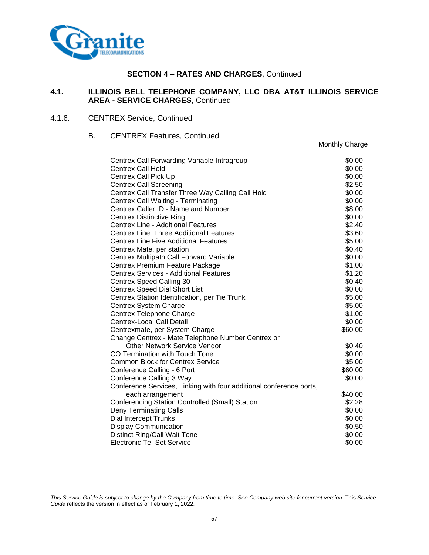

#### **4.1. ILLINOIS BELL TELEPHONE COMPANY, LLC DBA AT&T ILLINOIS SERVICE AREA - SERVICE CHARGES**, Continued

#### 4.1.6. CENTREX Service, Continued

#### B. CENTREX Features, Continued

| Centrex Call Forwarding Variable Intragroup                         | \$0.00  |
|---------------------------------------------------------------------|---------|
| <b>Centrex Call Hold</b>                                            | \$0.00  |
| <b>Centrex Call Pick Up</b>                                         | \$0.00  |
| <b>Centrex Call Screening</b>                                       | \$2.50  |
| Centrex Call Transfer Three Way Calling Call Hold                   | \$0.00  |
| <b>Centrex Call Waiting - Terminating</b>                           | \$0.00  |
| Centrex Caller ID - Name and Number                                 | \$8.00  |
| <b>Centrex Distinctive Ring</b>                                     | \$0.00  |
| <b>Centrex Line - Additional Features</b>                           | \$2.40  |
| <b>Centrex Line Three Additional Features</b>                       | \$3.60  |
| <b>Centrex Line Five Additional Features</b>                        | \$5.00  |
| Centrex Mate, per station                                           | \$0.40  |
| <b>Centrex Multipath Call Forward Variable</b>                      | \$0.00  |
| Centrex Premium Feature Package                                     | \$1.00  |
| <b>Centrex Services - Additional Features</b>                       | \$1.20  |
| Centrex Speed Calling 30                                            | \$0.40  |
| <b>Centrex Speed Dial Short List</b>                                | \$0.00  |
| Centrex Station Identification, per Tie Trunk                       | \$5.00  |
| Centrex System Charge                                               | \$5.00  |
| Centrex Telephone Charge                                            | \$1.00  |
| <b>Centrex-Local Call Detail</b>                                    | \$0.00  |
| Centrexmate, per System Charge                                      | \$60.00 |
| Change Centrex - Mate Telephone Number Centrex or                   |         |
| <b>Other Network Service Vendor</b>                                 | \$0.40  |
| CO Termination with Touch Tone                                      | \$0.00  |
| <b>Common Block for Centrex Service</b>                             | \$5.00  |
| Conference Calling - 6 Port                                         | \$60.00 |
| Conference Calling 3 Way                                            | \$0.00  |
| Conference Services, Linking with four additional conference ports, |         |
| each arrangement                                                    | \$40.00 |
| Conferencing Station Controlled (Small) Station                     | \$2.28  |
| <b>Deny Terminating Calls</b>                                       | \$0.00  |
| Dial Intercept Trunks                                               | \$0.00  |
| <b>Display Communication</b>                                        | \$0.50  |
| Distinct Ring/Call Wait Tone                                        | \$0.00  |
| <b>Electronic Tel-Set Service</b>                                   | \$0.00  |

Monthly Charge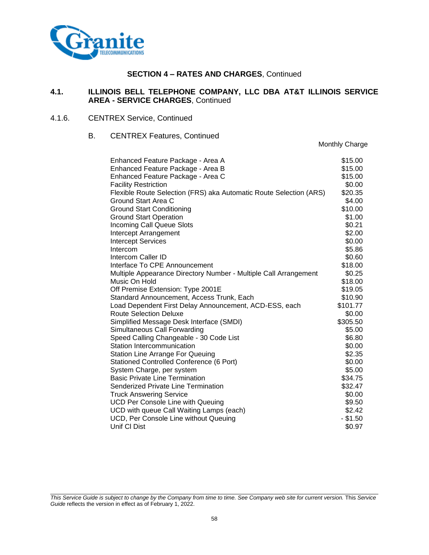

#### **4.1. ILLINOIS BELL TELEPHONE COMPANY, LLC DBA AT&T ILLINOIS SERVICE AREA - SERVICE CHARGES**, Continued

#### 4.1.6. CENTREX Service, Continued

## B. CENTREX Features, Continued

Monthly Charge

| Enhanced Feature Package - Area A                                  | \$15.00    |
|--------------------------------------------------------------------|------------|
| Enhanced Feature Package - Area B                                  | \$15.00    |
| Enhanced Feature Package - Area C                                  | \$15.00    |
| <b>Facility Restriction</b>                                        | \$0.00     |
| Flexible Route Selection (FRS) aka Automatic Route Selection (ARS) | \$20.35    |
| Ground Start Area C                                                | \$4.00     |
| <b>Ground Start Conditioning</b>                                   | \$10.00    |
| <b>Ground Start Operation</b>                                      | \$1.00     |
| <b>Incoming Call Queue Slots</b>                                   | \$0.21     |
| Intercept Arrangement                                              | \$2.00     |
| <b>Intercept Services</b>                                          | \$0.00     |
| Intercom                                                           | \$5.86     |
| Intercom Caller ID                                                 | \$0.60     |
| Interface To CPE Announcement                                      | \$18.00    |
| Multiple Appearance Directory Number - Multiple Call Arrangement   | \$0.25     |
| Music On Hold                                                      | \$18.00    |
| Off Premise Extension: Type 2001E                                  | \$19.05    |
| Standard Announcement, Access Trunk, Each                          | \$10.90    |
| Load Dependent First Delay Announcement, ACD-ESS, each             | \$101.77   |
| <b>Route Selection Deluxe</b>                                      | \$0.00     |
| Simplified Message Desk Interface (SMDI)                           | \$305.50   |
| Simultaneous Call Forwarding                                       | \$5.00     |
| Speed Calling Changeable - 30 Code List                            | \$6.80     |
| Station Intercommunication                                         | \$0.00     |
| <b>Station Line Arrange For Queuing</b>                            | \$2.35     |
| Stationed Controlled Conference (6 Port)                           | \$0.00     |
| System Charge, per system                                          | \$5.00     |
| <b>Basic Private Line Termination</b>                              | \$34.75    |
| Senderized Private Line Termination                                | \$32.47    |
| <b>Truck Answering Service</b>                                     | \$0.00     |
| <b>UCD Per Console Line with Queuing</b>                           | \$9.50     |
| UCD with queue Call Waiting Lamps (each)                           | \$2.42     |
| UCD, Per Console Line without Queuing                              | $-$ \$1.50 |
| Unif CI Dist                                                       | \$0.97     |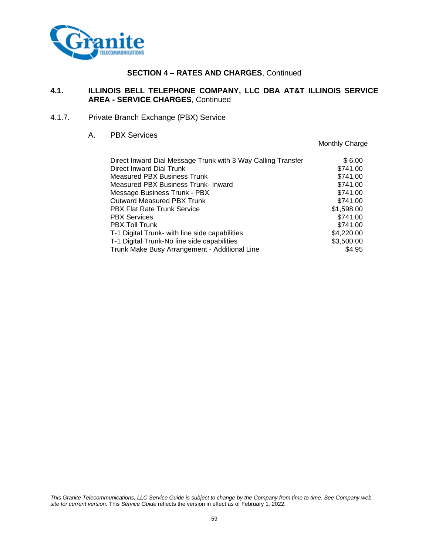

# **4.1. ILLINOIS BELL TELEPHONE COMPANY, LLC DBA AT&T ILLINOIS SERVICE AREA - SERVICE CHARGES**, Continued

4.1.7. Private Branch Exchange (PBX) Service

#### A. PBX Services

Monthly Charge

| Direct Inward Dial Message Trunk with 3 Way Calling Transfer | \$6.00     |
|--------------------------------------------------------------|------------|
| Direct Inward Dial Trunk                                     | \$741.00   |
| Measured PBX Business Trunk                                  | \$741.00   |
| Measured PBX Business Trunk- Inward                          | \$741.00   |
| Message Business Trunk - PBX                                 | \$741.00   |
| <b>Outward Measured PBX Trunk</b>                            | \$741.00   |
| <b>PBX Flat Rate Trunk Service</b>                           | \$1,598.00 |
| <b>PBX Services</b>                                          | \$741.00   |
| <b>PBX Toll Trunk</b>                                        | \$741.00   |
| T-1 Digital Trunk- with line side capabilities               | \$4,220.00 |
| T-1 Digital Trunk-No line side capabilities                  | \$3,500.00 |
| Trunk Make Busy Arrangement - Additional Line                | \$4.95     |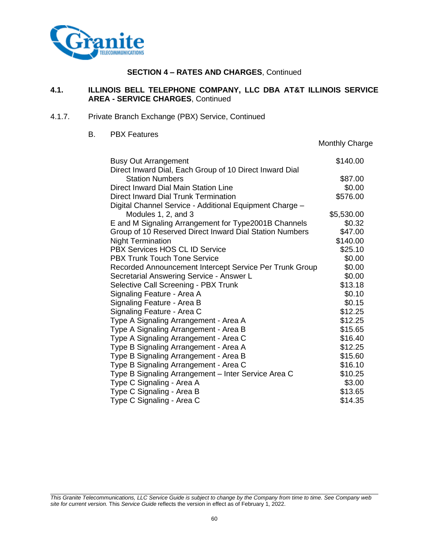

#### **4.1. ILLINOIS BELL TELEPHONE COMPANY, LLC DBA AT&T ILLINOIS SERVICE AREA - SERVICE CHARGES**, Continued

- 4.1.7. Private Branch Exchange (PBX) Service, Continued
	- B. PBX Features

|                                                         | Monthly Charge |
|---------------------------------------------------------|----------------|
| <b>Busy Out Arrangement</b>                             | \$140.00       |
| Direct Inward Dial, Each Group of 10 Direct Inward Dial |                |
| <b>Station Numbers</b>                                  | \$87.00        |
| Direct Inward Dial Main Station Line                    | \$0.00         |
| Direct Inward Dial Trunk Termination                    | \$576.00       |
| Digital Channel Service - Additional Equipment Charge - |                |
| Modules 1, 2, and 3                                     | \$5,530.00     |
| E and M Signaling Arrangement for Type2001B Channels    | \$0.32         |
| Group of 10 Reserved Direct Inward Dial Station Numbers | \$47.00        |
| <b>Night Termination</b>                                | \$140.00       |
| PBX Services HOS CL ID Service                          | \$25.10        |
| <b>PBX Trunk Touch Tone Service</b>                     | \$0.00         |
| Recorded Announcement Intercept Service Per Trunk Group | \$0.00         |
| Secretarial Answering Service - Answer L                | \$0.00         |
| Selective Call Screening - PBX Trunk                    | \$13.18        |
| Signaling Feature - Area A                              | \$0.10         |
| Signaling Feature - Area B                              | \$0.15         |
| Signaling Feature - Area C                              | \$12.25        |
| Type A Signaling Arrangement - Area A                   | \$12.25        |
| Type A Signaling Arrangement - Area B                   | \$15.65        |
| Type A Signaling Arrangement - Area C                   | \$16.40        |
| Type B Signaling Arrangement - Area A                   | \$12.25        |
| Type B Signaling Arrangement - Area B                   | \$15.60        |
| Type B Signaling Arrangement - Area C                   | \$16.10        |
| Type B Signaling Arrangement - Inter Service Area C     | \$10.25        |
| Type C Signaling - Area A                               | \$3.00         |
| Type C Signaling - Area B                               | \$13.65        |
| Type C Signaling - Area C                               | \$14.35        |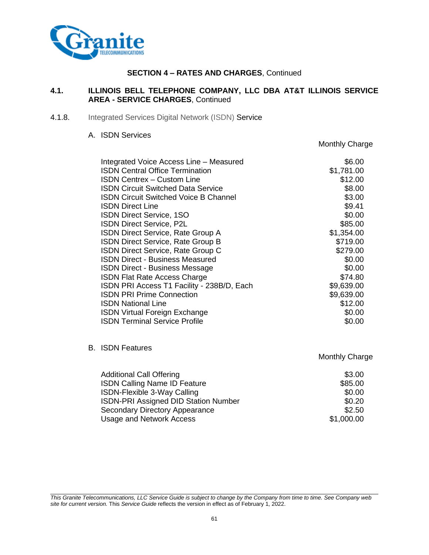

## **4.1. ILLINOIS BELL TELEPHONE COMPANY, LLC DBA AT&T ILLINOIS SERVICE AREA - SERVICE CHARGES**, Continued

4.1.8. Integrated Services Digital Network (ISDN) Service

#### A. ISDN Services

Integrated Voice Access Line – Measured **\$6.00** \$6.00 ISDN Central Office Termination \$1,781.00 **ISDN Centrex – Custom Line**  $$12.00$ ISDN Circuit Switched Data Service \$8.00 **ISDN Circuit Switched Voice B Channel 63.00** \$3.00 **ISDN** Direct Line \$9.41 **ISDN Direct Service, 1SO \$0.000 \$0.000 \$0.000 \$0.000 \$0.00 ISDN Direct Service, P2L \$85.00** \$85.00 ISDN Direct Service, Rate Group A \$1,354.00 **ISDN Direct Service, Rate Group B**  $$719.00$ ISDN Direct Service, Rate Group C  $$279.00$ **ISDN Direct - Business Measured \$0.000 \$0.000 \$0.000 \$0.00 ISDN Direct - Business Message \$0.00** \$0.00 **ISDN Flat Rate Access Charge \$74.80** \$74.80 ISDN PRI Access T1 Facility - 238B/D, Each \$9,639.00 **ISDN PRI Prime Connection** 69,639.00 **ISDN National Line 612.00 \$12.00 ISDN Virtual Foreign Exchange \$0.00** \$0.00 **ISDN Terminal Service Profile**  \$0.00

B. ISDN Features

Monthly Charge

Monthly Charge

| <b>Additional Call Offering</b>             | \$3.00     |
|---------------------------------------------|------------|
| <b>ISDN Calling Name ID Feature</b>         | \$85.00    |
| ISDN-Flexible 3-Way Calling                 | \$0.00     |
| <b>ISDN-PRI Assigned DID Station Number</b> | \$0.20     |
| Secondary Directory Appearance              | \$2.50     |
| Usage and Network Access                    | \$1,000.00 |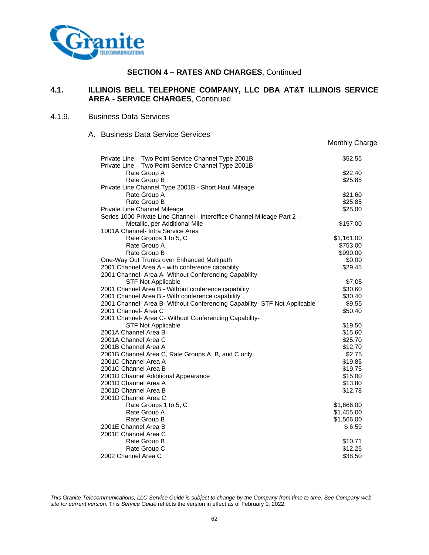

# **4.1. ILLINOIS BELL TELEPHONE COMPANY, LLC DBA AT&T ILLINOIS SERVICE AREA - SERVICE CHARGES**, Continued

Monthly Charge

## 4.1.9. Business Data Services

A. Business Data Service Services

| Private Line - Two Point Service Channel Type 2001B                       | \$52.55    |  |
|---------------------------------------------------------------------------|------------|--|
| Private Line - Two Point Service Channel Type 2001B                       |            |  |
| Rate Group A                                                              | \$22.40    |  |
| Rate Group B                                                              | \$25.85    |  |
| Private Line Channel Type 2001B - Short Haul Mileage                      |            |  |
| Rate Group A                                                              | \$21.60    |  |
| Rate Group B                                                              | \$25.85    |  |
| Private Line Channel Mileage                                              | \$25.00    |  |
| Series 1000 Private Line Channel - Interoffice Channel Mileage Part 2 -   |            |  |
| Metallic, per Additional Mile                                             | \$157.00   |  |
| 1001A Channel- Intra Service Area                                         |            |  |
| Rate Groups 1 to 5, C                                                     | \$1,161.00 |  |
| Rate Group A                                                              | \$753.00   |  |
| Rate Group B                                                              | \$990.00   |  |
| One-Way Out Trunks over Enhanced Multipath                                | \$0.00     |  |
| 2001 Channel Area A - with conference capability                          | \$29.45    |  |
| 2001 Channel- Area A- Without Conferencing Capability-                    |            |  |
| <b>STF Not Applicable</b>                                                 | \$7.05     |  |
| 2001 Channel Area B - Without conference capability                       | \$30.60    |  |
| 2001 Channel Area B - With conference capability                          | \$30.40    |  |
| 2001 Channel- Area B- Without Conferencing Capability- STF Not Applicable | \$9.55     |  |
| 2001 Channel- Area C                                                      | \$50.40    |  |
| 2001 Channel- Area C- Without Conferencing Capability-                    |            |  |
| <b>STF Not Applicable</b>                                                 | \$19.50    |  |
| 2001A Channel Area B                                                      | \$15.60    |  |
| 2001A Channel Area C                                                      | \$25.70    |  |
| 2001B Channel Area A                                                      | \$12.70    |  |
| 2001B Channel Area C, Rate Groups A, B, and C only                        | \$2.75     |  |
| 2001C Channel Area A                                                      | \$19.85    |  |
| 2001C Channel Area B                                                      | \$19.75    |  |
| 2001D Channel Additional Appearance                                       | \$15.00    |  |
| 2001D Channel Area A                                                      | \$13.80    |  |
| 2001D Channel Area B                                                      | \$12.78    |  |
| 2001D Channel Area C                                                      |            |  |
| Rate Groups 1 to 5, C                                                     | \$1,666.00 |  |
| Rate Group A                                                              | \$1,455.00 |  |
| Rate Group B                                                              | \$1,566.00 |  |
| 2001E Channel Area B                                                      | \$6.59     |  |
| 2001E Channel Area C                                                      |            |  |
| Rate Group B                                                              | \$10.71    |  |
| Rate Group C                                                              | \$12.25    |  |
| 2002 Channel Area C                                                       | \$38.50    |  |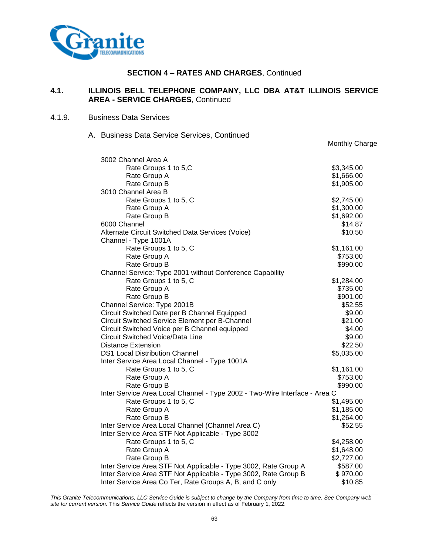

# **4.1. ILLINOIS BELL TELEPHONE COMPANY, LLC DBA AT&T ILLINOIS SERVICE AREA - SERVICE CHARGES**, Continued

#### 4.1.9. Business Data Services

#### A. Business Data Service Services, Continued

|                                                                            | Monthly Charge |
|----------------------------------------------------------------------------|----------------|
| 3002 Channel Area A                                                        |                |
| Rate Groups 1 to 5,C                                                       | \$3,345.00     |
| Rate Group A                                                               | \$1,666.00     |
| Rate Group B                                                               | \$1,905.00     |
| 3010 Channel Area B                                                        |                |
| Rate Groups 1 to 5, C                                                      | \$2,745.00     |
| Rate Group A                                                               | \$1,300.00     |
| Rate Group B                                                               | \$1,692.00     |
| 6000 Channel                                                               | \$14.87        |
| Alternate Circuit Switched Data Services (Voice)                           | \$10.50        |
| Channel - Type 1001A                                                       |                |
| Rate Groups 1 to 5, C                                                      | \$1,161.00     |
| Rate Group A                                                               | \$753.00       |
| Rate Group B                                                               | \$990.00       |
| Channel Service: Type 2001 without Conference Capability                   |                |
| Rate Groups 1 to 5, C                                                      | \$1,284.00     |
| Rate Group A                                                               | \$735.00       |
| Rate Group B                                                               | \$901.00       |
| Channel Service: Type 2001B                                                | \$52.55        |
| Circuit Switched Date per B Channel Equipped                               | \$9.00         |
| Circuit Switched Service Element per B-Channel                             | \$21.00        |
| Circuit Switched Voice per B Channel equipped                              | \$4.00         |
| <b>Circuit Switched Voice/Data Line</b>                                    | \$9.00         |
| <b>Distance Extension</b>                                                  | \$22.50        |
| <b>DS1 Local Distribution Channel</b>                                      | \$5,035.00     |
| Inter Service Area Local Channel - Type 1001A                              |                |
| Rate Groups 1 to 5, C                                                      | \$1,161.00     |
| Rate Group A                                                               | \$753.00       |
| Rate Group B                                                               | \$990.00       |
| Inter Service Area Local Channel - Type 2002 - Two-Wire Interface - Area C |                |
| Rate Groups 1 to 5, C                                                      | \$1,495.00     |
| Rate Group A                                                               | \$1,185.00     |
| Rate Group B                                                               | \$1,264.00     |
| Inter Service Area Local Channel (Channel Area C)                          | \$52.55        |
| Inter Service Area STF Not Applicable - Type 3002                          |                |
| Rate Groups 1 to 5, C                                                      | \$4,258.00     |
| Rate Group A                                                               | \$1,648.00     |
| Rate Group B                                                               | \$2,727.00     |
| Inter Service Area STF Not Applicable - Type 3002, Rate Group A            | \$587.00       |
| Inter Service Area STF Not Applicable - Type 3002, Rate Group B            | \$970.00       |
| Inter Service Area Co Ter, Rate Groups A, B, and C only                    | \$10.85        |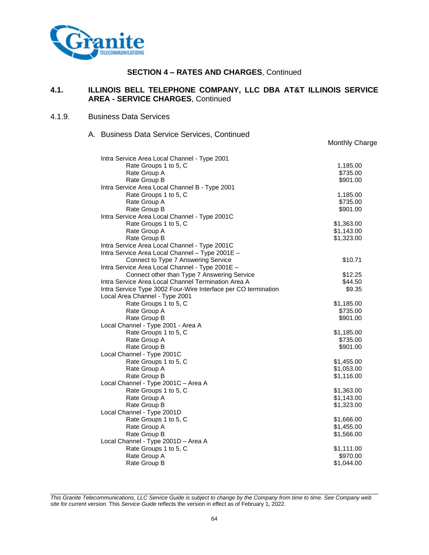

# **4.1. ILLINOIS BELL TELEPHONE COMPANY, LLC DBA AT&T ILLINOIS SERVICE AREA - SERVICE CHARGES**, Continued

Monthly Charge

#### 4.1.9. Business Data Services

A. Business Data Service Services, Continued

| Intra Service Area Local Channel - Type 2001                   |                      |
|----------------------------------------------------------------|----------------------|
| Rate Groups 1 to 5, C                                          | 1,185.00             |
| Rate Group A                                                   | \$735.00<br>\$901.00 |
| Rate Group B<br>Intra Service Area Local Channel B - Type 2001 |                      |
|                                                                |                      |
| Rate Groups 1 to 5, C<br>Rate Group A                          | 1,185.00<br>\$735.00 |
| Rate Group B                                                   | \$901.00             |
| Intra Service Area Local Channel - Type 2001C                  |                      |
| Rate Groups 1 to 5, C                                          | \$1,363.00           |
| Rate Group A                                                   | \$1,143.00           |
| Rate Group B                                                   | \$1,323.00           |
| Intra Service Area Local Channel - Type 2001C                  |                      |
| Intra Service Area Local Channel - Type 2001E -                |                      |
| Connect to Type 7 Answering Service                            | \$10.71              |
| Intra Service Area Local Channel - Type 2001E -                |                      |
| Connect other than Type 7 Answering Service                    | \$12.25              |
| Intra Service Area Local Channel Termination Area A            | \$44.50              |
| Intra Service Type 3002 Four-Wire Interface per CO termination | \$9.35               |
| Local Area Channel - Type 2001                                 |                      |
| Rate Groups 1 to 5, C                                          | \$1,185.00           |
| Rate Group A                                                   | \$735.00             |
| Rate Group B                                                   | \$901.00             |
| Local Channel - Type 2001 - Area A                             |                      |
| Rate Groups 1 to 5, C                                          | \$1,185.00           |
| Rate Group A                                                   | \$735.00             |
| Rate Group B                                                   | \$901.00             |
| Local Channel - Type 2001C                                     |                      |
| Rate Groups 1 to 5, C                                          | \$1,455.00           |
| Rate Group A                                                   | \$1,053.00           |
| Rate Group B                                                   | \$1,116.00           |
| Local Channel - Type 2001C - Area A                            |                      |
| Rate Groups 1 to 5, C                                          | \$1,363.00           |
| Rate Group A                                                   | \$1,143.00           |
| Rate Group B                                                   | \$1,323.00           |
| Local Channel - Type 2001D                                     |                      |
| Rate Groups 1 to 5, C                                          | \$1,666.00           |
| Rate Group A                                                   | \$1,455.00           |
| Rate Group B                                                   | \$1,566.00           |
| Local Channel - Type 2001D - Area A                            |                      |
| Rate Groups 1 to 5, C                                          | \$1,111.00           |
| Rate Group A                                                   | \$970.00             |
| Rate Group B                                                   | \$1,044.00           |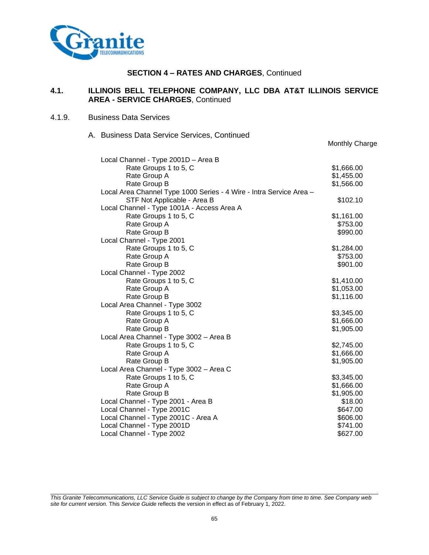

# **4.1. ILLINOIS BELL TELEPHONE COMPANY, LLC DBA AT&T ILLINOIS SERVICE AREA - SERVICE CHARGES**, Continued

Monthly Charge

#### 4.1.9. Business Data Services

A. Business Data Service Services, Continued

| Local Channel - Type 2001D - Area B                                 |            |
|---------------------------------------------------------------------|------------|
| Rate Groups 1 to 5, C                                               | \$1,666.00 |
| Rate Group A                                                        | \$1,455.00 |
| Rate Group B                                                        | \$1,566.00 |
| Local Area Channel Type 1000 Series - 4 Wire - Intra Service Area - |            |
| STF Not Applicable - Area B                                         | \$102.10   |
| Local Channel - Type 1001A - Access Area A                          |            |
| Rate Groups 1 to 5, C                                               | \$1,161.00 |
| Rate Group A                                                        | \$753.00   |
| Rate Group B                                                        | \$990.00   |
| Local Channel - Type 2001                                           |            |
| Rate Groups 1 to 5, C                                               | \$1,284.00 |
| Rate Group A                                                        | \$753.00   |
| Rate Group B                                                        | \$901.00   |
| Local Channel - Type 2002                                           |            |
| Rate Groups 1 to 5, C                                               | \$1,410.00 |
| Rate Group A                                                        | \$1,053.00 |
| Rate Group B                                                        | \$1,116.00 |
| Local Area Channel - Type 3002                                      |            |
| Rate Groups 1 to 5, C                                               | \$3,345.00 |
| Rate Group A                                                        | \$1,666.00 |
| Rate Group B                                                        | \$1,905.00 |
| Local Area Channel - Type 3002 - Area B                             |            |
| Rate Groups 1 to 5, C                                               | \$2,745.00 |
| Rate Group A                                                        | \$1,666.00 |
| Rate Group B                                                        | \$1,905.00 |
| Local Area Channel - Type 3002 - Area C                             |            |
| Rate Groups 1 to 5, C                                               | \$3,345.00 |
| Rate Group A                                                        | \$1,666.00 |
| Rate Group B                                                        | \$1,905.00 |
| Local Channel - Type 2001 - Area B                                  | \$18.00    |
| Local Channel - Type 2001C                                          | \$647.00   |
| Local Channel - Type 2001C - Area A                                 | \$606.00   |
| Local Channel - Type 2001D                                          | \$741.00   |
| Local Channel - Type 2002                                           | \$627.00   |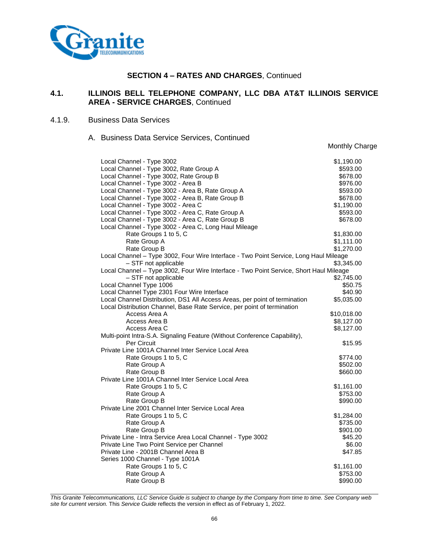

## **4.1. ILLINOIS BELL TELEPHONE COMPANY, LLC DBA AT&T ILLINOIS SERVICE AREA - SERVICE CHARGES**, Continued

#### 4.1.9. Business Data Services

#### A. Business Data Service Services, Continued

Monthly Charge

| Local Channel - Type 3002                                                              | \$1,190.00           |
|----------------------------------------------------------------------------------------|----------------------|
| Local Channel - Type 3002, Rate Group A                                                | \$593.00             |
| Local Channel - Type 3002, Rate Group B                                                | \$678.00             |
| Local Channel - Type 3002 - Area B                                                     | \$976.00             |
| Local Channel - Type 3002 - Area B, Rate Group A                                       | \$593.00             |
| Local Channel - Type 3002 - Area B, Rate Group B                                       | \$678.00             |
| Local Channel - Type 3002 - Area C                                                     | \$1,190.00           |
| Local Channel - Type 3002 - Area C, Rate Group A                                       | \$593.00             |
| Local Channel - Type 3002 - Area C, Rate Group B                                       | \$678.00             |
| Local Channel - Type 3002 - Area C, Long Haul Mileage                                  |                      |
| Rate Groups 1 to 5, C                                                                  | \$1,830.00           |
| Rate Group A                                                                           | \$1,111.00           |
| Rate Group B                                                                           | \$1,270.00           |
| Local Channel - Type 3002, Four Wire Interface - Two Point Service, Long Haul Mileage  |                      |
| - STF not applicable                                                                   | \$3,345.00           |
| Local Channel - Type 3002, Four Wire Interface - Two Point Service, Short Haul Mileage |                      |
| - STF not applicable                                                                   | \$2,745.00           |
| Local Channel Type 1006                                                                | \$50.75              |
| Local Channel Type 2301 Four Wire Interface                                            | \$40.90              |
| Local Channel Distribution, DS1 All Access Areas, per point of termination             | \$5,035.00           |
| Local Distribution Channel, Base Rate Service, per point of termination                |                      |
| Access Area A                                                                          | \$10,018.00          |
| Access Area B                                                                          | \$8,127.00           |
| Access Area C                                                                          | \$8,127.00           |
| Multi-point Intra-S.A. Signaling Feature (Without Conference Capability),              |                      |
| <b>Per Circuit</b><br>Private Line 1001A Channel Inter Service Local Area              | \$15.95              |
|                                                                                        |                      |
| Rate Groups 1 to 5, C                                                                  | \$774.00             |
| Rate Group A<br>Rate Group B                                                           | \$502.00<br>\$660.00 |
| Private Line 1001A Channel Inter Service Local Area                                    |                      |
| Rate Groups 1 to 5, C                                                                  | \$1,161.00           |
| Rate Group A                                                                           | \$753.00             |
| Rate Group B                                                                           | \$990.00             |
| Private Line 2001 Channel Inter Service Local Area                                     |                      |
| Rate Groups 1 to 5, C                                                                  | \$1,284.00           |
| Rate Group A                                                                           | \$735.00             |
| Rate Group B                                                                           | \$901.00             |
| Private Line - Intra Service Area Local Channel - Type 3002                            | \$45.20              |
| Private Line Two Point Service per Channel                                             | \$6.00               |
| Private Line - 2001B Channel Area B                                                    | \$47.85              |
| Series 1000 Channel - Type 1001A                                                       |                      |
| Rate Groups 1 to 5, C                                                                  | \$1,161.00           |
| Rate Group A                                                                           | \$753.00             |
| Rate Group B                                                                           | \$990.00             |
|                                                                                        |                      |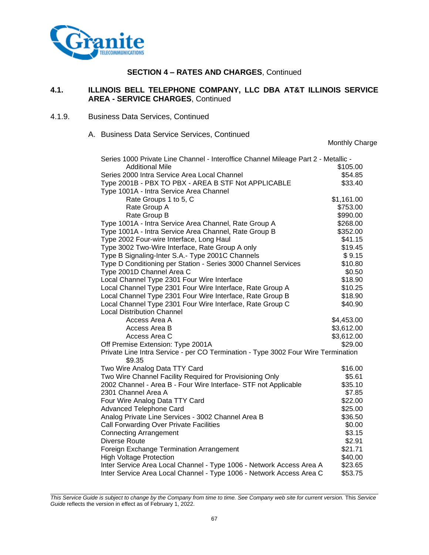

# **4.1. ILLINOIS BELL TELEPHONE COMPANY, LLC DBA AT&T ILLINOIS SERVICE AREA - SERVICE CHARGES**, Continued

- 4.1.9. Business Data Services, Continued
	- A. Business Data Service Services, Continued

Monthly Charge

| Series 1000 Private Line Channel - Interoffice Channel Mileage Part 2 - Metallic -          |            |
|---------------------------------------------------------------------------------------------|------------|
| <b>Additional Mile</b>                                                                      | \$105.00   |
| Series 2000 Intra Service Area Local Channel                                                | \$54.85    |
| Type 2001B - PBX TO PBX - AREA B STF Not APPLICABLE                                         | \$33.40    |
| Type 1001A - Intra Service Area Channel                                                     |            |
| Rate Groups 1 to 5, C                                                                       | \$1,161.00 |
| Rate Group A                                                                                | \$753.00   |
| Rate Group B                                                                                | \$990.00   |
| Type 1001A - Intra Service Area Channel, Rate Group A                                       | \$268.00   |
| Type 1001A - Intra Service Area Channel, Rate Group B                                       | \$352.00   |
| Type 2002 Four-wire Interface, Long Haul                                                    | \$41.15    |
| Type 3002 Two-Wire Interface, Rate Group A only                                             | \$19.45    |
| Type B Signaling-Inter S.A.- Type 2001C Channels                                            | \$9.15     |
| Type D Conditioning per Station - Series 3000 Channel Services                              | \$10.80    |
| Type 2001D Channel Area C                                                                   | \$0.50     |
| Local Channel Type 2301 Four Wire Interface                                                 | \$18.90    |
| Local Channel Type 2301 Four Wire Interface, Rate Group A                                   | \$10.25    |
| Local Channel Type 2301 Four Wire Interface, Rate Group B                                   | \$18.90    |
| Local Channel Type 2301 Four Wire Interface, Rate Group C                                   | \$40.90    |
| <b>Local Distribution Channel</b>                                                           |            |
| Access Area A                                                                               | \$4,453.00 |
| Access Area B                                                                               | \$3,612.00 |
| Access Area C                                                                               | \$3,612.00 |
| Off Premise Extension: Type 2001A                                                           | \$29.00    |
| Private Line Intra Service - per CO Termination - Type 3002 Four Wire Termination<br>\$9.35 |            |
| Two Wire Analog Data TTY Card                                                               | \$16.00    |
| Two Wire Channel Facility Required for Provisioning Only                                    | \$5.61     |
| 2002 Channel - Area B - Four Wire Interface- STF not Applicable                             | \$35.10    |
| 2301 Channel Area A                                                                         | \$7.85     |
| Four Wire Analog Data TTY Card                                                              | \$22.00    |
| <b>Advanced Telephone Card</b>                                                              | \$25.00    |
| Analog Private Line Services - 3002 Channel Area B                                          | \$36.50    |
| Call Forwarding Over Private Facilities                                                     | \$0.00     |
| <b>Connecting Arrangement</b>                                                               | \$3.15     |
| Diverse Route                                                                               | \$2.91     |
| Foreign Exchange Termination Arrangement                                                    | \$21.71    |
| <b>High Voltage Protection</b>                                                              | \$40.00    |
| Inter Service Area Local Channel - Type 1006 - Network Access Area A                        | \$23.65    |
| Inter Service Area Local Channel - Type 1006 - Network Access Area C                        | \$53.75    |

*This Service Guide is subject to change by the Company from time to time. See Company web site for current version.* This *Service Guide* reflects the version in effect as of February 1, 2022.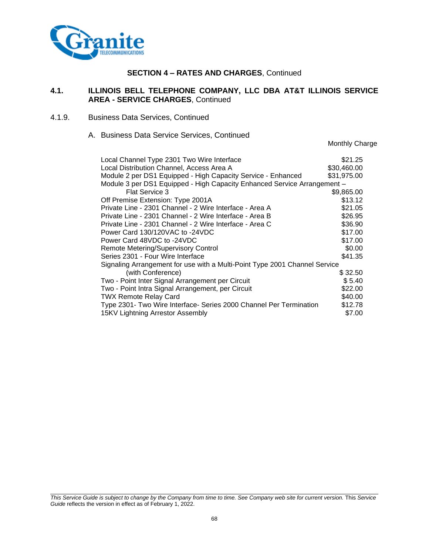

## **4.1. ILLINOIS BELL TELEPHONE COMPANY, LLC DBA AT&T ILLINOIS SERVICE AREA - SERVICE CHARGES**, Continued

- 4.1.9. Business Data Services, Continued
	- A. Business Data Service Services, Continued

Monthly Charge

| Local Channel Type 2301 Two Wire Interface                                 | \$21.25     |
|----------------------------------------------------------------------------|-------------|
| Local Distribution Channel, Access Area A                                  | \$30,460.00 |
| Module 2 per DS1 Equipped - High Capacity Service - Enhanced               | \$31,975.00 |
| Module 3 per DS1 Equipped - High Capacity Enhanced Service Arrangement -   |             |
| Flat Service 3                                                             | \$9,865.00  |
| Off Premise Extension: Type 2001A                                          | \$13.12     |
| Private Line - 2301 Channel - 2 Wire Interface - Area A                    | \$21.05     |
| Private Line - 2301 Channel - 2 Wire Interface - Area B                    | \$26.95     |
| Private Line - 2301 Channel - 2 Wire Interface - Area C                    | \$36.90     |
| Power Card 130/120VAC to -24VDC                                            | \$17.00     |
| Power Card 48VDC to -24VDC                                                 | \$17.00     |
| Remote Metering/Supervisory Control                                        | \$0.00      |
| Series 2301 - Four Wire Interface                                          | \$41.35     |
| Signaling Arrangement for use with a Multi-Point Type 2001 Channel Service |             |
| (with Conference)                                                          | \$32.50     |
| Two - Point Inter Signal Arrangement per Circuit                           | \$5.40      |
| Two - Point Intra Signal Arrangement, per Circuit                          | \$22.00     |
| <b>TWX Remote Relay Card</b>                                               | \$40.00     |
| Type 2301- Two Wire Interface- Series 2000 Channel Per Termination         | \$12.78     |
| 15KV Lightning Arrestor Assembly                                           | \$7.00      |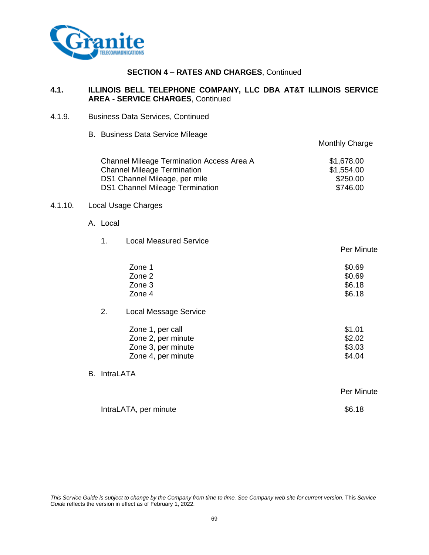

#### **4.1. ILLINOIS BELL TELEPHONE COMPANY, LLC DBA AT&T ILLINOIS SERVICE AREA - SERVICE CHARGES**, Continued

| 4.1.9.  |                     | <b>Business Data Services, Continued</b>                                                                                                                   |                                                  |
|---------|---------------------|------------------------------------------------------------------------------------------------------------------------------------------------------------|--------------------------------------------------|
|         |                     | B. Business Data Service Mileage                                                                                                                           | <b>Monthly Charge</b>                            |
|         |                     | Channel Mileage Termination Access Area A<br><b>Channel Mileage Termination</b><br>DS1 Channel Mileage, per mile<br><b>DS1 Channel Mileage Termination</b> | \$1,678.00<br>\$1,554.00<br>\$250.00<br>\$746.00 |
| 4.1.10. |                     | <b>Local Usage Charges</b>                                                                                                                                 |                                                  |
|         | A. Local            |                                                                                                                                                            |                                                  |
|         | 1.                  | <b>Local Measured Service</b>                                                                                                                              | <b>Per Minute</b>                                |
|         |                     | Zone 1<br>Zone 2<br>Zone 3<br>Zone 4                                                                                                                       | \$0.69<br>\$0.69<br>\$6.18<br>\$6.18             |
|         | 2.                  | <b>Local Message Service</b>                                                                                                                               |                                                  |
|         |                     | Zone 1, per call<br>Zone 2, per minute<br>Zone 3, per minute<br>Zone 4, per minute                                                                         | \$1.01<br>\$2.02<br>\$3.03<br>\$4.04             |
|         | <b>B.</b> IntraLATA |                                                                                                                                                            |                                                  |
|         |                     |                                                                                                                                                            | Per Minute                                       |
|         |                     | IntraLATA, per minute                                                                                                                                      | \$6.18                                           |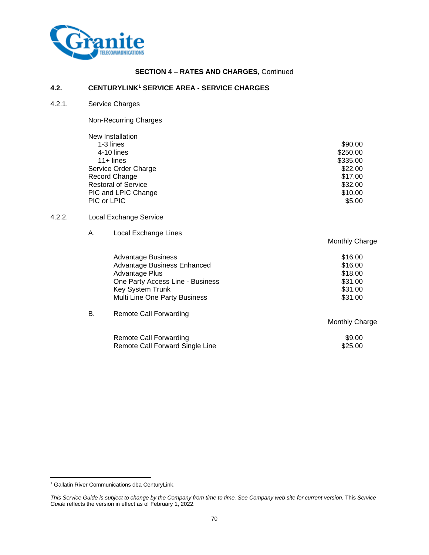

#### **4.2. CENTURYLINK<sup>1</sup> SERVICE AREA - SERVICE CHARGES**

4.2.1. Service Charges

Non-Recurring Charges

| New Installation           |          |
|----------------------------|----------|
| 1-3 lines                  | \$90.00  |
| 4-10 lines                 | \$250.00 |
| $11 +$ lines               | \$335.00 |
| Service Order Charge       | \$22.00  |
| Record Change              | \$17.00  |
| <b>Restoral of Service</b> | \$32.00  |
| PIC and LPIC Change        | \$10.00  |
| PIC or LPIC                | \$5.00   |
|                            |          |

#### 4.2.2. Local Exchange Service

A. Local Exchange Lines

|    | <b>Advantage Business</b><br>Advantage Business Enhanced | \$16.00<br>\$16.00 |
|----|----------------------------------------------------------|--------------------|
|    | Advantage Plus                                           | \$18.00            |
|    | One Party Access Line - Business                         | \$31.00            |
|    | Key System Trunk                                         | \$31.00            |
|    | Multi Line One Party Business                            | \$31.00            |
| В. | <b>Remote Call Forwarding</b>                            |                    |

Monthly Charge

Monthly Charge

| Remote Call Forwarding          | \$9.00  |
|---------------------------------|---------|
| Remote Call Forward Single Line | \$25.00 |

<sup>&</sup>lt;sup>1</sup> Gallatin River Communications dba CenturyLink.

*This Service Guide is subject to change by the Company from time to time. See Company web site for current version.* This *Service Guide* reflects the version in effect as of February 1, 2022.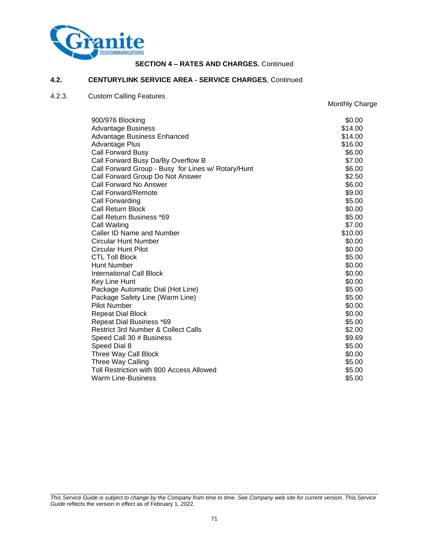

Monthly Charge

#### **4.2. CENTURYLINK SERVICE AREA - SERVICE CHARGES**, Continued

## 4.2.3. Custom Calling Features

| 900/976 Blocking                                   | \$0.00  |
|----------------------------------------------------|---------|
| <b>Advantage Business</b>                          | \$14.00 |
| <b>Advantage Business Enhanced</b>                 | \$14.00 |
| Advantage Plus                                     | \$16.00 |
| <b>Call Forward Busy</b>                           | \$6.00  |
| Call Forward Busy Da/By Overflow B                 | \$7.00  |
| Call Forward Group - Busy for Lines w/ Rotary/Hunt | \$6.00  |
| Call Forward Group Do Not Answer                   | \$2.50  |
| <b>Call Forward No Answer</b>                      | \$6.00  |
| Call Forward/Remote                                | \$9.00  |
| Call Forwarding                                    | \$5.00  |
| Call Return Block                                  | \$0.00  |
| Call Return Business *69                           | \$5.00  |
| Call Waiting                                       | \$7.00  |
| Caller ID Name and Number                          | \$10.00 |
| Circular Hunt Number                               | \$0.00  |
| Circular Hunt Pilot                                | \$0.00  |
| <b>CTL Toll Block</b>                              | \$5.00  |
| <b>Hunt Number</b>                                 | \$0.00  |
| <b>International Call Block</b>                    | \$0.00  |
| Key Line Hunt                                      | \$0.00  |
| Package Automatic Dial (Hot Line)                  | \$5.00  |
| Package Safety Line (Warm Line)                    | \$5.00  |
| <b>Pilot Number</b>                                | \$0.00  |
| <b>Repeat Dial Block</b>                           | \$0.00  |
| Repeat Dial Business *69                           | \$5.00  |
| <b>Restrict 3rd Number &amp; Collect Calls</b>     | \$2.00  |
| Speed Call 30 # Business                           | \$9.69  |
| Speed Dial 8                                       | \$5.00  |
| Three Way Call Block                               | \$0.00  |
| Three Way Calling                                  | \$5.00  |
| Toll Restriction with 800 Access Allowed           | \$5.00  |
| <b>Warm Line-Business</b>                          | \$5.00  |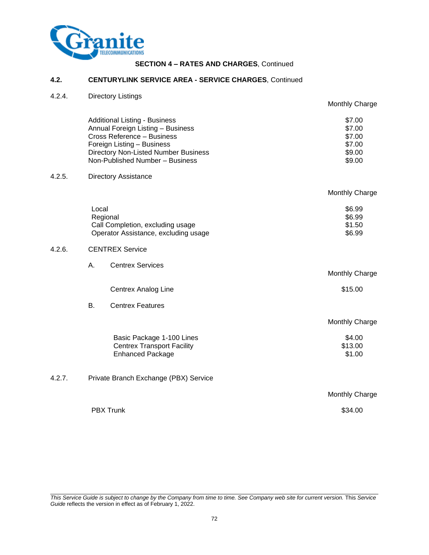

## **4.2. CENTURYLINK SERVICE AREA - SERVICE CHARGES**, Continued

4.2.4. Directory Listings

|        |                                                                                                                                                                                                                  | Monthly Charge                                           |
|--------|------------------------------------------------------------------------------------------------------------------------------------------------------------------------------------------------------------------|----------------------------------------------------------|
|        | <b>Additional Listing - Business</b><br>Annual Foreign Listing - Business<br>Cross Reference - Business<br>Foreign Listing - Business<br>Directory Non-Listed Number Business<br>Non-Published Number - Business | \$7.00<br>\$7.00<br>\$7.00<br>\$7.00<br>\$9.00<br>\$9.00 |
| 4.2.5. | <b>Directory Assistance</b>                                                                                                                                                                                      |                                                          |
|        |                                                                                                                                                                                                                  | <b>Monthly Charge</b>                                    |
|        | Local<br>Regional<br>Call Completion, excluding usage<br>Operator Assistance, excluding usage                                                                                                                    | \$6.99<br>\$6.99<br>\$1.50<br>\$6.99                     |
| 4.2.6. | <b>CENTREX Service</b>                                                                                                                                                                                           |                                                          |
|        | <b>Centrex Services</b><br>Α.                                                                                                                                                                                    | Monthly Charge                                           |
|        | Centrex Analog Line                                                                                                                                                                                              | \$15.00                                                  |
|        | <b>B.</b><br><b>Centrex Features</b>                                                                                                                                                                             |                                                          |
|        |                                                                                                                                                                                                                  | Monthly Charge                                           |
|        | Basic Package 1-100 Lines<br><b>Centrex Transport Facility</b><br><b>Enhanced Package</b>                                                                                                                        | \$4.00<br>\$13.00<br>\$1.00                              |
| 4.2.7. | Private Branch Exchange (PBX) Service                                                                                                                                                                            |                                                          |
|        |                                                                                                                                                                                                                  | Monthly Charge                                           |
|        | <b>PBX Trunk</b>                                                                                                                                                                                                 | \$34.00                                                  |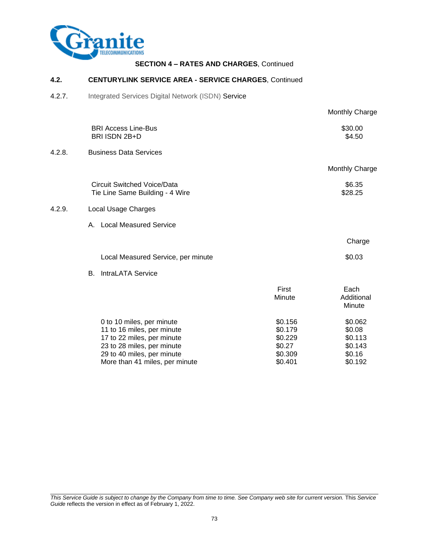

## **4.2. CENTURYLINK SERVICE AREA - SERVICE CHARGES**, Continued

4.2.7. Integrated Services Digital Network (ISDN) Service

|        |                                                                                                                                                                                     |                                                               | Monthly Charge                                               |
|--------|-------------------------------------------------------------------------------------------------------------------------------------------------------------------------------------|---------------------------------------------------------------|--------------------------------------------------------------|
|        | <b>BRI Access Line-Bus</b><br>BRI ISDN 2B+D                                                                                                                                         |                                                               | \$30.00<br>\$4.50                                            |
| 4.2.8. | <b>Business Data Services</b>                                                                                                                                                       |                                                               |                                                              |
|        |                                                                                                                                                                                     |                                                               | Monthly Charge                                               |
|        | <b>Circuit Switched Voice/Data</b><br>Tie Line Same Building - 4 Wire                                                                                                               |                                                               | \$6.35<br>\$28.25                                            |
| 4.2.9. | Local Usage Charges                                                                                                                                                                 |                                                               |                                                              |
|        | A. Local Measured Service                                                                                                                                                           |                                                               |                                                              |
|        |                                                                                                                                                                                     |                                                               | Charge                                                       |
|        | Local Measured Service, per minute                                                                                                                                                  |                                                               | \$0.03                                                       |
|        | IntraLATA Service<br>В.                                                                                                                                                             |                                                               |                                                              |
|        |                                                                                                                                                                                     | First<br>Minute                                               | Each<br>Additional<br>Minute                                 |
|        | 0 to 10 miles, per minute<br>11 to 16 miles, per minute<br>17 to 22 miles, per minute<br>23 to 28 miles, per minute<br>29 to 40 miles, per minute<br>More than 41 miles, per minute | \$0.156<br>\$0.179<br>\$0.229<br>\$0.27<br>\$0.309<br>\$0.401 | \$0.062<br>\$0.08<br>\$0.113<br>\$0.143<br>\$0.16<br>\$0.192 |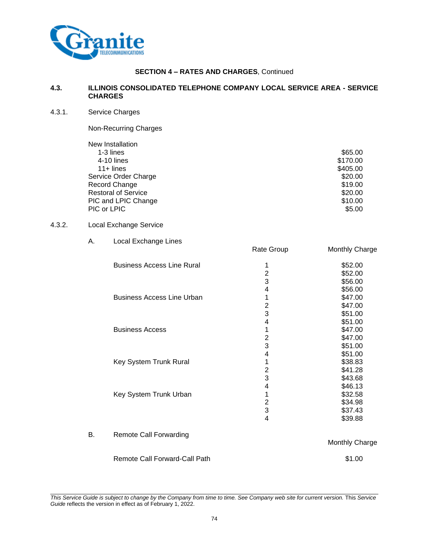

#### **4.3. ILLINOIS CONSOLIDATED TELEPHONE COMPANY LOCAL SERVICE AREA - SERVICE CHARGES**

4.3.1. Service Charges

Non-Recurring Charges

| New Installation           |          |
|----------------------------|----------|
| 1-3 lines                  | \$65.00  |
| 4-10 lines                 | \$170.00 |
| $11 +$ lines               | \$405.00 |
| Service Order Charge       | \$20.00  |
| Record Change              | \$19.00  |
| <b>Restoral of Service</b> | \$20.00  |
| PIC and LPIC Change        | \$10.00  |
| PIC or LPIC                | \$5.00   |
|                            |          |

# $4.3.2.$  Lo

|    | Local Exchange Service               |                                                          |                                                     |
|----|--------------------------------------|----------------------------------------------------------|-----------------------------------------------------|
| А. | Local Exchange Lines                 | Rate Group                                               | Monthly Charge                                      |
|    | <b>Business Access Line Rural</b>    | 1<br>$\overline{c}$<br>3                                 | \$52.00<br>\$52.00<br>\$56.00                       |
|    | <b>Business Access Line Urban</b>    | 4<br>1<br>$\overline{\mathbf{c}}$<br>3                   | \$56.00<br>\$47.00<br>\$47.00<br>\$51.00            |
|    | <b>Business Access</b>               | $\overline{\mathbf{4}}$<br>1<br>$\overline{2}$           | \$51.00<br>\$47.00<br>\$47.00                       |
|    | Key System Trunk Rural               | 3<br>$\overline{\mathbf{4}}$<br>1<br>$\overline{c}$<br>3 | \$51.00<br>\$51.00<br>\$38.83<br>\$41.28            |
|    | Key System Trunk Urban               | 4<br>1<br>$\overline{c}$<br>3                            | \$43.68<br>\$46.13<br>\$32.58<br>\$34.98<br>\$37.43 |
| В. | <b>Remote Call Forwarding</b>        | $\overline{4}$                                           | \$39.88<br>Monthly Charge                           |
|    | <b>Remote Call Forward-Call Path</b> |                                                          | \$1.00                                              |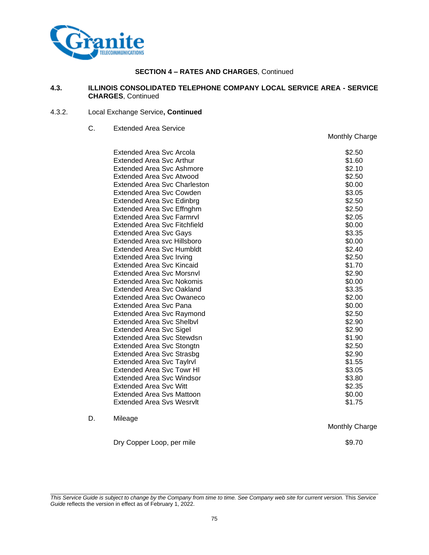

#### **4.3. ILLINOIS CONSOLIDATED TELEPHONE COMPANY LOCAL SERVICE AREA - SERVICE CHARGES**, Continued

#### 4.3.2. Local Exchange Service**, Continued**

C. Extended Area Service

|    | Extended Area Svc Arcola            | \$2.50 |
|----|-------------------------------------|--------|
|    | Extended Area Svc Arthur            | \$1.60 |
|    | Extended Area Svc Ashmore           | \$2.10 |
|    | Extended Area Svc Atwood            | \$2.50 |
|    | <b>Extended Area Svc Charleston</b> | \$0.00 |
|    | <b>Extended Area Svc Cowden</b>     | \$3.05 |
|    | Extended Area Svc Edinbrg           | \$2.50 |
|    | Extended Area Svc Effnghm           | \$2.50 |
|    | <b>Extended Area Svc Farmryl</b>    | \$2.05 |
|    | <b>Extended Area Svc Fitchfield</b> | \$0.00 |
|    | <b>Extended Area Svc Gays</b>       | \$3.35 |
|    | Extended Area svc Hillsboro         | \$0.00 |
|    | <b>Extended Area Svc Humbldt</b>    | \$2.40 |
|    | <b>Extended Area Svc Irving</b>     | \$2.50 |
|    | <b>Extended Area Svc Kincaid</b>    | \$1.70 |
|    | <b>Extended Area Svc Morsnyl</b>    | \$2.90 |
|    | Extended Area Svc Nokomis           | \$0.00 |
|    | Extended Area Svc Oakland           | \$3.35 |
|    | Extended Area Svc Owaneco           | \$2.00 |
|    | <b>Extended Area Svc Pana</b>       | \$0.00 |
|    | <b>Extended Area Svc Raymond</b>    | \$2.50 |
|    | <b>Extended Area Svc Shelbyl</b>    | \$2.90 |
|    | <b>Extended Area Svc Sigel</b>      | \$2.90 |
|    | Extended Area Svc Stewdsn           | \$1.90 |
|    | <b>Extended Area Svc Stongtn</b>    | \$2.50 |
|    | <b>Extended Area Svc Strasbg</b>    | \$2.90 |
|    | <b>Extended Area Svc Taylrvl</b>    | \$1.55 |
|    | <b>Extended Area Svc Towr HI</b>    | \$3.05 |
|    | Extended Area Svc Windsor           | \$3.80 |
|    | <b>Extended Area Svc Witt</b>       | \$2.35 |
|    | <b>Extended Area Svs Mattoon</b>    | \$0.00 |
|    | <b>Extended Area Sys Wesrylt</b>    | \$1.75 |
| D. | Mileage                             |        |

Dry Copper Loop, per mile \$9.70

Monthly Charge

Monthly Charge

*This Service Guide is subject to change by the Company from time to time. See Company web site for current version.* This *Service Guide* reflects the version in effect as of February 1, 2022.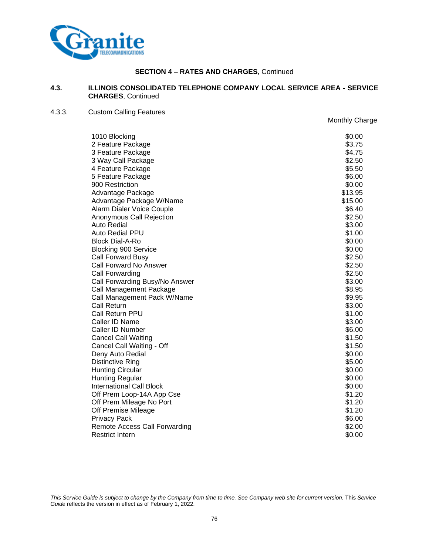

#### **4.3. ILLINOIS CONSOLIDATED TELEPHONE COMPANY LOCAL SERVICE AREA - SERVICE CHARGES**, Continued

# 4.3.3. Custom Calling Features

| wawni valility i catarca        | Monthly Charge |
|---------------------------------|----------------|
| 1010 Blocking                   | \$0.00         |
| 2 Feature Package               | \$3.75         |
| 3 Feature Package               | \$4.75         |
| 3 Way Call Package              | \$2.50         |
| 4 Feature Package               | \$5.50         |
| 5 Feature Package               | \$6.00         |
| 900 Restriction                 | \$0.00         |
| Advantage Package               | \$13.95        |
| Advantage Package W/Name        | \$15.00        |
| Alarm Dialer Voice Couple       | \$6.40         |
| Anonymous Call Rejection        | \$2.50         |
| <b>Auto Redial</b>              | \$3.00         |
| Auto Redial PPU                 | \$1.00         |
| <b>Block Dial-A-Ro</b>          | \$0.00         |
| <b>Blocking 900 Service</b>     | \$0.00         |
| Call Forward Busy               | \$2.50         |
| Call Forward No Answer          | \$2.50         |
| Call Forwarding                 | \$2.50         |
| Call Forwarding Busy/No Answer  | \$3.00         |
| Call Management Package         | \$8.95         |
| Call Management Pack W/Name     | \$9.95         |
| Call Return                     | \$3.00         |
| Call Return PPU                 | \$1.00         |
| Caller ID Name                  | \$3.00         |
| Caller ID Number                | \$6.00         |
| <b>Cancel Call Waiting</b>      | \$1.50         |
| Cancel Call Waiting - Off       | \$1.50         |
| Deny Auto Redial                | \$0.00         |
| <b>Distinctive Ring</b>         | \$5.00         |
| <b>Hunting Circular</b>         | \$0.00         |
| <b>Hunting Regular</b>          | \$0.00         |
| <b>International Call Block</b> | \$0.00         |
| Off Prem Loop-14A App Cse       | \$1.20         |
| Off Prem Mileage No Port        | \$1.20         |
| Off Premise Mileage             | \$1.20         |
| <b>Privacy Pack</b>             | \$6.00         |
| Remote Access Call Forwarding   | \$2.00         |
| <b>Restrict Intern</b>          | \$0.00         |
|                                 |                |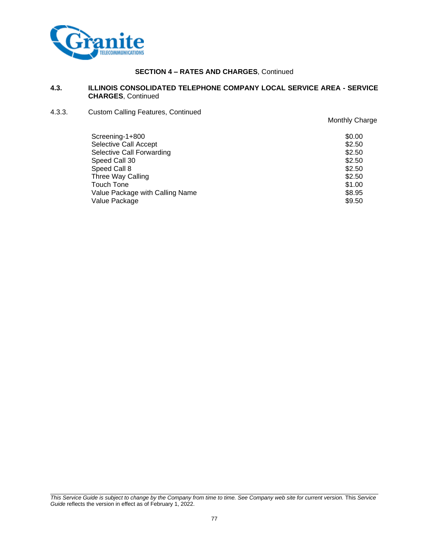

#### **4.3. ILLINOIS CONSOLIDATED TELEPHONE COMPANY LOCAL SERVICE AREA - SERVICE CHARGES**, Continued

4.3.3. Custom Calling Features, Continued

|                                 | Monthly Charge |
|---------------------------------|----------------|
| Screening-1+800                 | \$0.00         |
| Selective Call Accept           | \$2.50         |
| Selective Call Forwarding       | \$2.50         |
| Speed Call 30                   | \$2.50         |
| Speed Call 8                    | \$2.50         |
| Three Way Calling               | \$2.50         |
| Touch Tone                      | \$1.00         |
| Value Package with Calling Name | \$8.95         |
| Value Package                   | \$9.50         |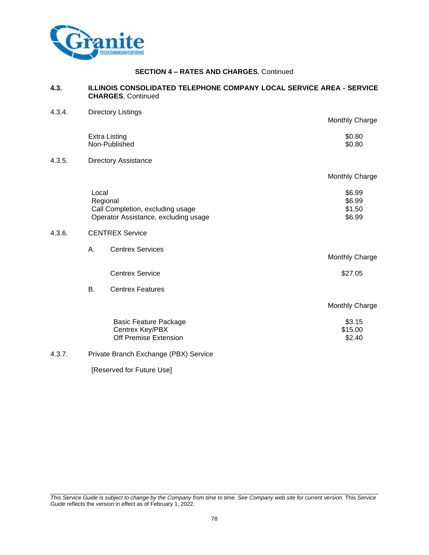

#### **4.3. ILLINOIS CONSOLIDATED TELEPHONE COMPANY LOCAL SERVICE AREA - SERVICE CHARGES**, Continued

| 4.3.4. | <b>Directory Listings</b> |                                                                                      |                                      |
|--------|---------------------------|--------------------------------------------------------------------------------------|--------------------------------------|
|        |                           |                                                                                      | Monthly Charge                       |
|        |                           | <b>Extra Listing</b><br>Non-Published                                                | \$0.80<br>\$0.80                     |
| 4.3.5. |                           | <b>Directory Assistance</b>                                                          |                                      |
|        |                           |                                                                                      | Monthly Charge                       |
|        | Local                     | Regional<br>Call Completion, excluding usage<br>Operator Assistance, excluding usage | \$6.99<br>\$6.99<br>\$1.50<br>\$6.99 |
| 4.3.6. |                           | <b>CENTREX Service</b>                                                               |                                      |
|        | Α.                        | <b>Centrex Services</b>                                                              | Monthly Charge                       |
|        |                           | <b>Centrex Service</b>                                                               | \$27.05                              |
|        | B.                        | <b>Centrex Features</b>                                                              |                                      |
|        |                           |                                                                                      | Monthly Charge                       |
|        |                           | <b>Basic Feature Package</b><br>Centrex Key/PBX<br>Off Premise Extension             | \$3.15<br>\$15.00<br>\$2.40          |
| 4.3.7. |                           | Private Branch Exchange (PBX) Service                                                |                                      |

[Reserved for Future Use]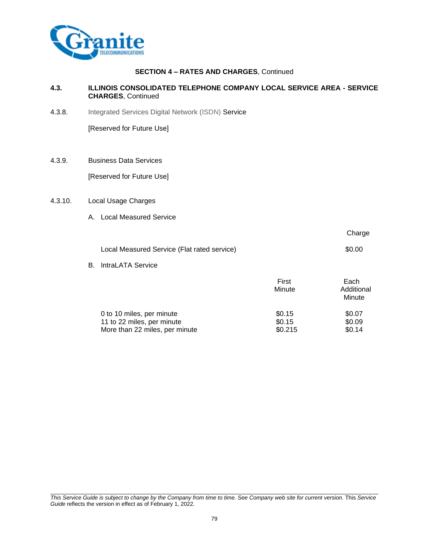

#### **4.3. ILLINOIS CONSOLIDATED TELEPHONE COMPANY LOCAL SERVICE AREA - SERVICE CHARGES**, Continued

4.3.8. Integrated Services Digital Network (ISDN) Service

[Reserved for Future Use]

4.3.9. Business Data Services

[Reserved for Future Use]

#### 4.3.10. Local Usage Charges

A. Local Measured Service

|                                             |                 | Charge             |
|---------------------------------------------|-----------------|--------------------|
| Local Measured Service (Flat rated service) |                 | \$0.00             |
| <b>B.</b> IntraLATA Service                 |                 |                    |
|                                             | First<br>Minute | Each<br>Additional |

| 0 to 10 miles, per minute      | \$0.15  | \$0.07 |
|--------------------------------|---------|--------|
| 11 to 22 miles, per minute     | \$0.15  | \$0.09 |
| More than 22 miles, per minute | \$0.215 | \$0.14 |

Minute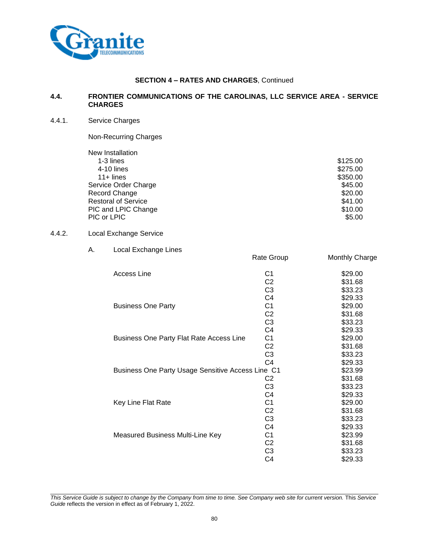

#### **4.4. FRONTIER COMMUNICATIONS OF THE CAROLINAS, LLC SERVICE AREA - SERVICE CHARGES**

#### 4.4.1. Service Charges

Non-Recurring Charges

| New Installation           |          |
|----------------------------|----------|
| 1-3 lines                  | \$125.00 |
| 4-10 lines                 | \$275.00 |
| $11 +$ lines               | \$350.00 |
| Service Order Charge       | \$45.00  |
| Record Change              | \$20.00  |
| <b>Restoral of Service</b> | \$41.00  |
| PIC and LPIC Change        | \$10.00  |
| PIC or LPIC                | \$5.00   |

#### 4.4.2. Local Exchange Service

A. Local Exchange Lines Rate Group Monthly Charge Access Line 61 629.00<br>C2 531.68 C2 \$31.68<br>C3 \$33.23 \$33.23 C4 \$29.33<br>C1 \$29.00 Business One Party **Canadian Cone C1** 629.00<br>C2 531.68 \$31.68 C3 \$33.23 C4 \$29.33 Business One Party Flat Rate Access Line C1 \$29.00 C2 \$31.68 C3 \$33.23 C4 \$29.33 Business One Party Usage Sensitive Access Line C1 \$23.99 C2 \$31.68 C3 \$33.23 C4 \$29.33 Key Line Flat Rate **C1** \$29.00 C2 \$31.68 C3 \$33.23 C4 \$29.33 Measured Business Multi-Line Key C1 623.99 C2 \$31.68 C3 \$33.23 C4 \$29.33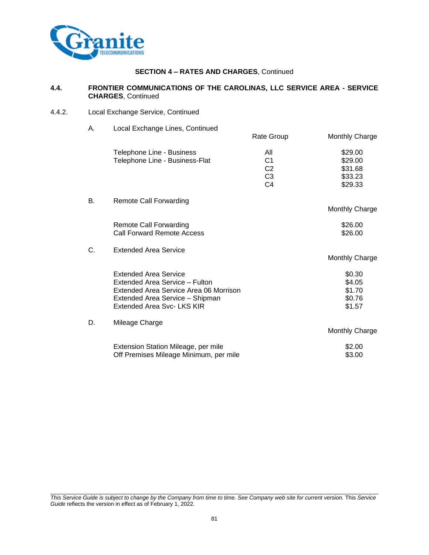

#### **4.4. FRONTIER COMMUNICATIONS OF THE CAROLINAS, LLC SERVICE AREA - SERVICE CHARGES**, Continued

4.4.2. Local Exchange Service, Continued

| А. | Local Exchange Lines, Continued                                           |                                  |                       |
|----|---------------------------------------------------------------------------|----------------------------------|-----------------------|
|    |                                                                           | Rate Group                       | Monthly Charge        |
|    | Telephone Line - Business                                                 | All                              | \$29.00               |
|    | Telephone Line - Business-Flat                                            | C <sub>1</sub><br>C <sub>2</sub> | \$29.00<br>\$31.68    |
|    |                                                                           | C <sub>3</sub>                   | \$33.23               |
|    |                                                                           | C <sub>4</sub>                   | \$29.33               |
| В. | <b>Remote Call Forwarding</b>                                             |                                  |                       |
|    |                                                                           |                                  | Monthly Charge        |
|    | <b>Remote Call Forwarding</b>                                             |                                  | \$26.00               |
|    | Call Forward Remote Access                                                |                                  | \$26.00               |
| C. | <b>Extended Area Service</b>                                              |                                  |                       |
|    |                                                                           |                                  | <b>Monthly Charge</b> |
|    | <b>Extended Area Service</b>                                              |                                  | \$0.30                |
|    | Extended Area Service - Fulton                                            |                                  | \$4.05                |
|    | Extended Area Service Area 06 Morrison<br>Extended Area Service - Shipman |                                  | \$1.70<br>\$0.76      |
|    | Extended Area Svc-LKS KIR                                                 |                                  | \$1.57                |
|    |                                                                           |                                  |                       |
| D. | Mileage Charge                                                            |                                  | Monthly Charge        |
|    | Extension Station Mileage, per mile                                       |                                  | \$2.00                |
|    | Off Premises Mileage Minimum, per mile                                    |                                  | \$3.00                |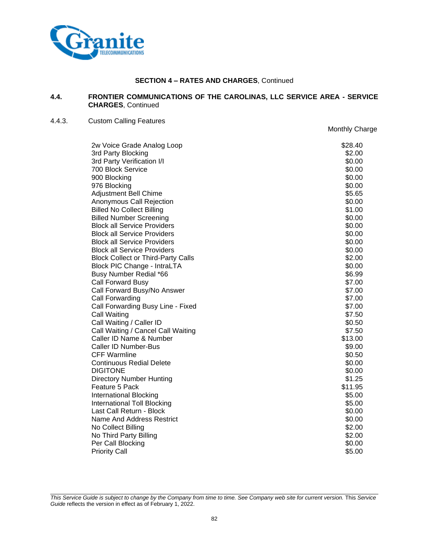

#### **4.4. FRONTIER COMMUNICATIONS OF THE CAROLINAS, LLC SERVICE AREA - SERVICE CHARGES**, Continued

Monthly Charge

#### 4.4.3. Custom Calling Features

2w Voice Grade Analog Loop **\$28.40** \$28.40 3rd Party Blocking  $$2.00$ 3rd Party Verification I/I  $$0.00$ <br>700 Block Service  $$0.00$ 700 Block Service 900 Blocking \$0.00 976 Blocking \$0.00 Adjustment Bell Chime **\$5.65** Anonymous Call Rejection  $$0.00$ Billed No Collect Billing **\$1.00** Billed Number Screening **\$0.000** \$0.00 Block all Service Providers **\$0.00** Service Providers **\$0.00** Service **\$0.00** Block all Service Providers **\$0.00** Solutions and the series of the series and the series of the series of the series of the series of the series of the series of the series of the series of the series of the series of the Block all Service Providers **\$0.00** and \$0.00 and \$0.00 and \$0.00 and \$0.00 and \$0.00 and \$1.00 and \$1.00 and \$1.00 and \$1.00 and \$1.00 and \$1.00 and \$1.00 and \$1.00 and \$1.00 and \$1.00 and \$1.00 and \$1.00 and \$1.00 and \$1 Block all Service Providers **\$0.00** block all Service Providers Block Collect or Third-Party Calls \$2.00 Block PIC Change - IntraLTA  $$0.00$ Busy Number Redial \*66 \$6.99 Call Forward Busy \$7.00 Call Forward Busy/No Answer \$7.00 Call Forwarding \$7.00 Call Forwarding Busy Line - Fixed \$7.00 Call Waiting \$7.50 Call Waiting / Caller ID  $$0.50$ Call Waiting / Cancel Call Waiting **but a struck of the Call Waiting Struck** \$7.50 Caller ID Name & Number \$13.00 Caller ID Number-Bus \$9.00 CFF Warmline \$0.50 **Continuous Redial Delete**  $\sim$  80.00 DIGITONE \$0.00 Directory Number Hunting \$1.25 Feature 5 Pack \$11.95 International Blocking \$5.00 **International Toll Blocking \$5.000 and \$5.000 and \$5.000 and \$5.000 and \$5.000 and \$5.000 and \$5.000 and \$5.00** Last Call Return - Block  $\sim$ Name And Address Restrict  $\sim$  0.000  $\sim$  10.000  $\sim$  50.000  $\sim$  50.000  $\sim$  50.000  $\sim$  50.000  $\sim$  50.000  $\sim$  50.000  $\sim$  50.000  $\sim$  50.000  $\sim$  50.000  $\sim$  50.000  $\sim$  50.000  $\sim$  50.000  $\sim$  50.000  $\sim$  50.000  $\sim$  No Collect Billing \$2.00 No Third Party Billing \$2.00 Per Call Blocking \$0.00 Priority Call **\$5.00**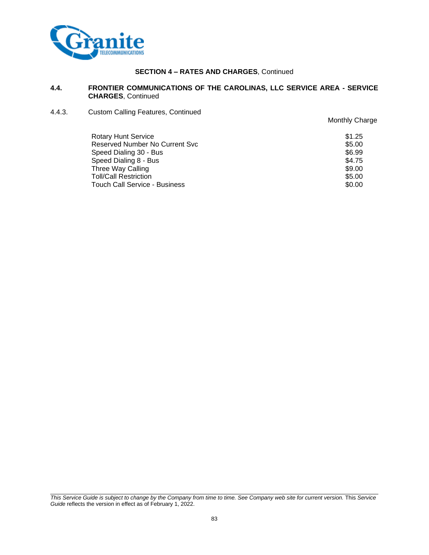

#### **4.4. FRONTIER COMMUNICATIONS OF THE CAROLINAS, LLC SERVICE AREA - SERVICE CHARGES**, Continued

4.4.3. Custom Calling Features, Continued

| <b>Rotary Hunt Service</b>     | \$1.25 |
|--------------------------------|--------|
| Reserved Number No Current Svc | \$5.00 |
| Speed Dialing 30 - Bus         | \$6.99 |
| Speed Dialing 8 - Bus          | \$4.75 |
| Three Way Calling              | \$9.00 |
| <b>Toll/Call Restriction</b>   | \$5.00 |
| Touch Call Service - Business  | \$0.00 |

Monthly Charge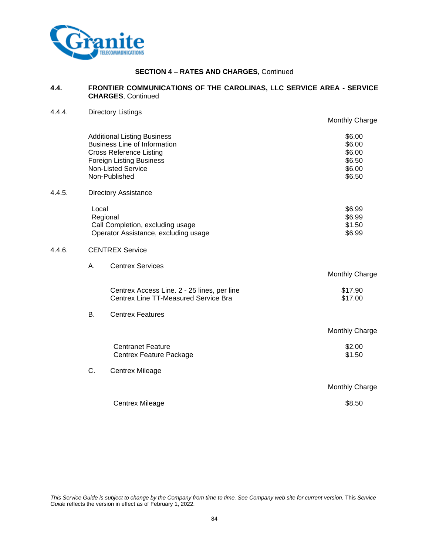

4.4.4. Directory Listings

#### **SECTION 4 – RATES AND CHARGES**, Continued

#### **4.4. FRONTIER COMMUNICATIONS OF THE CAROLINAS, LLC SERVICE AREA - SERVICE CHARGES**, Continued

Monthly Charge Additional Listing Business \$6.00<br>Business Line of Information \$6.00 Business Line of Information \$6.00 Cross Reference Listing \$6.00 Foreign Listing Business Non-Listed Service \$6.00 Non-Published \$6.50 4.4.5. Directory Assistance Local \$6.99 Regional \$6.99 Call Completion, excluding usage  $$1.50$ Operator Assistance, excluding usage  $$6.99$ 4.4.6. CENTREX Service A. Centrex Services Monthly Charge Centrex Access Line. 2 - 25 lines, per line  $$17.90$ Centrex Line TT-Measured Service Bra  $$17.00$ B. Centrex Features Monthly Charge Centranet Feature  $$2.00$ Centrex Feature Package \$1.50 C. Centrex Mileage Monthly Charge Centrex Mileage \$8.50

*This Service Guide is subject to change by the Company from time to time. See Company web site for current version.* This *Service Guide* reflects the version in effect as of February 1, 2022.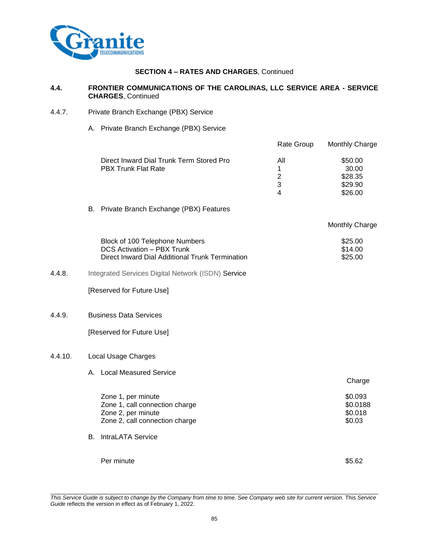

 $4.4.9.$ 

 $4.4.10.$ 

## **SECTION 4 – RATES AND CHARGES**, Continued

#### **4.4. FRONTIER COMMUNICATIONS OF THE CAROLINAS, LLC SERVICE AREA - SERVICE CHARGES**, Continued

- 4.4.7. Private Branch Exchange (PBX) Service
	- A. Private Branch Exchange (PBX) Service

|         |                                                                                                                               | Rate Group                           | Monthly Charge                                    |
|---------|-------------------------------------------------------------------------------------------------------------------------------|--------------------------------------|---------------------------------------------------|
|         | Direct Inward Dial Trunk Term Stored Pro<br><b>PBX Trunk Flat Rate</b>                                                        | All<br>1<br>$\overline{2}$<br>3<br>4 | \$50.00<br>30.00<br>\$28.35<br>\$29.90<br>\$26.00 |
|         | B. Private Branch Exchange (PBX) Features                                                                                     |                                      |                                                   |
|         |                                                                                                                               |                                      | <b>Monthly Charge</b>                             |
|         | Block of 100 Telephone Numbers<br><b>DCS Activation - PBX Trunk</b><br><b>Direct Inward Dial Additional Trunk Termination</b> |                                      | \$25.00<br>\$14.00<br>\$25.00                     |
| 4.4.8.  | Integrated Services Digital Network (ISDN) Service                                                                            |                                      |                                                   |
|         | [Reserved for Future Use]                                                                                                     |                                      |                                                   |
| 4.4.9.  | <b>Business Data Services</b>                                                                                                 |                                      |                                                   |
|         | [Reserved for Future Use]                                                                                                     |                                      |                                                   |
| 4.4.10. | Local Usage Charges                                                                                                           |                                      |                                                   |
|         | <b>Local Measured Service</b><br>A.                                                                                           |                                      | Charge                                            |

| Zone 1, per minute             | \$0.093  |
|--------------------------------|----------|
| Zone 1, call connection charge | \$0.0188 |
| Zone 2, per minute             | \$0.018  |
| Zone 2, call connection charge | \$0.03   |
| <b>B.</b> IntraLATA Service    |          |
|                                |          |
|                                |          |
|                                |          |

Per minute \$5.62

*This Service Guide is subject to change by the Company from time to time. See Company web site for current version.* This *Service Guide* reflects the version in effect as of February 1, 2022.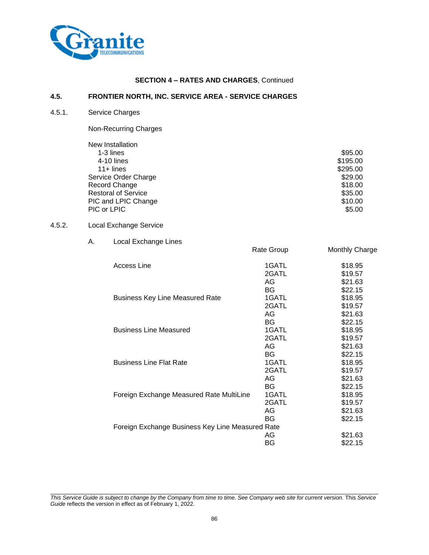

## **4.5. FRONTIER NORTH, INC. SERVICE AREA - SERVICE CHARGES**

4.5.1. Service Charges

Non-Recurring Charges

| New Installation           |          |
|----------------------------|----------|
| 1-3 lines                  | \$95.00  |
| $4-10$ lines               | \$195.00 |
| $11 +$ lines               | \$295.00 |
| Service Order Charge       | \$29.00  |
| Record Change              | \$18.00  |
| <b>Restoral of Service</b> | \$35.00  |
| PIC and LPIC Change        | \$10.00  |
| PIC or LPIC                | \$5.00   |

#### 4.5.2. Local Exchange Service

#### A. Local Exchange Lines

| <b>Access Line</b>                               | 1GATL | \$18.95 |
|--------------------------------------------------|-------|---------|
|                                                  | 2GATL | \$19.57 |
|                                                  | AG    | \$21.63 |
|                                                  | BG    | \$22.15 |
| <b>Business Key Line Measured Rate</b>           | 1GATL | \$18.95 |
|                                                  | 2GATL | \$19.57 |
|                                                  | AG    | \$21.63 |
|                                                  | BG    | \$22.15 |
| <b>Business Line Measured</b>                    | 1GATL | \$18.95 |
|                                                  | 2GATL | \$19.57 |
|                                                  | AG    | \$21.63 |
|                                                  | BG    | \$22.15 |
| <b>Business Line Flat Rate</b>                   | 1GATL | \$18.95 |
|                                                  | 2GATL | \$19.57 |
|                                                  | AG    | \$21.63 |
|                                                  | BG    | \$22.15 |
| Foreign Exchange Measured Rate MultiLine         | 1GATL | \$18.95 |
|                                                  | 2GATL | \$19.57 |
|                                                  | AG    | \$21.63 |
|                                                  | BG    | \$22.15 |
| Foreign Exchange Business Key Line Measured Rate |       |         |
|                                                  | AG    | \$21.63 |
|                                                  | ΒG    | \$22.15 |

Rate Group Monthly Charge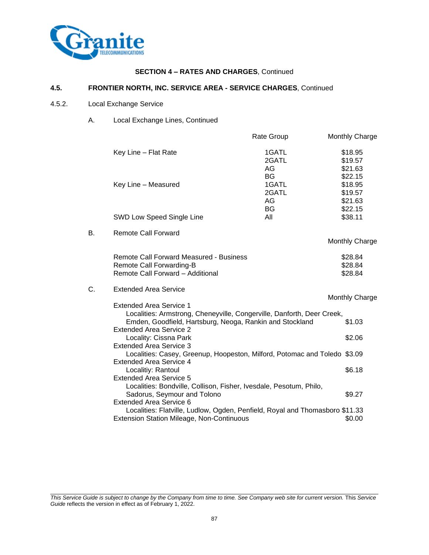

#### **4.5. FRONTIER NORTH, INC. SERVICE AREA - SERVICE CHARGES**, Continued

#### 4.5.2. Local Exchange Service

A. Local Exchange Lines, Continued

|    |                                                                                                                                          | Rate Group                        | Monthly Charge                           |
|----|------------------------------------------------------------------------------------------------------------------------------------------|-----------------------------------|------------------------------------------|
|    | Key Line - Flat Rate                                                                                                                     | 1GATL<br>2GATL<br>AG              | \$18.95<br>\$19.57<br>\$21.63            |
|    | Key Line - Measured                                                                                                                      | <b>BG</b><br>1GATL<br>2GATL<br>AG | \$22.15<br>\$18.95<br>\$19.57<br>\$21.63 |
|    | SWD Low Speed Single Line                                                                                                                | BG<br>All                         | \$22.15<br>\$38.11                       |
| В. | <b>Remote Call Forward</b>                                                                                                               |                                   | Monthly Charge                           |
|    | <b>Remote Call Forward Measured - Business</b><br>Remote Call Forwarding-B<br>Remote Call Forward - Additional                           |                                   | \$28.84<br>\$28.84<br>\$28.84            |
| C. | <b>Extended Area Service</b><br><b>Extended Area Service 1</b><br>Localities: Armstrong, Cheneyville, Congerville, Danforth, Deer Creek, |                                   | Monthly Charge                           |
|    | Emden, Goodfield, Hartsburg, Neoga, Rankin and Stockland<br><b>Extended Area Service 2</b>                                               |                                   | \$1.03                                   |
|    | Locality: Cissna Park<br><b>Extended Area Service 3</b>                                                                                  |                                   | \$2.06                                   |
|    | Localities: Casey, Greenup, Hoopeston, Milford, Potomac and Toledo \$3.09<br><b>Extended Area Service 4</b>                              |                                   |                                          |
|    | Localitiy: Rantoul<br><b>Extended Area Service 5</b>                                                                                     |                                   | \$6.18                                   |
|    | Localities: Bondville, Collison, Fisher, Ivesdale, Pesotum, Philo,<br>Sadorus, Seymour and Tolono<br><b>Extended Area Service 6</b>      |                                   | \$9.27                                   |
|    | Localities: Flatville, Ludlow, Ogden, Penfield, Royal and Thomasboro \$11.33<br>Extension Station Mileage, Non-Continuous                |                                   | \$0.00                                   |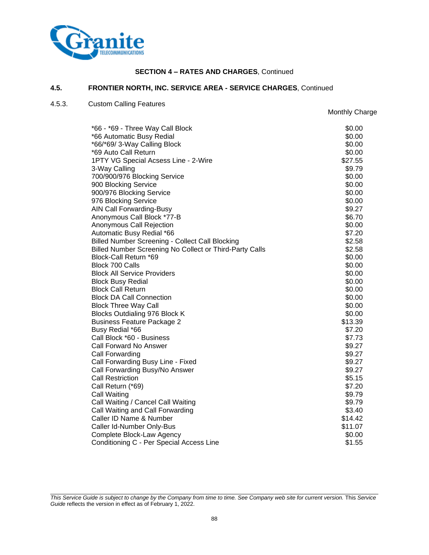

#### **4.5. FRONTIER NORTH, INC. SERVICE AREA - SERVICE CHARGES**, Continued

## 4.5.3. Custom Calling Features

Monthly Charge

| *66 - *69 - Three Way Call Block                        | \$0.00  |
|---------------------------------------------------------|---------|
| *66 Automatic Busy Redial                               | \$0.00  |
| *66/*69/ 3-Way Calling Block                            | \$0.00  |
| *69 Auto Call Return                                    | \$0.00  |
| 1PTY VG Special Acsess Line - 2-Wire                    | \$27.55 |
| 3-Way Calling                                           | \$9.79  |
| 700/900/976 Blocking Service                            | \$0.00  |
| 900 Blocking Service                                    | \$0.00  |
| 900/976 Blocking Service                                | \$0.00  |
| 976 Blocking Service                                    | \$0.00  |
| <b>AIN Call Forwarding-Busy</b>                         | \$9.27  |
| Anonymous Call Block *77-B                              | \$6.70  |
| Anonymous Call Rejection                                | \$0.00  |
| Automatic Busy Redial *66                               | \$7.20  |
| <b>Billed Number Screening - Collect Call Blocking</b>  | \$2.58  |
| Billed Number Screening No Collect or Third-Party Calls | \$2.58  |
| Block-Call Return *69                                   | \$0.00  |
| Block 700 Calls                                         | \$0.00  |
| <b>Block All Service Providers</b>                      | \$0.00  |
| <b>Block Busy Redial</b>                                | \$0.00  |
| <b>Block Call Return</b>                                | \$0.00  |
| <b>Block DA Call Connection</b>                         | \$0.00  |
| <b>Block Three Way Call</b>                             | \$0.00  |
| Blocks Outdialing 976 Block K                           | \$0.00  |
| <b>Business Feature Package 2</b>                       | \$13.39 |
| Busy Redial *66                                         | \$7.20  |
| Call Block *60 - Business                               | \$7.73  |
| <b>Call Forward No Answer</b>                           | \$9.27  |
| Call Forwarding                                         | \$9.27  |
| Call Forwarding Busy Line - Fixed                       | \$9.27  |
| Call Forwarding Busy/No Answer                          | \$9.27  |
| <b>Call Restriction</b>                                 | \$5.15  |
| Call Return (*69)                                       | \$7.20  |
| Call Waiting                                            | \$9.79  |
| Call Waiting / Cancel Call Waiting                      | \$9.79  |
| Call Waiting and Call Forwarding                        | \$3.40  |
| Caller ID Name & Number                                 | \$14.42 |
| Caller Id-Number Only-Bus                               | \$11.07 |
| Complete Block-Law Agency                               | \$0.00  |
| Conditioning C - Per Special Access Line                | \$1.55  |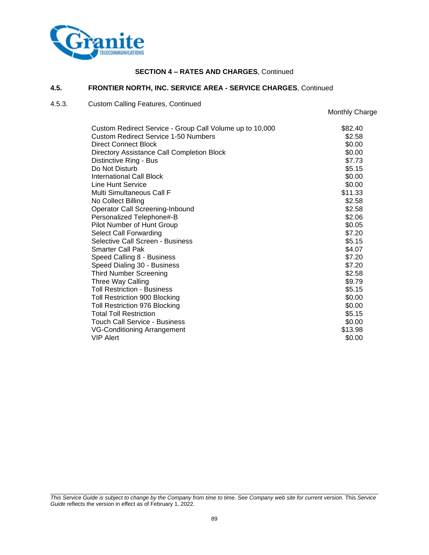

#### **4.5. FRONTIER NORTH, INC. SERVICE AREA - SERVICE CHARGES**, Continued

# 4.5.3. Custom Calling Features, Continued

Monthly Charge

| Custom Redirect Service - Group Call Volume up to 10,000 | \$82.40 |
|----------------------------------------------------------|---------|
| <b>Custom Redirect Service 1-50 Numbers</b>              | \$2.58  |
| <b>Direct Connect Block</b>                              | \$0.00  |
| Directory Assistance Call Completion Block               | \$0.00  |
| Distinctive Ring - Bus                                   | \$7.73  |
| Do Not Disturb                                           | \$5.15  |
| International Call Block                                 | \$0.00  |
| Line Hunt Service                                        | \$0.00  |
| Multi Simultaneous Call F                                | \$11.33 |
| No Collect Billing                                       | \$2.58  |
| Operator Call Screening-Inbound                          | \$2.58  |
| Personalized Telephone#-B                                | \$2.06  |
| Pilot Number of Hunt Group                               | \$0.05  |
| Select Call Forwarding                                   | \$7.20  |
| Selective Call Screen - Business                         | \$5.15  |
| <b>Smarter Call Pak</b>                                  | \$4.07  |
| Speed Calling 8 - Business                               | \$7.20  |
| Speed Dialing 30 - Business                              | \$7.20  |
| <b>Third Number Screening</b>                            | \$2.58  |
| Three Way Calling                                        | \$9.79  |
| <b>Toll Restriction - Business</b>                       | \$5.15  |
| <b>Toll Restriction 900 Blocking</b>                     | \$0.00  |
| <b>Toll Restriction 976 Blocking</b>                     | \$0.00  |
| <b>Total Toll Restriction</b>                            | \$5.15  |
| <b>Touch Call Service - Business</b>                     | \$0.00  |
| <b>VG-Conditioning Arrangement</b>                       | \$13.98 |
| <b>VIP Alert</b>                                         | \$0.00  |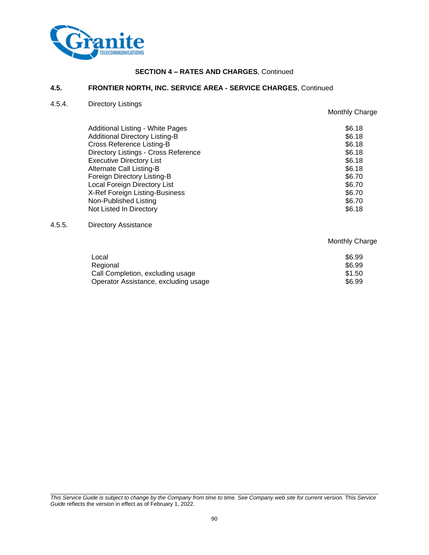

#### **4.5. FRONTIER NORTH, INC. SERVICE AREA - SERVICE CHARGES**, Continued

#### 4.5.4. Directory Listings

Monthly Charge

| Additional Listing - White Pages<br><b>Additional Directory Listing-B</b><br><b>Cross Reference Listing-B</b> | \$6.18<br>\$6.18<br>\$6.18 |
|---------------------------------------------------------------------------------------------------------------|----------------------------|
| Directory Listings - Cross Reference                                                                          | \$6.18                     |
| <b>Executive Directory List</b>                                                                               | \$6.18                     |
| Alternate Call Listing-B                                                                                      | \$6.18                     |
| Foreign Directory Listing-B                                                                                   | \$6.70                     |
| Local Foreign Directory List                                                                                  | \$6.70                     |
| X-Ref Foreign Listing-Business                                                                                | \$6.70                     |
| Non-Published Listing                                                                                         | \$6.70                     |
| Not Listed In Directory                                                                                       | \$6.18                     |

#### 4.5.5. Directory Assistance

Monthly Charge Local \$6.99 Regional \$6.99 Call Completion, excluding usage \$1.50 Operator Assistance, excluding usage \$6.99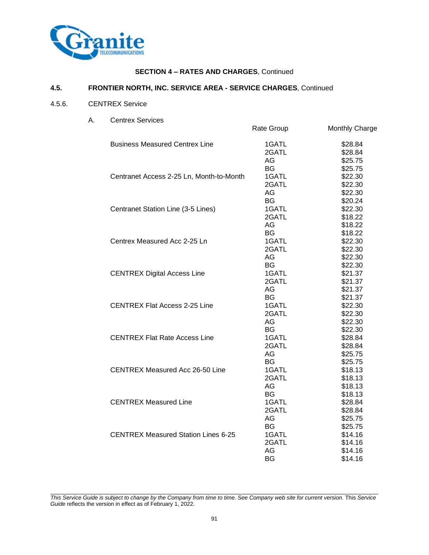

#### **4.5. FRONTIER NORTH, INC. SERVICE AREA - SERVICE CHARGES**, Continued

## 4.5.6. CENTREX Service

A. Centrex Services

| Centrex Services                           | Rate Group                                     | Monthly Charge                                      |
|--------------------------------------------|------------------------------------------------|-----------------------------------------------------|
| <b>Business Measured Centrex Line</b>      | 1GATL<br>2GATL<br>AG                           | \$28.84<br>\$28.84<br>\$25.75                       |
| Centranet Access 2-25 Ln, Month-to-Month   | <b>BG</b><br>1GATL<br>2GATL<br>AG              | \$25.75<br>\$22.30<br>\$22.30<br>\$22.30            |
| Centranet Station Line (3-5 Lines)         | <b>BG</b><br>1GATL<br>2GATL<br>AG              | \$20.24<br>\$22.30<br>\$18.22<br>\$18.22            |
| Centrex Measured Acc 2-25 Ln               | <b>BG</b><br>1GATL<br>2GATL<br>AG              | \$18.22<br>\$22.30<br>\$22.30<br>\$22.30            |
| <b>CENTREX Digital Access Line</b>         | <b>BG</b><br>1GATL<br>2GATL<br>AG              | \$22.30<br>\$21.37<br>\$21.37<br>\$21.37            |
| <b>CENTREX Flat Access 2-25 Line</b>       | BG<br>1GATL<br>2GATL<br>AG                     | \$21.37<br>\$22.30<br>\$22.30<br>\$22.30            |
| <b>CENTREX Flat Rate Access Line</b>       | <b>BG</b><br>1GATL<br>2GATL<br>AG.             | \$22.30<br>\$28.84<br>\$28.84<br>\$25.75            |
| <b>CENTREX Measured Acc 26-50 Line</b>     | <b>BG</b><br>1GATL<br>2GATL<br>AG              | \$25.75<br>\$18.13<br>\$18.13<br>\$18.13            |
| <b>CENTREX Measured Line</b>               | <b>BG</b><br>1GATL<br>2GATL<br>AG.             | \$18.13<br>\$28.84<br>\$28.84<br>\$25.75            |
| <b>CENTREX Measured Station Lines 6-25</b> | <b>BG</b><br>1GATL<br>2GATL<br>AG<br><b>BG</b> | \$25.75<br>\$14.16<br>\$14.16<br>\$14.16<br>\$14.16 |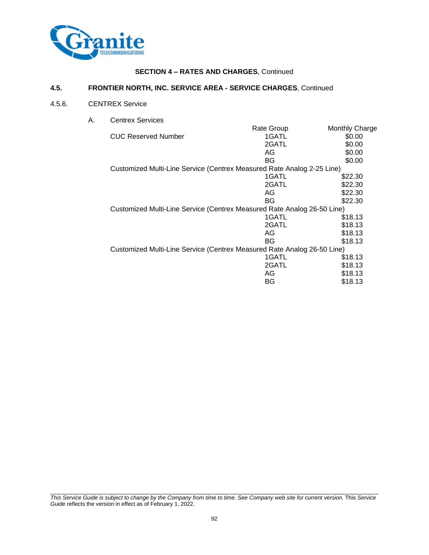

#### **4.5. FRONTIER NORTH, INC. SERVICE AREA - SERVICE CHARGES**, Continued

#### 4.5.6. CENTREX Service

A. Centrex Services

| Centrex Services                                                        |            |                |
|-------------------------------------------------------------------------|------------|----------------|
|                                                                         | Rate Group | Monthly Charge |
| <b>CUC Reserved Number</b>                                              | 1GATL      | \$0.00         |
|                                                                         | 2GATL      | \$0.00         |
|                                                                         | AG         | \$0.00         |
|                                                                         | BG         | \$0.00         |
| Customized Multi-Line Service (Centrex Measured Rate Analog 2-25 Line)  |            |                |
|                                                                         | 1GATL      | \$22.30        |
|                                                                         | 2GATL      | \$22.30        |
|                                                                         | AG         | \$22.30        |
|                                                                         | BG         | \$22.30        |
| Customized Multi-Line Service (Centrex Measured Rate Analog 26-50 Line) |            |                |
|                                                                         | 1GATL      | \$18.13        |
|                                                                         | 2GATL      | \$18.13        |
|                                                                         | AG         | \$18.13        |
|                                                                         | BG         | \$18.13        |
| Customized Multi-Line Service (Centrex Measured Rate Analog 26-50 Line) |            |                |
|                                                                         | 1GATL      | \$18.13        |
|                                                                         | 2GATL      | \$18.13        |
|                                                                         | AG         | \$18.13        |
|                                                                         | BG         | \$18.13        |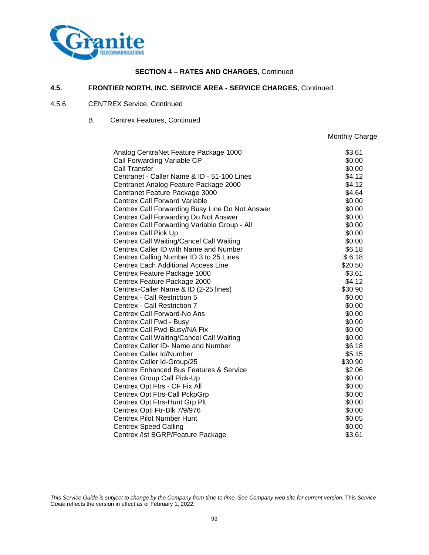

#### **4.5. FRONTIER NORTH, INC. SERVICE AREA - SERVICE CHARGES**, Continued

#### 4.5.6. CENTREX Service, Continued

B. Centrex Features, Continued

Monthly Charge

| Analog CentraNet Feature Package 1000           | \$3.61  |
|-------------------------------------------------|---------|
| Call Forwarding Variable CP                     | \$0.00  |
| Call Transfer                                   | \$0.00  |
| Centranet - Caller Name & ID - 51-100 Lines     | \$4.12  |
| Centranet Analog Feature Package 2000           | \$4.12  |
| Centranet Feature Package 3000                  | \$4.64  |
| <b>Centrex Call Forward Variable</b>            | \$0.00  |
| Centrex Call Forwarding Busy Line Do Not Answer | \$0.00  |
| Centrex Call Forwarding Do Not Answer           | \$0.00  |
| Centrex Call Forwarding Variable Group - All    | \$0.00  |
| <b>Centrex Call Pick Up</b>                     | \$0.00  |
| Centrex Call Waiting/Cancel Call Waiting        | \$0.00  |
| Centrex Caller ID with Name and Number          | \$6.18  |
| Centrex Calling Number ID 3 to 25 Lines         | \$6.18  |
| <b>Centrex Each Additional Access Line</b>      | \$20.50 |
| Centrex Feature Package 1000                    | \$3.61  |
| Centrex Feature Package 2000                    | \$4.12  |
| Centrex-Caller Name & ID (2-25 lines)           | \$30.90 |
| Centrex - Call Restriction 5                    | \$0.00  |
| Centrex - Call Restriction 7                    | \$0.00  |
| Centrex Call Forward-No Ans                     | \$0.00  |
| Centrex Call Fwd - Busy                         | \$0.00  |
| Centrex Call Fwd-Busy/NA Fix                    | \$0.00  |
| Centrex Call Waiting/Cancel Call Waiting        | \$0.00  |
| Centrex Caller ID- Name and Number              | \$6.18  |
| Centrex Caller Id/Number                        | \$5.15  |
| Centrex Caller Id-Group/25                      | \$30.90 |
| Centrex Enhanced Bus Features & Service         | \$2.06  |
| Centrex Group Call Pick-Up                      | \$0.00  |
| Centrex Opt Ftrs - CF Fix All                   | \$0.00  |
| Centrex Opt Ftrs-Call PckpGrp                   | \$0.00  |
| Centrex Opt Ftrs-Hunt Grp Plt                   | \$0.00  |
| Centrex Optl Ftr-Blk 7/9/976                    | \$0.00  |
| <b>Centrex Pilot Number Hunt</b>                | \$0.05  |
| <b>Centrex Speed Calling</b>                    | \$0.00  |
| Centrex /!st BGRP/Feature Package               | \$3.61  |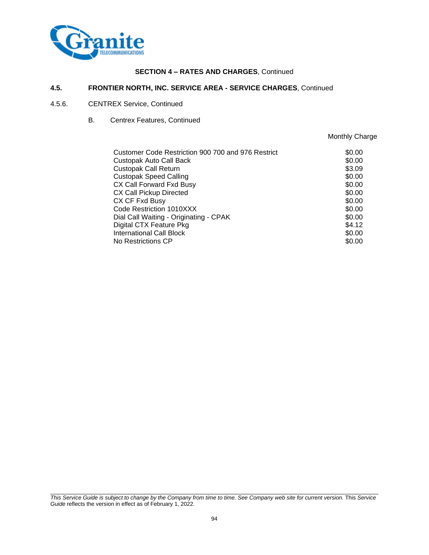

#### **4.5. FRONTIER NORTH, INC. SERVICE AREA - SERVICE CHARGES**, Continued

#### 4.5.6. CENTREX Service, Continued

B. Centrex Features, Continued

Monthly Charge

| Customer Code Restriction 900 700 and 976 Restrict | \$0.00 |
|----------------------------------------------------|--------|
| Custopak Auto Call Back                            | \$0.00 |
| <b>Custopak Call Return</b>                        | \$3.09 |
| <b>Custopak Speed Calling</b>                      | \$0.00 |
| CX Call Forward Fxd Busy                           | \$0.00 |
| CX Call Pickup Directed                            | \$0.00 |
| CX CF Fxd Busy                                     | \$0.00 |
| Code Restriction 1010XXX                           | \$0.00 |
| Dial Call Waiting - Originating - CPAK             | \$0.00 |
| Digital CTX Feature Pkg                            | \$4.12 |
| <b>International Call Block</b>                    | \$0.00 |
| No Restrictions CP                                 | \$0.00 |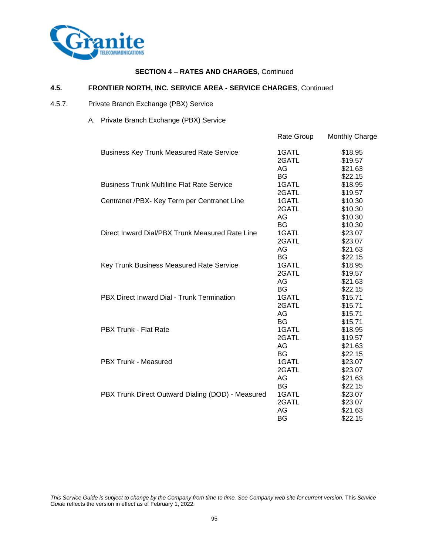

#### **4.5. FRONTIER NORTH, INC. SERVICE AREA - SERVICE CHARGES**, Continued

- 4.5.7. Private Branch Exchange (PBX) Service
	- A. Private Branch Exchange (PBX) Service

|                                                   | Rate Group | Monthly Charge |
|---------------------------------------------------|------------|----------------|
| <b>Business Key Trunk Measured Rate Service</b>   | 1GATL      | \$18.95        |
|                                                   | 2GATL      | \$19.57        |
|                                                   | AG         | \$21.63        |
|                                                   | BG         | \$22.15        |
| <b>Business Trunk Multiline Flat Rate Service</b> | 1GATL      | \$18.95        |
|                                                   | 2GATL      | \$19.57        |
| Centranet /PBX- Key Term per Centranet Line       | 1GATL      | \$10.30        |
|                                                   | 2GATL      | \$10.30        |
|                                                   | AG         | \$10.30        |
|                                                   | <b>BG</b>  | \$10.30        |
| Direct Inward Dial/PBX Trunk Measured Rate Line   | 1GATL      | \$23.07        |
|                                                   | 2GATL      | \$23.07        |
|                                                   | AG         | \$21.63        |
|                                                   | <b>BG</b>  | \$22.15        |
| Key Trunk Business Measured Rate Service          | 1GATL      | \$18.95        |
|                                                   | 2GATL      | \$19.57        |
|                                                   | AG         | \$21.63        |
|                                                   | <b>BG</b>  | \$22.15        |
| PBX Direct Inward Dial - Trunk Termination        | 1GATL      | \$15.71        |
|                                                   | 2GATL      | \$15.71        |
|                                                   | AG         | \$15.71        |
|                                                   | <b>BG</b>  | \$15.71        |
| <b>PBX Trunk - Flat Rate</b>                      | 1GATL      | \$18.95        |
|                                                   | 2GATL      | \$19.57        |
|                                                   | AG         | \$21.63        |
|                                                   | BG         | \$22.15        |
| <b>PBX Trunk - Measured</b>                       | 1GATL      | \$23.07        |
|                                                   | 2GATL      | \$23.07        |
|                                                   | AG         | \$21.63        |
|                                                   | <b>BG</b>  | \$22.15        |
| PBX Trunk Direct Outward Dialing (DOD) - Measured | 1GATL      | \$23.07        |
|                                                   | 2GATL      | \$23.07        |
|                                                   | AG         | \$21.63        |
|                                                   | BG         | \$22.15        |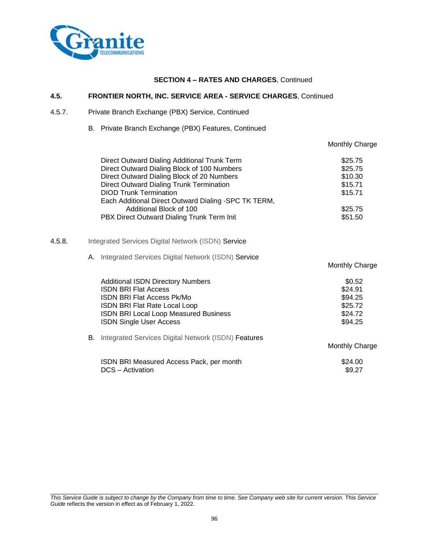

## **4.5. FRONTIER NORTH, INC. SERVICE AREA - SERVICE CHARGES**, Continued

#### 4.5.7. Private Branch Exchange (PBX) Service, Continued

B. Private Branch Exchange (PBX) Features, Continued

|        |                                                                                                                                                                                                                                                                                                                                                         | Monthly Charge                                                            |
|--------|---------------------------------------------------------------------------------------------------------------------------------------------------------------------------------------------------------------------------------------------------------------------------------------------------------------------------------------------------------|---------------------------------------------------------------------------|
|        | Direct Outward Dialing Additional Trunk Term<br>Direct Outward Dialing Block of 100 Numbers<br>Direct Outward Dialing Block of 20 Numbers<br>Direct Outward Dialing Trunk Termination<br><b>DIOD Trunk Termination</b><br>Each Additional Direct Outward Dialing -SPC TK TERM,<br>Additional Block of 100<br>PBX Direct Outward Dialing Trunk Term Init | \$25.75<br>\$25.75<br>\$10.30<br>\$15.71<br>\$15.71<br>\$25.75<br>\$51.50 |
| 4.5.8. | Integrated Services Digital Network (ISDN) Service                                                                                                                                                                                                                                                                                                      |                                                                           |
|        | A. Integrated Services Digital Network (ISDN) Service                                                                                                                                                                                                                                                                                                   | Monthly Charge                                                            |
|        | <b>Additional ISDN Directory Numbers</b><br><b>ISDN BRI Flat Access</b><br><b>ISDN BRI Flat Access Pk/Mo</b><br>ISDN BRI Flat Rate Local Loop<br>ISDN BRI Local Loop Measured Business<br><b>ISDN Single User Access</b>                                                                                                                                | \$0.52<br>\$24.91<br>\$94.25<br>\$25.72<br>\$24.72<br>\$94.25             |
|        | <b>B.</b> Integrated Services Digital Network (ISDN) Features                                                                                                                                                                                                                                                                                           | Monthly Charge                                                            |
|        | ISDN BRI Measured Access Pack, per month<br>DCS - Activation                                                                                                                                                                                                                                                                                            | \$24.00<br>\$9.27                                                         |
|        |                                                                                                                                                                                                                                                                                                                                                         |                                                                           |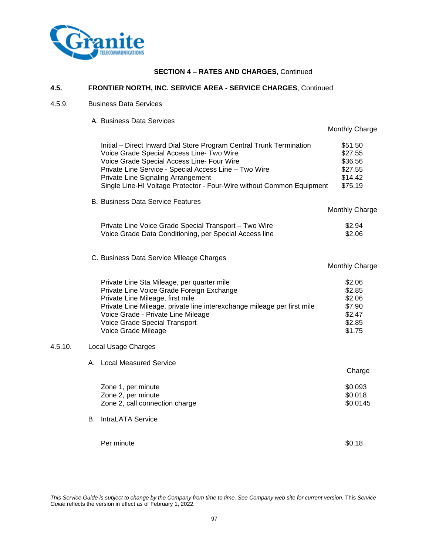

#### **4.5. FRONTIER NORTH, INC. SERVICE AREA - SERVICE CHARGES**, Continued

## 4.5.9. Business Data Services

A. Business Data Services

|                                                                                                                                                                                                                                                                                                                                         | Monthly Charge                                                     |
|-----------------------------------------------------------------------------------------------------------------------------------------------------------------------------------------------------------------------------------------------------------------------------------------------------------------------------------------|--------------------------------------------------------------------|
| Initial - Direct Inward Dial Store Program Central Trunk Termination<br>Voice Grade Special Access Line- Two Wire<br>Voice Grade Special Access Line- Four Wire<br>Private Line Service - Special Access Line - Two Wire<br>Private Line Signaling Arrangement<br>Single Line-HI Voltage Protector - Four-Wire without Common Equipment | \$51.50<br>\$27.55<br>\$36.56<br>\$27.55<br>\$14.42<br>\$75.19     |
| <b>B. Business Data Service Features</b>                                                                                                                                                                                                                                                                                                | Monthly Charge                                                     |
| Private Line Voice Grade Special Transport - Two Wire<br>Voice Grade Data Conditioning, per Special Access line                                                                                                                                                                                                                         | \$2.94<br>\$2.06                                                   |
| C. Business Data Service Mileage Charges                                                                                                                                                                                                                                                                                                | Monthly Charge                                                     |
| Private Line Sta Mileage, per quarter mile<br>Private Line Voice Grade Foreign Exchange<br>Private Line Mileage, first mile<br>Private Line Mileage, private line interexchange mileage per first mile<br>Voice Grade - Private Line Mileage<br>Voice Grade Special Transport<br>Voice Grade Mileage                                    | \$2.06<br>\$2.85<br>\$2.06<br>\$7.90<br>\$2.47<br>\$2.85<br>\$1.75 |
| Local Usage Charges<br>4.5.10.                                                                                                                                                                                                                                                                                                          |                                                                    |
| A. Local Measured Service                                                                                                                                                                                                                                                                                                               | Charge                                                             |
| Zone 1, per minute<br>Zone 2, per minute<br>Zone 2, call connection charge                                                                                                                                                                                                                                                              | \$0.093<br>\$0.018<br>\$0.0145                                     |
| <b>B.</b> IntraLATA Service                                                                                                                                                                                                                                                                                                             |                                                                    |
| Per minute                                                                                                                                                                                                                                                                                                                              | \$0.18                                                             |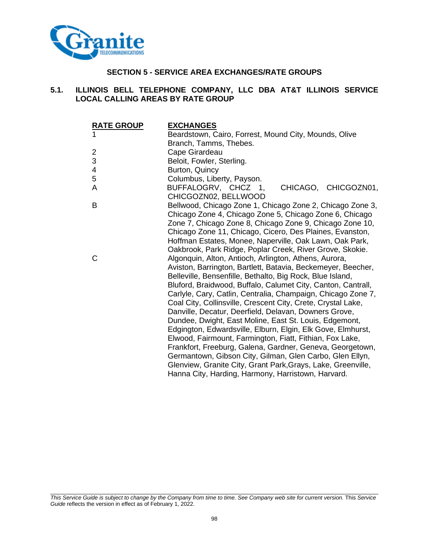

# **SECTION 5 - SERVICE AREA EXCHANGES/RATE GROUPS**

# **5.1. ILLINOIS BELL TELEPHONE COMPANY, LLC DBA AT&T ILLINOIS SERVICE LOCAL CALLING AREAS BY RATE GROUP**

| <b>RATE GROUP</b>         | <b>EXCHANGES</b>                                             |
|---------------------------|--------------------------------------------------------------|
| 1                         | Beardstown, Cairo, Forrest, Mound City, Mounds, Olive        |
|                           | Branch, Tamms, Thebes.                                       |
| $\overline{c}$            | Cape Girardeau                                               |
| $\ensuremath{\mathsf{3}}$ | Beloit, Fowler, Sterling.                                    |
| 4                         | Burton, Quincy                                               |
| 5                         | Columbus, Liberty, Payson.                                   |
| A                         | CHICAGO, CHICGOZN01,<br>BUFFALOGRV, CHCZ 1,                  |
|                           | CHICGOZN02, BELLWOOD                                         |
| B                         | Bellwood, Chicago Zone 1, Chicago Zone 2, Chicago Zone 3,    |
|                           | Chicago Zone 4, Chicago Zone 5, Chicago Zone 6, Chicago      |
|                           | Zone 7, Chicago Zone 8, Chicago Zone 9, Chicago Zone 10,     |
|                           | Chicago Zone 11, Chicago, Cicero, Des Plaines, Evanston,     |
|                           | Hoffman Estates, Monee, Naperville, Oak Lawn, Oak Park,      |
|                           | Oakbrook, Park Ridge, Poplar Creek, River Grove, Skokie.     |
| C                         | Algonquin, Alton, Antioch, Arlington, Athens, Aurora,        |
|                           | Aviston, Barrington, Bartlett, Batavia, Beckemeyer, Beecher, |
|                           | Belleville, Bensenfille, Bethalto, Big Rock, Blue Island,    |
|                           | Bluford, Braidwood, Buffalo, Calumet City, Canton, Cantrall, |
|                           | Carlyle, Cary, Catlin, Centralia, Champaign, Chicago Zone 7, |
|                           | Coal City, Collinsville, Crescent City, Crete, Crystal Lake, |
|                           | Danville, Decatur, Deerfield, Delavan, Downers Grove,        |
|                           | Dundee, Dwight, East Moline, East St. Louis, Edgemont,       |
|                           | Edgington, Edwardsville, Elburn, Elgin, Elk Gove, Elmhurst,  |
|                           | Elwood, Fairmount, Farmington, Fiatt, Fithian, Fox Lake,     |
|                           | Frankfort, Freeburg, Galena, Gardner, Geneva, Georgetown,    |
|                           | Germantown, Gibson City, Gilman, Glen Carbo, Glen Ellyn,     |
|                           | Glenview, Granite City, Grant Park, Grays, Lake, Greenville, |
|                           | Hanna City, Harding, Harmony, Harristown, Harvard.           |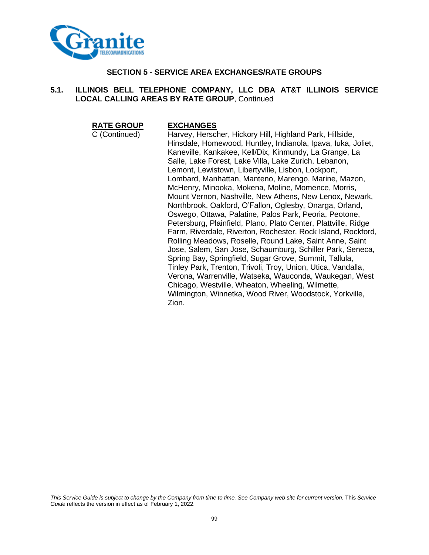

# **SECTION 5 - SERVICE AREA EXCHANGES/RATE GROUPS**

# **5.1. ILLINOIS BELL TELEPHONE COMPANY, LLC DBA AT&T ILLINOIS SERVICE LOCAL CALLING AREAS BY RATE GROUP**, Continued

**RATE GROUP EXCHANGES**

C (Continued) Harvey, Herscher, Hickory Hill, Highland Park, Hillside, Hinsdale, Homewood, Huntley, Indianola, Ipava, Iuka, Joliet, Kaneville, Kankakee, Kell/Dix, Kinmundy, La Grange, La Salle, Lake Forest, Lake Villa, Lake Zurich, Lebanon, Lemont, Lewistown, Libertyville, Lisbon, Lockport, Lombard, Manhattan, Manteno, Marengo, Marine, Mazon, McHenry, Minooka, Mokena, Moline, Momence, Morris, Mount Vernon, Nashville, New Athens, New Lenox, Newark, Northbrook, Oakford, O'Fallon, Oglesby, Onarga, Orland, Oswego, Ottawa, Palatine, Palos Park, Peoria, Peotone, Petersburg, Plainfield, Plano, Plato Center, Plattville, Ridge Farm, Riverdale, Riverton, Rochester, Rock Island, Rockford, Rolling Meadows, Roselle, Round Lake, Saint Anne, Saint Jose, Salem, San Jose, Schaumburg, Schiller Park, Seneca, Spring Bay, Springfield, Sugar Grove, Summit, Tallula, Tinley Park, Trenton, Trivoli, Troy, Union, Utica, Vandalla, Verona, Warrenville, Watseka, Wauconda, Waukegan, West Chicago, Westville, Wheaton, Wheeling, Wilmette, Wilmington, Winnetka, Wood River, Woodstock, Yorkville, Zion.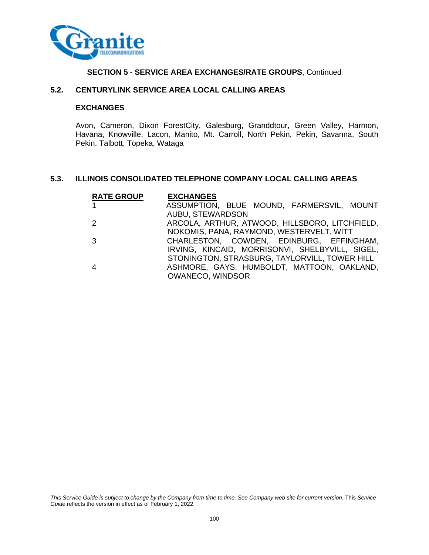

# **5.2. CENTURYLINK SERVICE AREA LOCAL CALLING AREAS**

## **EXCHANGES**

Avon, Cameron, Dixon ForestCity, Galesburg, Granddtour, Green Valley, Harmon, Havana, Knowville, Lacon, Manito, Mt. Carroll, North Pekin, Pekin, Savanna, South Pekin, Talbott, Topeka, Wataga

# **5.3. ILLINOIS CONSOLIDATED TELEPHONE COMPANY LOCAL CALLING AREAS**

| <b>RATE GROUP</b> | <b>EXCHANGES</b>                                |
|-------------------|-------------------------------------------------|
| $\mathbf{1}$      | ASSUMPTION, BLUE MOUND, FARMERSVIL, MOUNT       |
|                   | AUBU, STEWARDSON                                |
| 2                 | ARCOLA, ARTHUR, ATWOOD, HILLSBORO, LITCHFIELD,  |
|                   | NOKOMIS, PANA, RAYMOND, WESTERVELT, WITT        |
| 3                 | CHARLESTON, COWDEN, EDINBURG, EFFINGHAM,        |
|                   | IRVING, KINCAID, MORRISONVI, SHELBYVILL, SIGEL, |
|                   | STONINGTON, STRASBURG, TAYLORVILL, TOWER HILL   |
| $\overline{4}$    | ASHMORE, GAYS, HUMBOLDT, MATTOON, OAKLAND,      |
|                   | <b>OWANECO, WINDSOR</b>                         |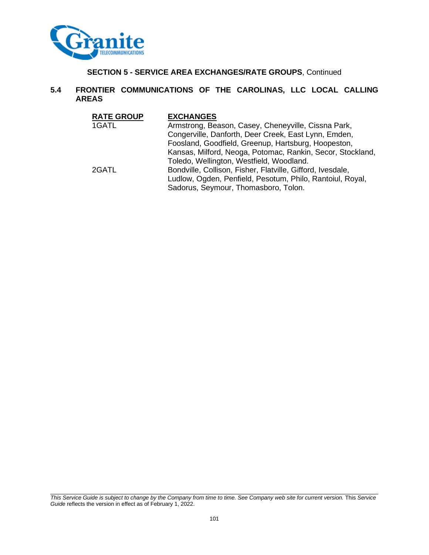

# **5.4 FRONTIER COMMUNICATIONS OF THE CAROLINAS, LLC LOCAL CALLING AREAS**

| <b>RATE GROUP</b> | <b>EXCHANGES</b>                                                                                  |
|-------------------|---------------------------------------------------------------------------------------------------|
| 1GATL             | Armstrong, Beason, Casey, Cheneyville, Cissna Park,                                               |
|                   | Congerville, Danforth, Deer Creek, East Lynn, Emden,                                              |
|                   | Foosland, Goodfield, Greenup, Hartsburg, Hoopeston,                                               |
|                   | Kansas, Milford, Neoga, Potomac, Rankin, Secor, Stockland,                                        |
|                   | Toledo, Wellington, Westfield, Woodland.                                                          |
| 2GATL             | Bondville, Collison, Fisher, Flatville, Gifford, Ivesdale,                                        |
|                   | Ludlow, Ogden, Penfield, Pesotum, Philo, Rantoiul, Royal,<br>Sadorus, Seymour, Thomasboro, Tolon. |
|                   |                                                                                                   |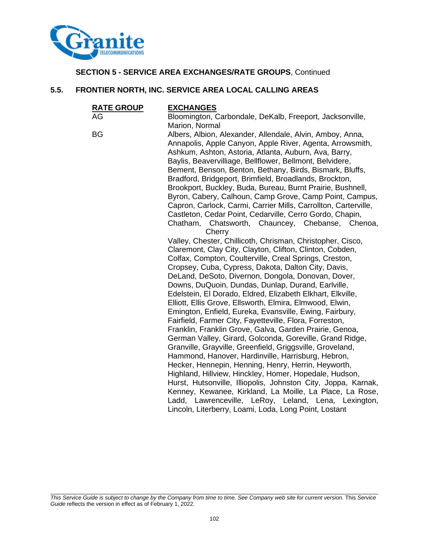

# **5.5. FRONTIER NORTH, INC. SERVICE AREA LOCAL CALLING AREAS**

| <b>RATE GROUP</b> | <b>EXCHANGES</b>                                                                                                    |
|-------------------|---------------------------------------------------------------------------------------------------------------------|
| AG                | Bloomington, Carbondale, DeKalb, Freeport, Jacksonville,                                                            |
|                   | Marion, Normal                                                                                                      |
| <b>BG</b>         | Albers, Albion, Alexander, Allendale, Alvin, Amboy, Anna,                                                           |
|                   | Annapolis, Apple Canyon, Apple River, Agenta, Arrowsmith,                                                           |
|                   | Ashkum, Ashton, Astoria, Atlanta, Auburn, Ava, Barry,                                                               |
|                   | Baylis, Beavervilliage, Bellflower, Bellmont, Belvidere,                                                            |
|                   | Bement, Benson, Benton, Bethany, Birds, Bismark, Bluffs,                                                            |
|                   | Bradford, Bridgeport, Brimfield, Broadlands, Brockton,                                                              |
|                   | Brookport, Buckley, Buda, Bureau, Burnt Prairie, Bushnell,                                                          |
|                   | Byron, Cabery, Calhoun, Camp Grove, Camp Point, Campus,                                                             |
|                   | Capron, Carlock, Carmi, Carrier Mills, Carrollton, Carterville,                                                     |
|                   | Castleton, Cedar Point, Cedarville, Cerro Gordo, Chapin,                                                            |
|                   | Chatham, Chatsworth, Chauncey, Chebanse, Chenoa,                                                                    |
|                   | Cherry                                                                                                              |
|                   | Valley, Chester, Chillicoth, Chrisman, Christopher, Cisco,                                                          |
|                   | Claremont, Clay City, Clayton, Clifton, Clinton, Cobden,                                                            |
|                   | Colfax, Compton, Coulterville, Creal Springs, Creston,                                                              |
|                   | Cropsey, Cuba, Cypress, Dakota, Dalton City, Davis,                                                                 |
|                   | DeLand, DeSoto, Divernon, Dongola, Donovan, Dover,                                                                  |
|                   | Downs, DuQuoin, Dundas, Dunlap, Durand, Earlville,                                                                  |
|                   | Edelstein, El Dorado, Eldred, Elizabeth Elkhart, Elkville,                                                          |
|                   | Elliott, Ellis Grove, Ellsworth, Elmira, Elmwood, Elwin,                                                            |
|                   | Emington, Enfield, Eureka, Evansville, Ewing, Fairbury,                                                             |
|                   | Fairfield, Farmer City, Fayetteville, Flora, Forreston,                                                             |
|                   | Franklin, Franklin Grove, Galva, Garden Prairie, Genoa,<br>German Valley, Girard, Golconda, Goreville, Grand Ridge, |
|                   | Granville, Grayville, Greenfield, Griggsville, Groveland,                                                           |
|                   | Hammond, Hanover, Hardinville, Harrisburg, Hebron,                                                                  |
|                   | Hecker, Hennepin, Henning, Henry, Herrin, Heyworth,                                                                 |
|                   | Highland, Hillview, Hinckley, Homer, Hopedale, Hudson,                                                              |
|                   | Hurst, Hutsonville, Illiopolis, Johnston City, Joppa, Karnak,                                                       |
|                   | Kenney, Kewanee, Kirkland, La Moille, La Place, La Rose,                                                            |
|                   | Ladd, Lawrenceville, LeRoy, Leland, Lena, Lexington,                                                                |
|                   | Lincoln, Literberry, Loami, Loda, Long Point, Lostant                                                               |
|                   |                                                                                                                     |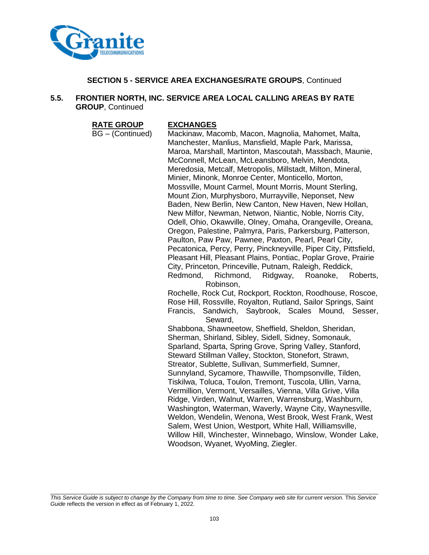

# **5.5. FRONTIER NORTH, INC. SERVICE AREA LOCAL CALLING AREAS BY RATE GROUP**, Continued

**RATE GROUP EXCHANGES**

BG – (Continued) Mackinaw, Macomb, Macon, Magnolia, Mahomet, Malta, Manchester, Manlius, Mansfield, Maple Park, Marissa, Maroa, Marshall, Martinton, Mascoutah, Massbach, Maunie, McConnell, McLean, McLeansboro, Melvin, Mendota, Meredosia, Metcalf, Metropolis, Millstadt, Milton, Mineral, Minier, Minonk, Monroe Center, Monticello, Morton, Mossville, Mount Carmel, Mount Morris, Mount Sterling, Mount Zion, Murphysboro, Murrayville, Neponset, New Baden, New Berlin, New Canton, New Haven, New Hollan, New Milfor, Newman, Netwon, Niantic, Noble, Norris City, Odell, Ohio, Okawville, Olney, Omaha, Orangeville, Oreana, Oregon, Palestine, Palmyra, Paris, Parkersburg, Patterson, Paulton, Paw Paw, Pawnee, Paxton, Pearl, Pearl City, Pecatonica, Percy, Perry, Pinckneyville, Piper City, Pittsfield, Pleasant Hill, Pleasant Plains, Pontiac, Poplar Grove, Prairie City, Princeton, Princeville, Putnam, Raleigh, Reddick, Redmond, Richmond, Ridgway, Roanoke, Roberts, Robinson, Rochelle, Rock Cut, Rockport, Rockton, Roodhouse, Roscoe, Rose Hill, Rossville, Royalton, Rutland, Sailor Springs, Saint Francis, Sandwich, Saybrook, Scales Mound, Sesser, Seward, Shabbona, Shawneetow, Sheffield, Sheldon, Sheridan, Sherman, Shirland, Sibley, Sidell, Sidney, Somonauk, Sparland, Sparta, Spring Grove, Spring Valley, Stanford, Steward Stillman Valley, Stockton, Stonefort, Strawn, Streator, Sublette, Sullivan, Summerfield, Sumner, Sunnyland, Sycamore, Thawville, Thompsonville, Tilden, Tiskilwa, Toluca, Toulon, Tremont, Tuscola, Ullin, Varna, Vermillion, Vermont, Versailles, Vienna, Villa Grive, Villa Ridge, Virden, Walnut, Warren, Warrensburg, Washburn, Washington, Waterman, Waverly, Wayne City, Waynesville, Weldon, Wendelin, Wenona, West Brook, West Frank, West Salem, West Union, Westport, White Hall, Williamsville, Willow Hill, Winchester, Winnebago, Winslow, Wonder Lake, Woodson, Wyanet, WyoMing, Ziegler.

*This Service Guide is subject to change by the Company from time to time. See Company web site for current version.* This *Service Guide* reflects the version in effect as of February 1, 2022.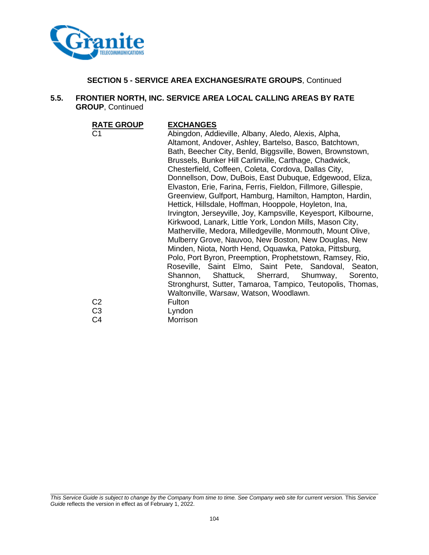

## **5.5. FRONTIER NORTH, INC. SERVICE AREA LOCAL CALLING AREAS BY RATE GROUP**, Continued

**RATE GROUP EXCHANGES**

Abingdon, Addieville, Albany, Aledo, Alexis, Alpha, Altamont, Andover, Ashley, Bartelso, Basco, Batchtown, Bath, Beecher City, Benld, Biggsville, Bowen, Brownstown, Brussels, Bunker Hill Carlinville, Carthage, Chadwick, Chesterfield, Coffeen, Coleta, Cordova, Dallas City, Donnellson, Dow, DuBois, East Dubuque, Edgewood, Eliza, Elvaston, Erie, Farina, Ferris, Fieldon, Fillmore, Gillespie, Greenview, Gulfport, Hamburg, Hamilton, Hampton, Hardin, Hettick, Hillsdale, Hoffman, Hooppole, Hoyleton, Ina, Irvington, Jerseyville, Joy, Kampsville, Keyesport, Kilbourne, Kirkwood, Lanark, Little York, London Mills, Mason City, Matherville, Medora, Milledgeville, Monmouth, Mount Olive, Mulberry Grove, Nauvoo, New Boston, New Douglas, New Minden, Niota, North Hend, Oquawka, Patoka, Pittsburg, Polo, Port Byron, Preemption, Prophetstown, Ramsey, Rio, Roseville, Saint Elmo, Saint Pete, Sandoval, Seaton, Shannon, Shattuck, Sherrard, Shumway, Sorento, Stronghurst, Sutter, Tamaroa, Tampico, Teutopolis, Thomas, Waltonville, Warsaw, Watson, Woodlawn. C<sub>2</sub> Fulton C3 Lyndon C4 Morrison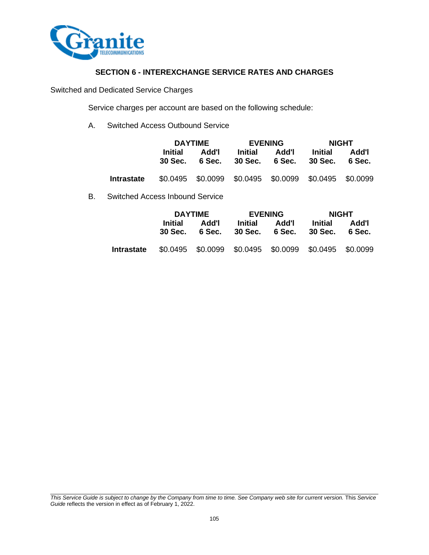

# **SECTION 6 - INTEREXCHANGE SERVICE RATES AND CHARGES**

Switched and Dedicated Service Charges

Service charges per account are based on the following schedule:

A. Switched Access Outbound Service

|            | <b>DAYTIME</b>     |                 |         | <b>EVENING</b>                                | <b>NIGHT</b>                                          |                 |  |
|------------|--------------------|-----------------|---------|-----------------------------------------------|-------------------------------------------------------|-----------------|--|
|            | Initial<br>30 Sec. | Add'l<br>6 Sec. | Initial | Initial<br>Add'l<br>30 Sec. 6 Sec.<br>30 Sec. |                                                       | Add'l<br>6 Sec. |  |
| Intrastate |                    |                 |         |                                               | \$0.0495 \$0.0099 \$0.0495 \$0.0099 \$0.0495 \$0.0099 |                 |  |

B. Switched Access Inbound Service

|            | <b>DAYTIME</b>                                        |                 |         | <b>EVENING</b>                  | <b>NIGHT</b> |                 |  |
|------------|-------------------------------------------------------|-----------------|---------|---------------------------------|--------------|-----------------|--|
|            | Initial<br>30 Sec.                                    | Add'l<br>6 Sec. | Initial | Add'l<br>30 Sec. 6 Sec. 30 Sec. | Initial      | Add'l<br>6 Sec. |  |
| Intrastate | \$0.0495 \$0.0099 \$0.0495 \$0.0099 \$0.0495 \$0.0099 |                 |         |                                 |              |                 |  |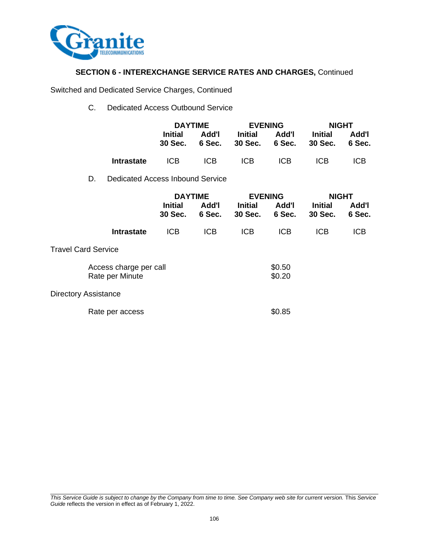

# **SECTION 6 - INTEREXCHANGE SERVICE RATES AND CHARGES,** Continued

Switched and Dedicated Service Charges, Continued

C. Dedicated Access Outbound Service

|    |                                  | <b>DAYTIME</b>     |                 |                           | <b>EVENING</b>  | <b>NIGHT</b>              |                 |
|----|----------------------------------|--------------------|-----------------|---------------------------|-----------------|---------------------------|-----------------|
|    |                                  | Initial<br>30 Sec. | Add'l<br>6 Sec. | <b>Initial</b><br>30 Sec. | Add'l<br>6 Sec. | <b>Initial</b><br>30 Sec. | Add'l<br>6 Sec. |
|    | <b>Intrastate</b>                | ICB.               | ICB.            | ICB.                      | ICB.            | ICB                       | <b>ICB</b>      |
| D. | Dedicated Access Inbound Service |                    |                 |                           |                 |                           |                 |

|                             |                                           | <b>DAYTIME</b>                               |            | <b>EVENING</b>            |                 | <b>NIGHT</b>              |                 |
|-----------------------------|-------------------------------------------|----------------------------------------------|------------|---------------------------|-----------------|---------------------------|-----------------|
|                             |                                           | <b>Initial</b><br>Add'l<br>30 Sec.<br>6 Sec. |            | <b>Initial</b><br>30 Sec. | Add'l<br>6 Sec. | <b>Initial</b><br>30 Sec. | Add'l<br>6 Sec. |
|                             | <b>Intrastate</b>                         | <b>ICB</b>                                   | <b>ICB</b> | <b>ICB</b>                | <b>ICB</b>      | <b>ICB</b>                | <b>ICB</b>      |
| <b>Travel Card Service</b>  |                                           |                                              |            |                           |                 |                           |                 |
|                             | Access charge per call<br>Rate per Minute |                                              |            | \$0.50<br>\$0.20          |                 |                           |                 |
| <b>Directory Assistance</b> |                                           |                                              |            |                           |                 |                           |                 |
|                             | Rate per access                           |                                              |            |                           | \$0.85          |                           |                 |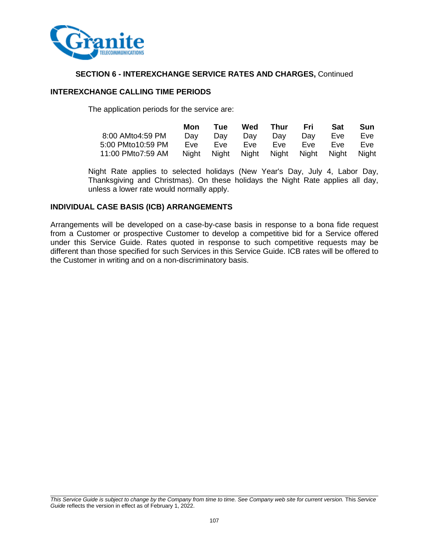

# **SECTION 6 - INTEREXCHANGE SERVICE RATES AND CHARGES,** Continued

# **INTEREXCHANGE CALLING TIME PERIODS**

The application periods for the service are:

|                                                                                  | Mon        | <b>Tue</b> | Wed   | Thur | Fri        | <b>Sat</b> | Sun |
|----------------------------------------------------------------------------------|------------|------------|-------|------|------------|------------|-----|
| 8:00 AMto4:59 PM                                                                 | Dav        | Dav        | Dav   | Dav  | Dav        | Eve        | Eve |
| 5:00 PMto10:59 PM                                                                | <b>Eve</b> | <b>Eve</b> | Eve – | Eve  | <b>Eve</b> | <b>Fve</b> | Eve |
| 11:00 PMto7:59 AM    Night    Night    Night    Night    Night    Night    Night |            |            |       |      |            |            |     |

Night Rate applies to selected holidays (New Year's Day, July 4, Labor Day, Thanksgiving and Christmas). On these holidays the Night Rate applies all day, unless a lower rate would normally apply.

## **INDIVIDUAL CASE BASIS (ICB) ARRANGEMENTS**

Arrangements will be developed on a case-by-case basis in response to a bona fide request from a Customer or prospective Customer to develop a competitive bid for a Service offered under this Service Guide. Rates quoted in response to such competitive requests may be different than those specified for such Services in this Service Guide. ICB rates will be offered to the Customer in writing and on a non-discriminatory basis.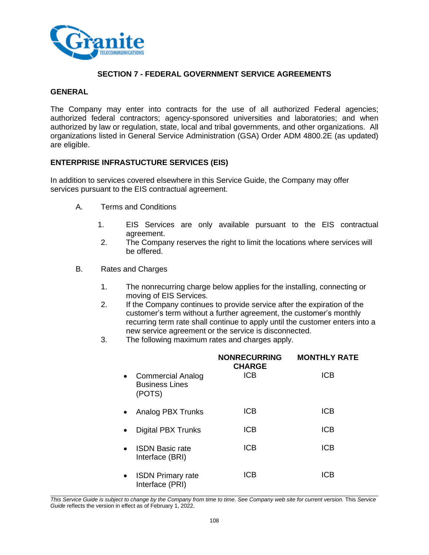

### **SECTION 7 - FEDERAL GOVERNMENT SERVICE AGREEMENTS**

#### **GENERAL**

The Company may enter into contracts for the use of all authorized Federal agencies; authorized federal contractors; agency-sponsored universities and laboratories; and when authorized by law or regulation, state, local and tribal governments, and other organizations. All organizations listed in General Service Administration (GSA) Order ADM 4800.2E (as updated) are eligible.

#### **ENTERPRISE INFRASTUCTURE SERVICES (EIS)**

In addition to services covered elsewhere in this Service Guide, the Company may offer services pursuant to the EIS contractual agreement.

- A. Terms and Conditions
	- 1. EIS Services are only available pursuant to the EIS contractual agreement.
	- 2. The Company reserves the right to limit the locations where services will be offered.
- B. Rates and Charges
	- 1. The nonrecurring charge below applies for the installing, connecting or moving of EIS Services.
	- 2. If the Company continues to provide service after the expiration of the customer's term without a further agreement, the customer's monthly recurring term rate shall continue to apply until the customer enters into a new service agreement or the service is disconnected.
	- 3. The following maximum rates and charges apply.

|           |                                                             | <b>NONRECURRING</b><br><b>CHARGE</b> | <b>MONTHLY RATE</b> |
|-----------|-------------------------------------------------------------|--------------------------------------|---------------------|
| $\bullet$ | <b>Commercial Analog</b><br><b>Business Lines</b><br>(POTS) | <b>ICB</b>                           | <b>ICB</b>          |
|           | Analog PBX Trunks                                           | <b>ICB</b>                           | <b>ICB</b>          |
|           | <b>Digital PBX Trunks</b>                                   | ICB                                  | <b>ICB</b>          |
|           | <b>ISDN Basic rate</b><br>Interface (BRI)                   | <b>ICB</b>                           | <b>ICB</b>          |
|           | <b>ISDN Primary rate</b><br>Interface (PRI)                 | ICB                                  | ICB                 |

*This Service Guide is subject to change by the Company from time to time. See Company web site for current version.* This *Service Guide* reflects the version in effect as of February 1, 2022.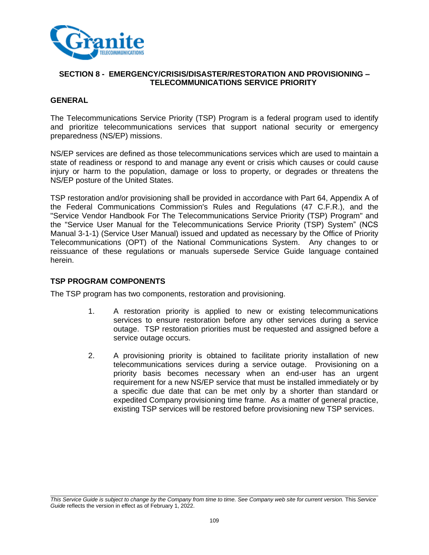

### **GENERAL**

The Telecommunications Service Priority (TSP) Program is a federal program used to identify and prioritize telecommunications services that support national security or emergency preparedness (NS/EP) missions.

NS/EP services are defined as those telecommunications services which are used to maintain a state of readiness or respond to and manage any event or crisis which causes or could cause injury or harm to the population, damage or loss to property, or degrades or threatens the NS/EP posture of the United States.

TSP restoration and/or provisioning shall be provided in accordance with Part 64, Appendix A of the Federal Communications Commission's Rules and Regulations (47 C.F.R.), and the "Service Vendor Handbook For The Telecommunications Service Priority (TSP) Program" and the "Service User Manual for the Telecommunications Service Priority (TSP) System" (NCS Manual 3-1-1) (Service User Manual) issued and updated as necessary by the Office of Priority Telecommunications (OPT) of the National Communications System. Any changes to or reissuance of these regulations or manuals supersede Service Guide language contained herein.

#### **TSP PROGRAM COMPONENTS**

The TSP program has two components, restoration and provisioning.

- 1. A restoration priority is applied to new or existing telecommunications services to ensure restoration before any other services during a service outage. TSP restoration priorities must be requested and assigned before a service outage occurs.
- 2. A provisioning priority is obtained to facilitate priority installation of new telecommunications services during a service outage. Provisioning on a priority basis becomes necessary when an end-user has an urgent requirement for a new NS/EP service that must be installed immediately or by a specific due date that can be met only by a shorter than standard or expedited Company provisioning time frame. As a matter of general practice, existing TSP services will be restored before provisioning new TSP services.

*This Service Guide is subject to change by the Company from time to time. See Company web site for current version.* This *Service Guide* reflects the version in effect as of February 1, 2022.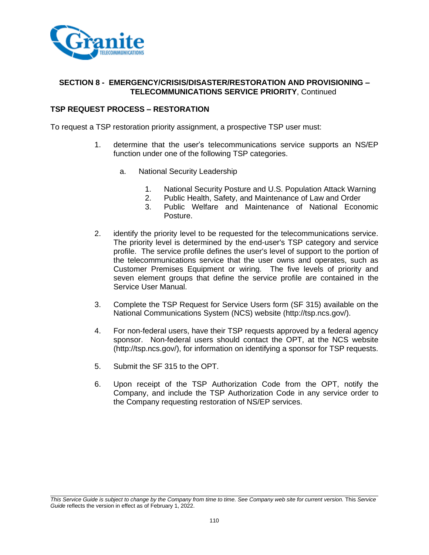

### **TSP REQUEST PROCESS – RESTORATION**

To request a TSP restoration priority assignment, a prospective TSP user must:

- 1. determine that the user's telecommunications service supports an NS/EP function under one of the following TSP categories.
	- a. National Security Leadership
		- 1. National Security Posture and U.S. Population Attack Warning
		- 2. Public Health, Safety, and Maintenance of Law and Order
		- 3. Public Welfare and Maintenance of National Economic Posture.
- 2. identify the priority level to be requested for the telecommunications service. The priority level is determined by the end-user's TSP category and service profile. The service profile defines the user's level of support to the portion of the telecommunications service that the user owns and operates, such as Customer Premises Equipment or wiring. The five levels of priority and seven element groups that define the service profile are contained in the Service User Manual.
- 3. Complete the TSP Request for Service Users form (SF 315) available on the National Communications System (NCS) website (http://tsp.ncs.gov/).
- 4. For non-federal users, have their TSP requests approved by a federal agency sponsor. Non-federal users should contact the OPT, at the NCS website (http://tsp.ncs.gov/), for information on identifying a sponsor for TSP requests.
- 5. Submit the SF 315 to the OPT.
- 6. Upon receipt of the TSP Authorization Code from the OPT, notify the Company, and include the TSP Authorization Code in any service order to the Company requesting restoration of NS/EP services.

*This Service Guide is subject to change by the Company from time to time. See Company web site for current version.* This *Service Guide* reflects the version in effect as of February 1, 2022.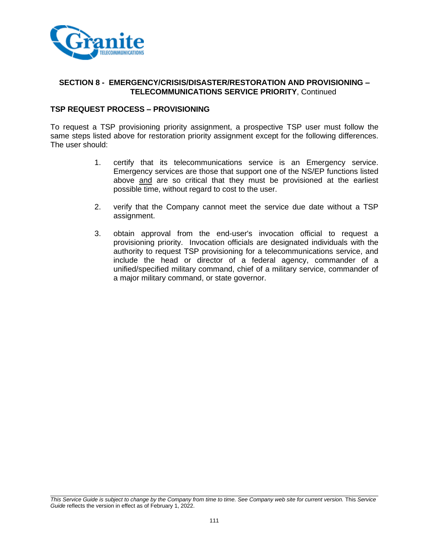

### **TSP REQUEST PROCESS – PROVISIONING**

To request a TSP provisioning priority assignment, a prospective TSP user must follow the same steps listed above for restoration priority assignment except for the following differences. The user should:

- 1. certify that its telecommunications service is an Emergency service. Emergency services are those that support one of the NS/EP functions listed above and are so critical that they must be provisioned at the earliest possible time, without regard to cost to the user.
- 2. verify that the Company cannot meet the service due date without a TSP assignment.
- 3. obtain approval from the end-user's invocation official to request a provisioning priority. Invocation officials are designated individuals with the authority to request TSP provisioning for a telecommunications service, and include the head or director of a federal agency, commander of a unified/specified military command, chief of a military service, commander of a major military command, or state governor.

*This Service Guide is subject to change by the Company from time to time. See Company web site for current version.* This *Service Guide* reflects the version in effect as of February 1, 2022.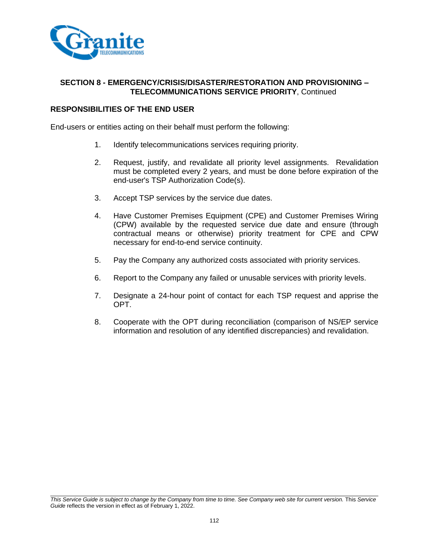

### **RESPONSIBILITIES OF THE END USER**

End-users or entities acting on their behalf must perform the following:

- 1. Identify telecommunications services requiring priority.
- 2. Request, justify, and revalidate all priority level assignments. Revalidation must be completed every 2 years, and must be done before expiration of the end-user's TSP Authorization Code(s).
- 3. Accept TSP services by the service due dates.
- 4. Have Customer Premises Equipment (CPE) and Customer Premises Wiring (CPW) available by the requested service due date and ensure (through contractual means or otherwise) priority treatment for CPE and CPW necessary for end-to-end service continuity.
- 5. Pay the Company any authorized costs associated with priority services.
- 6. Report to the Company any failed or unusable services with priority levels.
- 7. Designate a 24-hour point of contact for each TSP request and apprise the OPT.
- 8. Cooperate with the OPT during reconciliation (comparison of NS/EP service information and resolution of any identified discrepancies) and revalidation.

*This Service Guide is subject to change by the Company from time to time. See Company web site for current version.* This *Service Guide* reflects the version in effect as of February 1, 2022.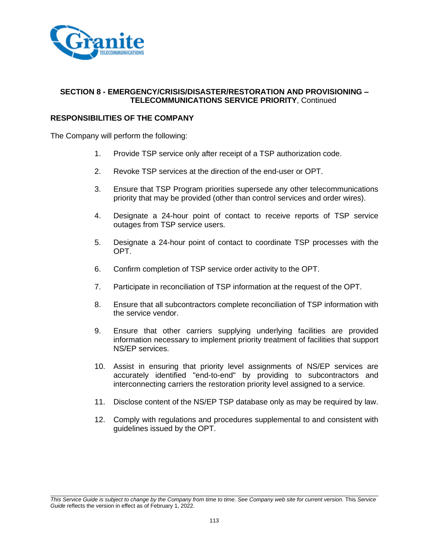

# **RESPONSIBILITIES OF THE COMPANY**

The Company will perform the following:

- 1. Provide TSP service only after receipt of a TSP authorization code.
- 2. Revoke TSP services at the direction of the end-user or OPT.
- 3. Ensure that TSP Program priorities supersede any other telecommunications priority that may be provided (other than control services and order wires).
- 4. Designate a 24-hour point of contact to receive reports of TSP service outages from TSP service users.
- 5. Designate a 24-hour point of contact to coordinate TSP processes with the OPT.
- 6. Confirm completion of TSP service order activity to the OPT.
- 7. Participate in reconciliation of TSP information at the request of the OPT.
- 8. Ensure that all subcontractors complete reconciliation of TSP information with the service vendor.
- 9. Ensure that other carriers supplying underlying facilities are provided information necessary to implement priority treatment of facilities that support NS/EP services.
- 10. Assist in ensuring that priority level assignments of NS/EP services are accurately identified "end-to-end" by providing to subcontractors and interconnecting carriers the restoration priority level assigned to a service.
- 11. Disclose content of the NS/EP TSP database only as may be required by law.
- 12. Comply with regulations and procedures supplemental to and consistent with guidelines issued by the OPT.

*This Service Guide is subject to change by the Company from time to time. See Company web site for current version.* This *Service Guide* reflects the version in effect as of February 1, 2022.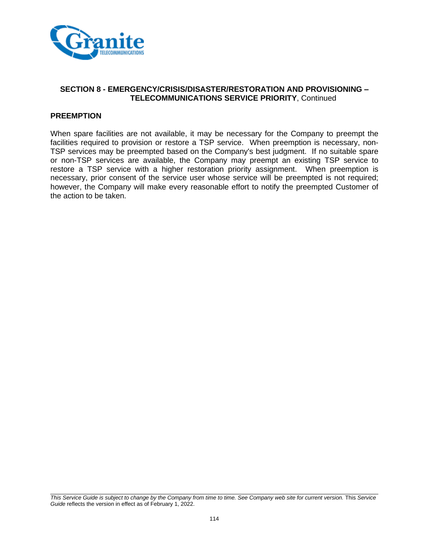

## **PREEMPTION**

When spare facilities are not available, it may be necessary for the Company to preempt the facilities required to provision or restore a TSP service. When preemption is necessary, non-TSP services may be preempted based on the Company's best judgment. If no suitable spare or non-TSP services are available, the Company may preempt an existing TSP service to restore a TSP service with a higher restoration priority assignment. When preemption is necessary, prior consent of the service user whose service will be preempted is not required; however, the Company will make every reasonable effort to notify the preempted Customer of the action to be taken.

*This Service Guide is subject to change by the Company from time to time. See Company web site for current version.* This *Service Guide* reflects the version in effect as of February 1, 2022.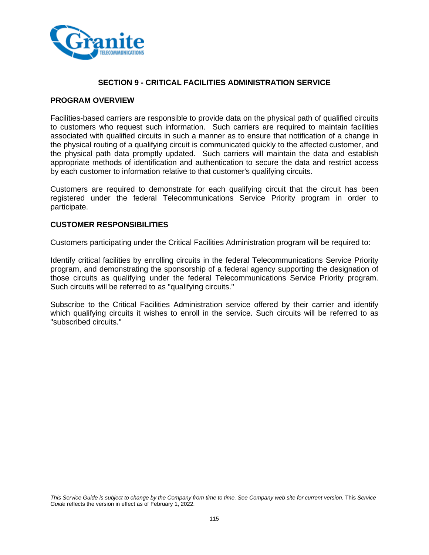

## **SECTION 9 - CRITICAL FACILITIES ADMINISTRATION SERVICE**

#### **PROGRAM OVERVIEW**

Facilities-based carriers are responsible to provide data on the physical path of qualified circuits to customers who request such information. Such carriers are required to maintain facilities associated with qualified circuits in such a manner as to ensure that notification of a change in the physical routing of a qualifying circuit is communicated quickly to the affected customer, and the physical path data promptly updated. Such carriers will maintain the data and establish appropriate methods of identification and authentication to secure the data and restrict access by each customer to information relative to that customer's qualifying circuits.

Customers are required to demonstrate for each qualifying circuit that the circuit has been registered under the federal Telecommunications Service Priority program in order to participate.

#### **CUSTOMER RESPONSIBILITIES**

Customers participating under the Critical Facilities Administration program will be required to:

Identify critical facilities by enrolling circuits in the federal Telecommunications Service Priority program, and demonstrating the sponsorship of a federal agency supporting the designation of those circuits as qualifying under the federal Telecommunications Service Priority program. Such circuits will be referred to as "qualifying circuits."

Subscribe to the Critical Facilities Administration service offered by their carrier and identify which qualifying circuits it wishes to enroll in the service. Such circuits will be referred to as "subscribed circuits."

*This Service Guide is subject to change by the Company from time to time. See Company web site for current version.* This *Service Guide* reflects the version in effect as of February 1, 2022.